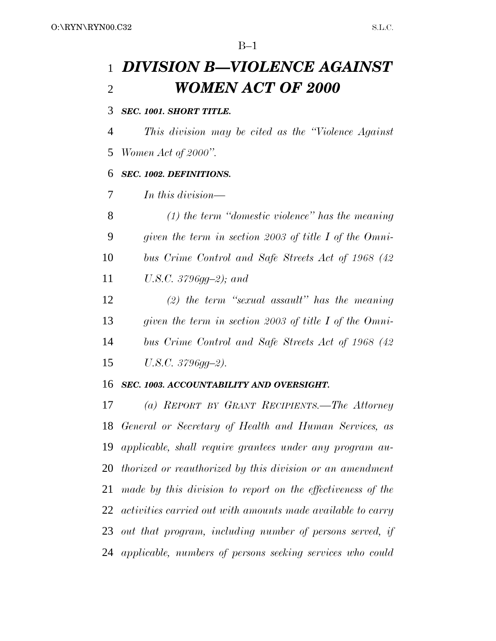$B-1$ 

# *DIVISION B—VIOLENCE AGAINST WOMEN ACT OF 2000*

## *SEC. 1001. SHORT TITLE.*

*This division may be cited as the ''Violence Against*

*Women Act of 2000''.*

# *SEC. 1002. DEFINITIONS.*

*In this division—*

 *(1) the term ''domestic violence'' has the meaning given the term in section 2003 of title I of the Omni- bus Crime Control and Safe Streets Act of 1968 (42 U.S.C. 3796gg–2); and*

 *(2) the term ''sexual assault'' has the meaning given the term in section 2003 of title I of the Omni- bus Crime Control and Safe Streets Act of 1968 (42 U.S.C. 3796gg–2).*

## *SEC. 1003. ACCOUNTABILITY AND OVERSIGHT.*

 *(a) REPORT BY GRANT RECIPIENTS.—The Attorney General or Secretary of Health and Human Services, as applicable, shall require grantees under any program au- thorized or reauthorized by this division or an amendment made by this division to report on the effectiveness of the activities carried out with amounts made available to carry out that program, including number of persons served, if applicable, numbers of persons seeking services who could*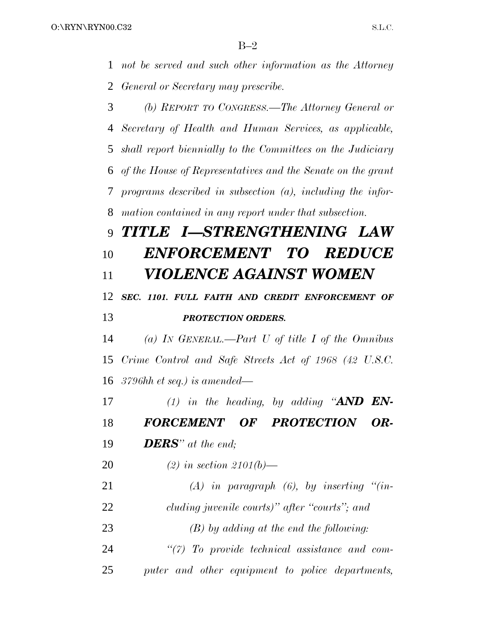$B-2$ 

 *not be served and such other information as the Attorney General or Secretary may prescribe.*

 *(b) REPORT TO CONGRESS.—The Attorney General or Secretary of Health and Human Services, as applicable, shall report biennially to the Committees on the Judiciary of the House of Representatives and the Senate on the grant programs described in subsection (a), including the infor-mation contained in any report under that subsection.*

# *TITLE I—STRENGTHENING LAW ENFORCEMENT TO REDUCE VIOLENCE AGAINST WOMEN*

 *SEC. 1101. FULL FAITH AND CREDIT ENFORCEMENT OF PROTECTION ORDERS.*

 *(a) IN GENERAL.—Part U of title I of the Omnibus Crime Control and Safe Streets Act of 1968 (42 U.S.C. 3796hh et seq.) is amended—*

 *(1) in the heading, by adding ''AND EN-FORCEMENT OF PROTECTION OR-*

*DERS'' at the end;*

*(2) in section 2101(b)—*

 *(A) in paragraph (6), by inserting ''(in-cluding juvenile courts)'' after ''courts''; and*

*(B) by adding at the end the following:*

 *''(7) To provide technical assistance and com-puter and other equipment to police departments,*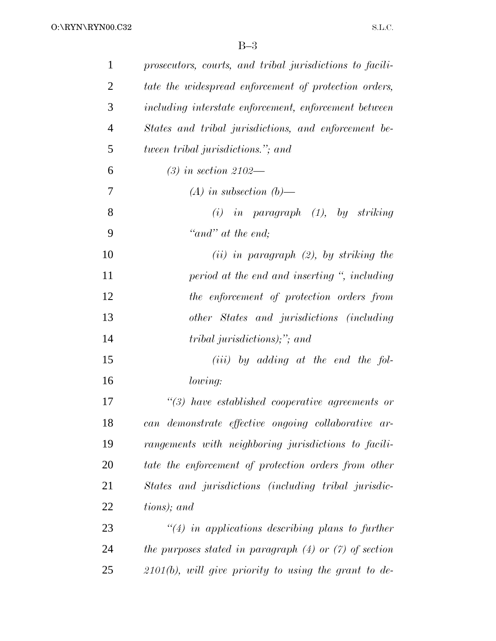| $\mathbf{1}$   | prosecutors, courts, and tribal jurisdictions to facili-   |
|----------------|------------------------------------------------------------|
| $\overline{2}$ | tate the widespread enforcement of protection orders,      |
| 3              | including interstate enforcement, enforcement between      |
| $\overline{4}$ | States and tribal jurisdictions, and enforcement be-       |
| 5              | <i>tween tribal jurisdictions.</i> "; and                  |
| 6              | $(3)$ in section 2102—                                     |
| 7              | $(A)$ in subsection $(b)$ —                                |
| 8              | $(i)$ in paragraph $(1)$ , by striking                     |
| 9              | "and" at the end;                                          |
| 10             | $(ii)$ in paragraph $(2)$ , by striking the                |
| 11             | period at the end and inserting ", including               |
| 12             | the enforcement of protection orders from                  |
| 13             | other States and jurisdictions (including                  |
| 14             | <i>tribal jurisdictions)</i> ;"; and                       |
| 15             | $(iii)$ by adding at the end the fol-                      |
| 16             | lowing:                                                    |
| 17             | $\lq(3)$ have established cooperative agreements or        |
| 18             | can demonstrate effective ongoing collaborative ar-        |
| 19             | rangements with neighboring jurisdictions to facili-       |
| 20             | tate the enforcement of protection orders from other       |
| 21             | States and jurisdictions (including tribal jurisdic-       |
| 22             | tions); and                                                |
| 23             | $\lq(4)$ in applications describing plans to further       |
| 24             | the purposes stated in paragraph $(4)$ or $(7)$ of section |
| 25             | $2101(b)$ , will give priority to using the grant to de-   |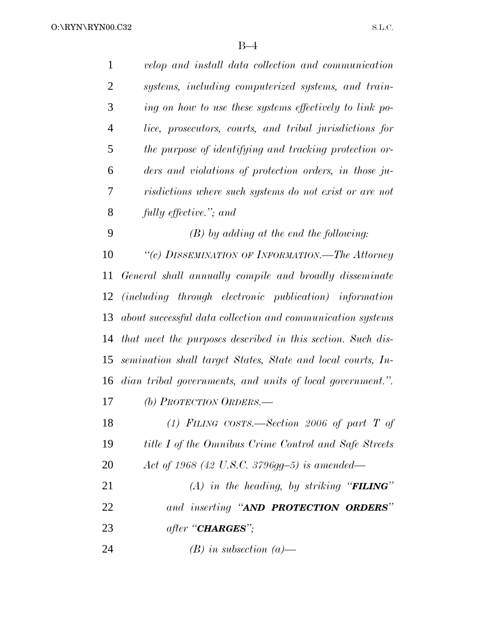| $\mathbf{1}$   | velop and install data collection and communication         |
|----------------|-------------------------------------------------------------|
| $\overline{2}$ | systems, including computerized systems, and train-         |
| 3              | ing on how to use these systems effectively to link po-     |
| 4              | lice, prosecutors, courts, and tribal jurisdictions for     |
| 5              | the purpose of identifying and tracking protection or-      |
| 6              | ders and violations of protection orders, in those ju-      |
| 7              | risdictions where such systems do not exist or are not      |
| 8              | fully effective."; and                                      |
| 9              | $(B)$ by adding at the end the following:                   |
| 10             | "(c) DISSEMINATION OF INFORMATION.—The Attorney             |
| 11             | General shall annually compile and broadly disseminate      |
| 12             | (including through electronic publication) information      |
| 13             | about successful data collection and communication systems  |
| 14             | that meet the purposes described in this section. Such dis- |
| 15             | semination shall target States, State and local courts, In- |
| 16             | dian tribal governments, and units of local government.".   |
| 17             | (b) PROTECTION ORDERS.—                                     |
| 18             | (1) FILING COSTS.—Section 2006 of part T of                 |
| 19             | title I of the Omnibus Crime Control and Safe Streets       |
| 20             | Act of 1968 (42 U.S.C. 3796gg-5) is amended—                |
| 21             | (A) in the heading, by striking " <b>FILING</b> "           |
| 22             | and inserting "AND PROTECTION ORDERS"                       |
| 23             | after " <b>CHARGES</b> ";                                   |
| 24             | $(B)$ in subsection $(a)$ —                                 |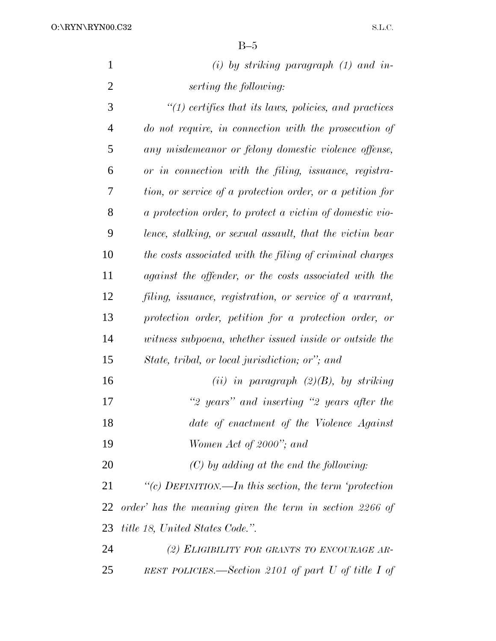| $\mathbf{1}$   | $(i)$ by striking paragraph $(1)$ and in-                 |
|----------------|-----------------------------------------------------------|
| $\overline{2}$ | serting the following:                                    |
| 3              | $"(1)$ certifies that its laws, policies, and practices   |
| $\overline{4}$ | do not require, in connection with the prosecution of     |
| 5              | any misdemeanor or felony domestic violence offense,      |
| 6              | or in connection with the filing, issuance, registra-     |
| 7              | tion, or service of a protection order, or a petition for |
| 8              | a protection order, to protect a victim of domestic vio-  |
| 9              | lence, stalking, or sexual assault, that the victim bear  |
| 10             | the costs associated with the filing of criminal charges  |
| 11             | against the offender, or the costs associated with the    |
| 12             | filing, issuance, registration, or service of a warrant,  |
| 13             | protection order, petition for a protection order, or     |
| 14             | witness subpoena, whether issued inside or outside the    |
| 15             | State, tribal, or local jurisdiction; or"; and            |
| 16             | (ii) in paragraph $(2)(B)$ , by striking                  |
| 17             | "2 years" and inserting "2 years after the                |
| 18             | date of enactment of the Violence Against                 |
| 19             | Women Act of 2000"; and                                   |
| 20             | $(C)$ by adding at the end the following:                 |
| 21             | "(c) DEFINITION.—In this section, the term 'protection    |
| 22             | order' has the meaning given the term in section 2266 of  |
| 23             | <i>title 18, United States Code.</i> ".                   |
| 24             | (2) ELIGIBILITY FOR GRANTS TO ENCOURAGE AR-               |
| 25             | REST POLICIES.—Section 2101 of part U of title I of       |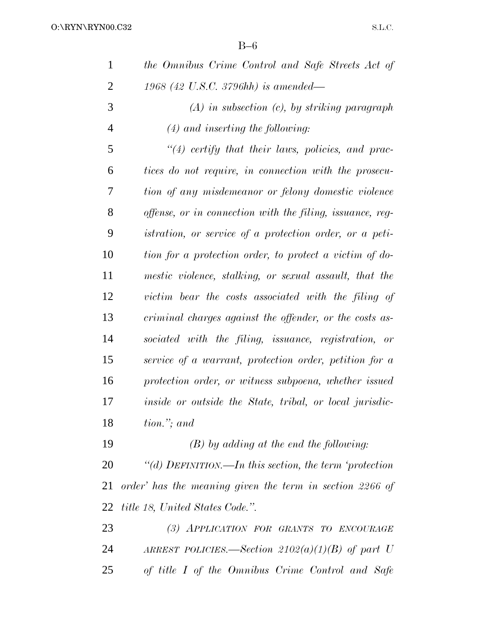| $\mathbf{1}$   | the Omnibus Crime Control and Safe Streets Act of              |
|----------------|----------------------------------------------------------------|
| $\overline{2}$ | 1968 (42 U.S.C. 3796hh) is amended—                            |
| 3              | $(A)$ in subsection $(c)$ , by striking paragraph              |
| $\overline{4}$ | $(4)$ and inserting the following:                             |
| 5              | $\lq(4)$ certify that their laws, policies, and prac-          |
| 6              | tices do not require, in connection with the prosecu-          |
| 7              | tion of any misdemeanor or felony domestic violence            |
| 8              | offense, or in connection with the filing, issuance, reg-      |
| 9              | <i>istration, or service of a protection order, or a peti-</i> |
| 10             | tion for a protection order, to protect a victim of do-        |
| 11             | mestic violence, stalking, or sexual assault, that the         |
| 12             | victim bear the costs associated with the filing of            |
| 13             | criminal charges against the offender, or the costs as-        |
| 14             | sociated with the filing, issuance, registration, or           |
| 15             | service of a warrant, protection order, petition for a         |
| 16             | protection order, or witness subpoena, whether issued          |
| 17             | inside or outside the State, tribal, or local jurisdic-        |
| 18             | tion."; and                                                    |
| 19             | $(B)$ by adding at the end the following:                      |
| 20             | "(d) DEFINITION.—In this section, the term 'protection         |
| 21             | order' has the meaning given the term in section 2266 of       |
| 22             | <i>title 18, United States Code.</i> ".                        |
| 23             | (3) APPLICATION FOR GRANTS TO ENCOURAGE                        |
| 24             | ARREST POLICIES.—Section $2102(a)(1)(B)$ of part U             |
| 25             | of title I of the Omnibus Crime Control and Safe               |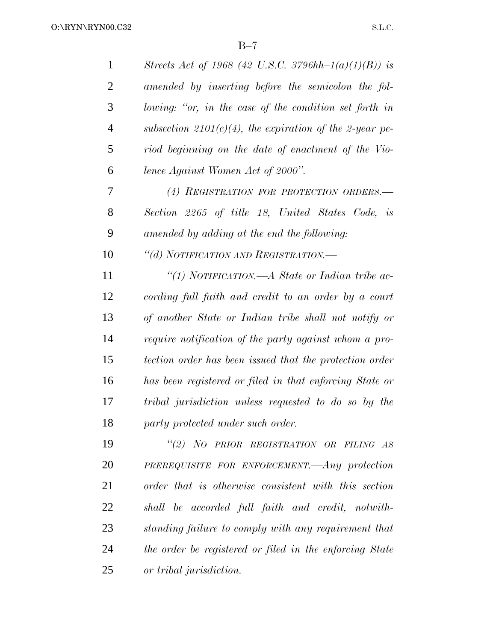| $\mathbf{1}$   | Streets Act of 1968 (42 U.S.C. 3796hh-1(a)(1)(B)) is    |
|----------------|---------------------------------------------------------|
| $\overline{2}$ | amended by inserting before the semicolon the fol-      |
| 3              | lowing: "or, in the case of the condition set forth in  |
| 4              | subsection 2101(c)(4), the expiration of the 2-year pe- |
| 5              | riod beginning on the date of enactment of the Vio-     |
| 6              | lence Against Women Act of 2000".                       |
| 7              | (4) REGISTRATION FOR PROTECTION ORDERS.-                |
| 8              | Section 2265 of title 18, United States Code, is        |
| 9              | amended by adding at the end the following:             |
| 10             | "(d) NOTIFICATION AND REGISTRATION.—                    |
| 11             | "(1) NOTIFICATION.—A State or Indian tribe ac-          |
| 12             | cording full faith and credit to an order by a court    |
| 13             | of another State or Indian tribe shall not notify or    |
| 14             | require notification of the party against whom a pro-   |
| 15             | tection order has been issued that the protection order |
| 16             | has been registered or filed in that enforcing State or |
| 17             | tribal jurisdiction unless requested to do so by the    |
| 18             | party protected under such order.                       |
| 19             | "(2) NO PRIOR REGISTRATION OR FILING AS                 |
| 20             | PREREQUISITE FOR ENFORCEMENT.—Any protection            |
| 21             | order that is otherwise consistent with this section    |
| 22             | shall be accorded full faith and credit, notwith-       |
| 23             | standing failure to comply with any requirement that    |
| 24             | the order be registered or filed in the enforcing State |
| 25             | or tribal jurisdiction.                                 |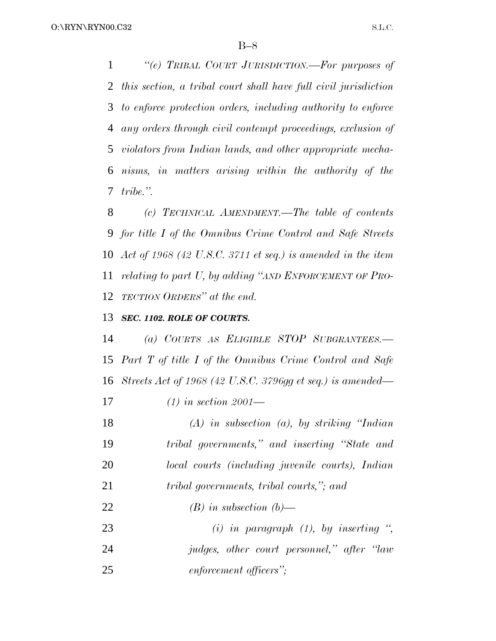*''(e) TRIBAL COURT JURISDICTION.—For purposes of this section, a tribal court shall have full civil jurisdiction to enforce protection orders, including authority to enforce any orders through civil contempt proceedings, exclusion of violators from Indian lands, and other appropriate mecha- nisms, in matters arising within the authority of the tribe.''.*

 *(c) TECHNICAL AMENDMENT.—The table of contents for title I of the Omnibus Crime Control and Safe Streets Act of 1968 (42 U.S.C. 3711 et seq.) is amended in the item relating to part U, by adding ''AND ENFORCEMENT OF PRO-TECTION ORDERS'' at the end.*

## *SEC. 1102. ROLE OF COURTS.*

 *(a) COURTS AS ELIGIBLE STOP SUBGRANTEES.— Part T of title I of the Omnibus Crime Control and Safe Streets Act of 1968 (42 U.S.C. 3796gg et seq.) is amended—*

*(1) in section 2001—*

 *(A) in subsection (a), by striking ''Indian tribal governments,'' and inserting ''State and local courts (including juvenile courts), Indian tribal governments, tribal courts,''; and (B) in subsection (b)— (i) in paragraph (1), by inserting '',*

 *judges, other court personnel,'' after ''law enforcement officers'';*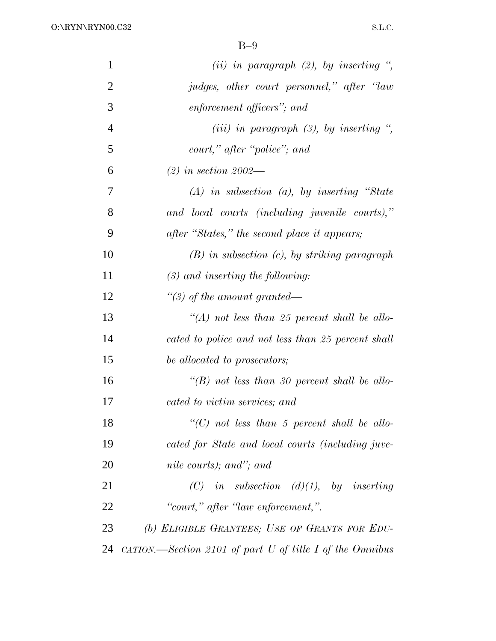| $\mathbf{1}$   | (ii) in paragraph $(2)$ , by inserting ",                               |
|----------------|-------------------------------------------------------------------------|
| $\overline{2}$ | judges, other court personnel," after "law                              |
| 3              | enforcement officers"; and                                              |
| $\overline{4}$ | (iii) in paragraph $(3)$ , by inserting ",                              |
| 5              | court," after "police"; and                                             |
| 6              | $(2)$ in section 2002—                                                  |
| 7              | $(A)$ in subsection $(a)$ , by inserting "State"                        |
| 8              | and local courts (including juvenile courts),"                          |
| 9              | after "States," the second place it appears;                            |
| 10             | $(B)$ in subsection $(c)$ , by striking paragraph                       |
| 11             | $(3)$ and inserting the following:                                      |
| 12             | "(3) of the amount granted—                                             |
| 13             | $\lq (A)$ not less than 25 percent shall be allo-                       |
| 14             | cated to police and not less than 25 percent shall                      |
| 15             | be allocated to prosecutors;                                            |
| 16             | "(B) not less than 30 percent shall be allo-                            |
| 17             | cated to victim services; and                                           |
| 18             | $\lq\lq$ (C) not less than 5 percent shall be allo-                     |
| 19             | cated for State and local courts (including juve-                       |
| 20             | nile courts); and"; and                                                 |
| 21             | (C) in subsection (d)(1), by inserting                                  |
| 22             | "court," after "law enforcement,".                                      |
| 23             | (b) ELIGIBLE GRANTEES; USE OF GRANTS FOR EDU-                           |
| 24             | $\alpha$ <i>ATION.—Section 2101 of part U of title I of the Omnibus</i> |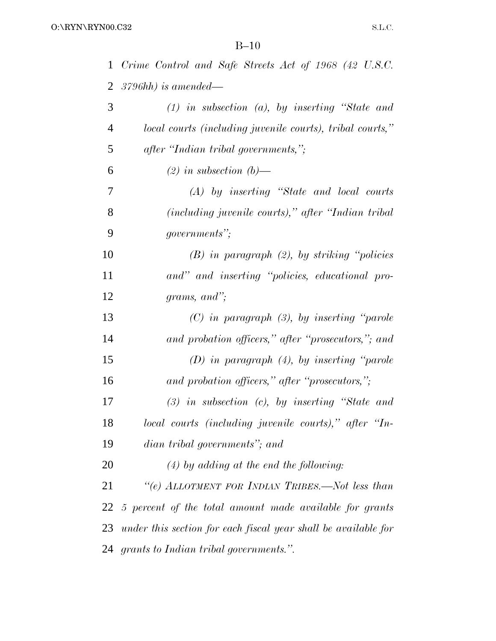| $\mathbf{1}$ | Crime Control and Safe Streets Act of 1968 (42 U.S.C.             |
|--------------|-------------------------------------------------------------------|
| 2            | $3796hh$ ) is amended—                                            |
| 3            | $(1)$ in subsection $(a)$ , by inserting "State and               |
| 4            | local courts (including juvenile courts), tribal courts,"         |
| 5            | after "Indian tribal governments,";                               |
| 6            | $(2)$ in subsection $(b)$ —                                       |
| 7            | $(A)$ by inserting "State and local courts"                       |
| 8            | (including juvenile courts)," after "Indian tribal"               |
| 9            | <i>governments</i> ";                                             |
| 10           | $(B)$ in paragraph $(2)$ , by striking "policies"                 |
| 11           | and" and inserting "policies, educational pro-                    |
| 12           | grams, and";                                                      |
| 13           | $(C)$ in paragraph $(3)$ , by inserting "parole"                  |
| 14           | and probation officers," after "prosecutors,"; and                |
| 15           | $(D)$ in paragraph $(4)$ , by inserting "parole"                  |
| 16           | and probation officers," after "prosecutors,";                    |
| 17           | $(3)$ in subsection $(c)$ , by inserting "State and               |
| 18           | local courts (including juvenile courts)," after "In-             |
| 19           | dian tribal governments"; and                                     |
| 20           | $(4)$ by adding at the end the following:                         |
| 21           | "(e) ALLOTMENT FOR INDIAN TRIBES.—Not less than                   |
|              | 22 5 percent of the total amount made available for grants        |
|              | 23 under this section for each fiscal year shall be available for |
|              | 24 grants to Indian tribal governments.".                         |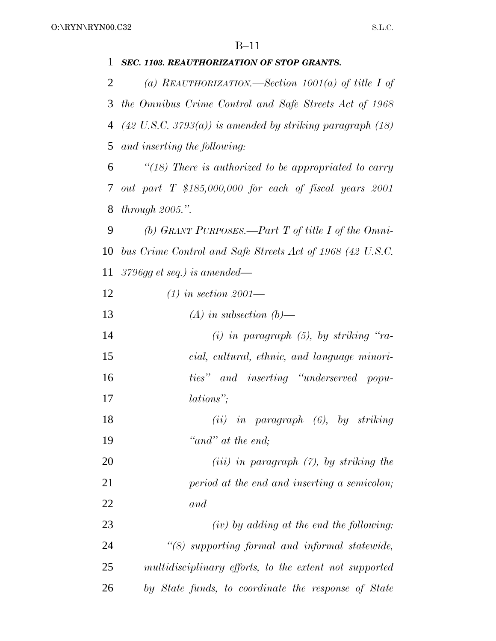| 1  | SEC. 1103. REAUTHORIZATION OF STOP GRANTS.                             |
|----|------------------------------------------------------------------------|
| 2  | (a) REAUTHORIZATION.—Section 1001(a) of title I of                     |
| 3  | the Omnibus Crime Control and Safe Streets Act of 1968                 |
| 4  | $(42 \text{ U.S.C. } 3793(a))$ is amended by striking paragraph $(18)$ |
| 5  | and inserting the following:                                           |
| 6  | " $(18)$ There is authorized to be appropriated to carry               |
| 7  | out part $T$ \$185,000,000 for each of fiscal years $2001$             |
| 8  | through $2005$ .".                                                     |
| 9  | (b) GRANT PURPOSES.—Part T of title I of the Omni-                     |
| 10 | bus Crime Control and Safe Streets Act of 1968 (42 U.S.C.              |
| 11 | $3796gg$ et seq.) is amended—                                          |
| 12 | $(1)$ in section 2001—                                                 |
| 13 | $(A)$ in subsection $(b)$ —                                            |
| 14 | $(i)$ in paragraph $(5)$ , by striking "ra-                            |
| 15 | cial, cultural, ethnic, and language minori-                           |
| 16 | ties" and inserting "underserved popu-                                 |
| 17 | lations";                                                              |
| 18 | $(ii)$ in paragraph $(6)$ , by striking                                |
| 19 | "and" at the end;                                                      |
| 20 | $(iii)$ in paragraph $(7)$ , by striking the                           |
| 21 | period at the end and inserting a semicolon;                           |
| 22 | and                                                                    |
| 23 | $(iv)$ by adding at the end the following:                             |
| 24 | "(8) supporting formal and informal statewide,                         |
| 25 | multidisciplinary efforts, to the extent not supported                 |
| 26 | by State funds, to coordinate the response of State                    |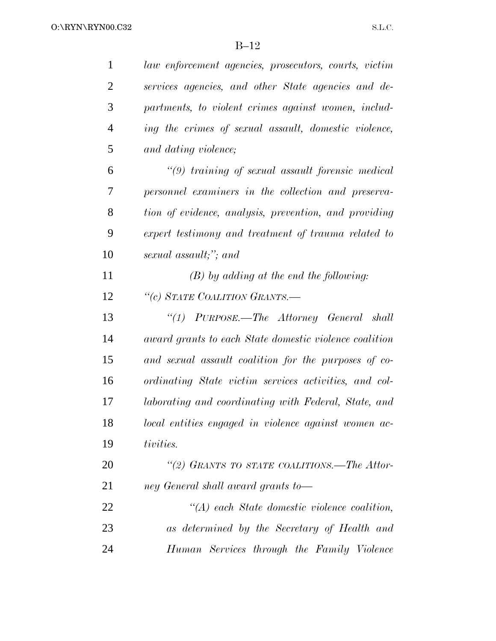| $\mathbf{1}$   | law enforcement agencies, prosecutors, courts, victim  |
|----------------|--------------------------------------------------------|
| $\overline{2}$ | services agencies, and other State agencies and de-    |
| 3              | partments, to violent crimes against women, includ-    |
| $\overline{4}$ | ing the crimes of sexual assault, domestic violence,   |
| 5              | and dating violence;                                   |
| 6              | $\lq(9)$ training of sexual assault forensic medical   |
| 7              | personnel examiners in the collection and preserva-    |
| 8              | tion of evidence, analysis, prevention, and providing  |
| 9              | expert testimony and treatment of trauma related to    |
| 10             | sexual assault;"; and                                  |
| 11             | $(B)$ by adding at the end the following:              |
| 12             | "(c) STATE COALITION GRANTS.-                          |
| 13             | "(1) PURPOSE.—The Attorney General shall               |
| 14             | award grants to each State domestic violence coalition |
| 15             | and sexual assault coalition for the purposes of co-   |
| 16             | ordinating State victim services activities, and col-  |
| 17             | laborating and coordinating with Federal, State, and   |
| 18             | local entities engaged in violence against women ac-   |
| 19             | tivities.                                              |
| 20             | "(2) GRANTS TO STATE COALITIONS.—The Attor-            |
| 21             | ney General shall award grants to-                     |
| 22             | $\lq (A)$ each State domestic violence coalition,      |
| 23             | as determined by the Secretary of Health and           |
| 24             | Human Services through the Family Violence             |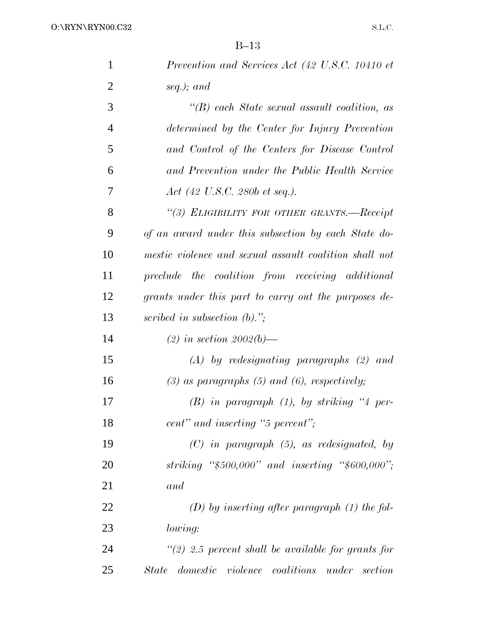| $\mathbf{1}$   | Prevention and Services Act (42 U.S.C. 10410 et        |
|----------------|--------------------------------------------------------|
| $\overline{2}$ | seq.); and                                             |
| 3              | $\lq\lq(B)$ each State sexual assault coalition, as    |
| $\overline{4}$ | determined by the Center for Injury Prevention         |
| 5              | and Control of the Centers for Disease Control         |
| 6              | and Prevention under the Public Health Service         |
| 7              | $Act$ (42 U.S.C. 280b et seq.).                        |
| 8              | "(3) ELIGIBILITY FOR OTHER GRANTS.-Receipt             |
| 9              | of an award under this subsection by each State do-    |
| 10             | mestic violence and sexual assault coalition shall not |
| 11             | preclude the coalition from receiving additional       |
| 12             | grants under this part to carry out the purposes de-   |
| 13             | scribed in subsection $(b)$ .";                        |
| 14             | (2) in section 2002(b)—                                |
| 15             | $(A)$ by redesignating paragraphs $(2)$ and            |
| 16             | $(3)$ as paragraphs $(5)$ and $(6)$ , respectively;    |
| 17             | $(B)$ in paragraph $(1)$ , by striking "4 per-         |
| 18             | cent" and inserting "5 percent";                       |
| 19             | $(C)$ in paragraph $(5)$ , as redesignated, by         |
| 20             | striking " $$500,000"$ and inserting " $$600,000"$ ;   |
| 21             | and                                                    |
| 22             | $(D)$ by inserting after paragraph $(1)$ the fol-      |
| 23             | lowing:                                                |
| 24             | $\lq(2)$ 2.5 percent shall be available for grants for |
| 25             | domestic violence coalitions under section<br>State    |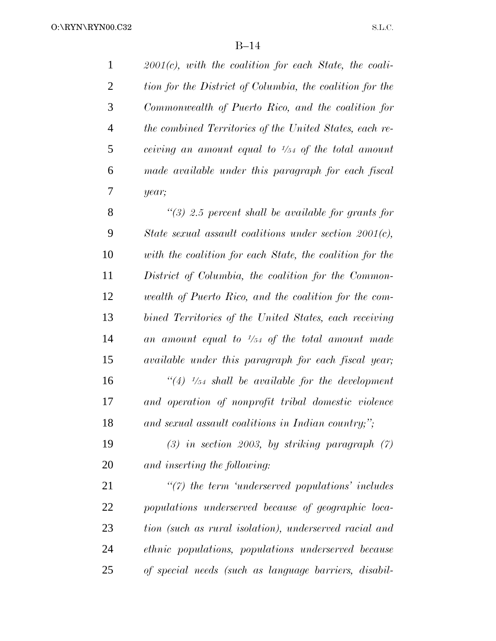*2001(c), with the coalition for each State, the coali- tion for the District of Columbia, the coalition for the Commonwealth of Puerto Rico, and the coalition for the combined Territories of the United States, each ref ceiving an amount equal to <sup>1</sup>/54 of the total amount made available under this paragraph for each fiscal year;*

 *''(3) 2.5 percent shall be available for grants for State sexual assault coalitions under section 2001(c), with the coalition for each State, the coalition for the District of Columbia, the coalition for the Common- wealth of Puerto Rico, and the coalition for the com- bined Territories of the United States, each receiving an amount equal to <sup>1</sup>/54 of the total amount made available under this paragraph for each fiscal year; <i>''(4)*  $\frac{1}{54}$  *shall be available for the development and operation of nonprofit tribal domestic violence and sexual assault coalitions in Indian country;'';*

 *(3) in section 2003, by striking paragraph (7) and inserting the following:*

 *''(7) the term 'underserved populations' includes populations underserved because of geographic loca- tion (such as rural isolation), underserved racial and ethnic populations, populations underserved because of special needs (such as language barriers, disabil-*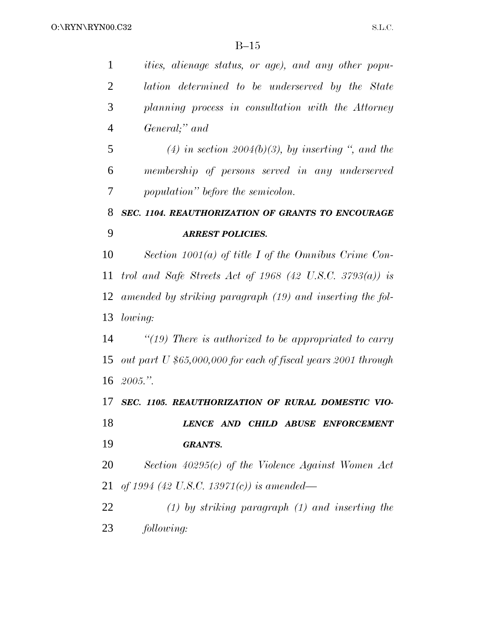| $\mathbf{1}$   | <i>ities, alienage status, or age), and any other popu-</i>   |
|----------------|---------------------------------------------------------------|
| $\overline{2}$ | lation determined to be underserved by the State              |
| 3              | planning process in consultation with the Attorney            |
| $\overline{4}$ | General;" and                                                 |
| 5              | (4) in section 2004(b)(3), by inserting ", and the            |
| 6              | membership of persons served in any underserved               |
| 7              | population" before the semicolon.                             |
| 8              | SEC. 1104. REAUTHORIZATION OF GRANTS TO ENCOURAGE             |
| 9              | <b>ARREST POLICIES.</b>                                       |
| 10             | Section $1001(a)$ of title I of the Omnibus Crime Con-        |
| 11             | trol and Safe Streets Act of 1968 (42 U.S.C. 3793(a)) is      |
| 12             | amended by striking paragraph (19) and inserting the fol-     |
|                | 13 lowing:                                                    |
| 14             | "(19) There is authorized to be appropriated to carry         |
| 15             | out part U \$65,000,000 for each of fiscal years 2001 through |
| 16             | 2005."                                                        |
| 17             | SEC. 1105. REAUTHORIZATION OF RURAL DOMESTIC VIO-             |
| 18             | LENCE AND CHILD ABUSE ENFORCEMENT                             |
| 19             | <b>GRANTS.</b>                                                |
| 20             | Section $40295(c)$ of the Violence Against Women Act          |
| 21             | of 1994 (42 U.S.C. 13971(c)) is amended—                      |
| 22             | $(1)$ by striking paragraph $(1)$ and inserting the           |
| 23             | following:                                                    |
|                |                                                               |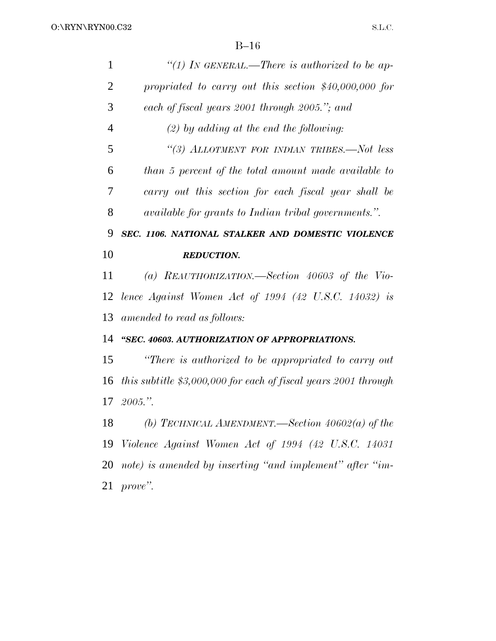| $\mathbf{1}$   | "(1) In GENERAL.—There is authorized to be ap-                    |
|----------------|-------------------------------------------------------------------|
| $\overline{2}$ | propriated to carry out this section $$40,000,000$ for            |
| 3              | each of fiscal years 2001 through 2005."; and                     |
| $\overline{4}$ | $(2)$ by adding at the end the following:                         |
| 5              | "(3) ALLOTMENT FOR INDIAN TRIBES.-Not less                        |
| 6              | than 5 percent of the total amount made available to              |
| 7              | carry out this section for each fiscal year shall be              |
| 8              | <i>available for grants to Indian tribal governments.".</i>       |
| 9              | SEC. 1106. NATIONAL STALKER AND DOMESTIC VIOLENCE                 |
| 10             | <b>REDUCTION.</b>                                                 |
|                |                                                                   |
| 11             | (a) REAUTHORIZATION.—Section $40603$ of the Vio-                  |
| 12             | lence Against Women Act of $1994$ $(42 \text{ U.S.C. } 14032)$ is |
| 13             | amended to read as follows:                                       |
| 14             | "SEC. 40603. AUTHORIZATION OF APPROPRIATIONS.                     |
| 15             | "There is authorized to be appropriated to carry out              |
| 16             | this subtitle $$3,000,000$ for each of fiscal years 2001 through  |
| 17             | 2005."                                                            |
| 18             | (b) TECHNICAL AMENDMENT.—Section $40602(a)$ of the                |
| 19             | Violence Against Women Act of 1994 (42 U.S.C. 14031               |

*prove''.*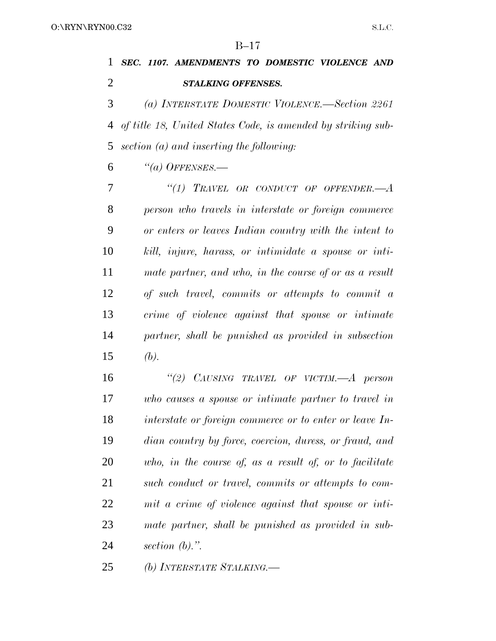# *SEC. 1107. AMENDMENTS TO DOMESTIC VIOLENCE AND STALKING OFFENSES.*

 *(a) INTERSTATE DOMESTIC VIOLENCE.—Section 2261 of title 18, United States Code, is amended by striking sub-section (a) and inserting the following:*

*''(a) OFFENSES.—*

 *''(1) TRAVEL OR CONDUCT OF OFFENDER.—A person who travels in interstate or foreign commerce or enters or leaves Indian country with the intent to kill, injure, harass, or intimidate a spouse or inti- mate partner, and who, in the course of or as a result of such travel, commits or attempts to commit a crime of violence against that spouse or intimate partner, shall be punished as provided in subsection (b).*

 *''(2) CAUSING TRAVEL OF VICTIM.—A person who causes a spouse or intimate partner to travel in interstate or foreign commerce or to enter or leave In- dian country by force, coercion, duress, or fraud, and who, in the course of, as a result of, or to facilitate such conduct or travel, commits or attempts to com- mit a crime of violence against that spouse or inti- mate partner, shall be punished as provided in sub-section (b).''.*

*(b) INTERSTATE STALKING.—*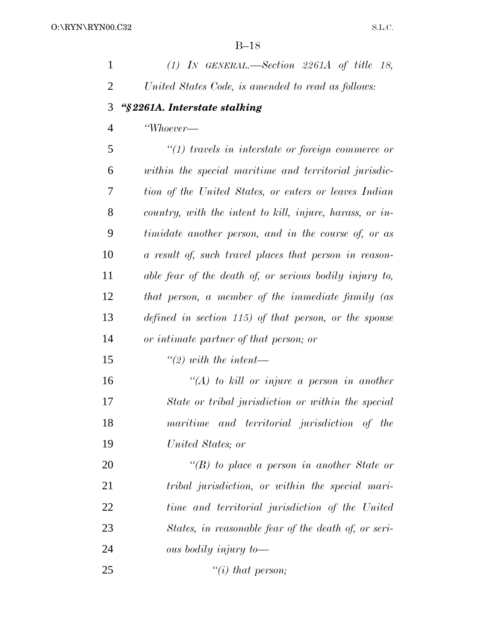| $(1)$ IN GENERAL.—Section 2261A of title 18,             |
|----------------------------------------------------------|
| United States Code, is amended to read as follows:       |
| "§2261A. Interstate stalking                             |
| "Whoever-                                                |
| $"(1)$ travels in interstate or foreign commerce or      |
| within the special maritime and territorial jurisdic-    |
| tion of the United States, or enters or leaves Indian    |
| country, with the intent to kill, injure, harass, or in- |
| timidate another person, and in the course of, or as     |
| a result of, such travel places that person in reason-   |
| able fear of the death of, or serious bodily injury to,  |
| that person, a member of the immediate family (as        |
| defined in section 115) of that person, or the spouse    |
| or intimate partner of that person; or                   |
| $\lq (2)$ with the intent—                               |
| "(A) to kill or injure a person in another               |
| State or tribal jurisdiction or within the special       |
| maritime and territorial jurisdiction of the             |
| United States; or                                        |
| "(B) to place a person in another State or               |
| tribal jurisdiction, or within the special mari-         |
| time and territorial jurisdiction of the United          |
| States, in reasonable fear of the death of, or seri-     |
| ous bodily injury to-                                    |
|                                                          |

*''(i) that person;*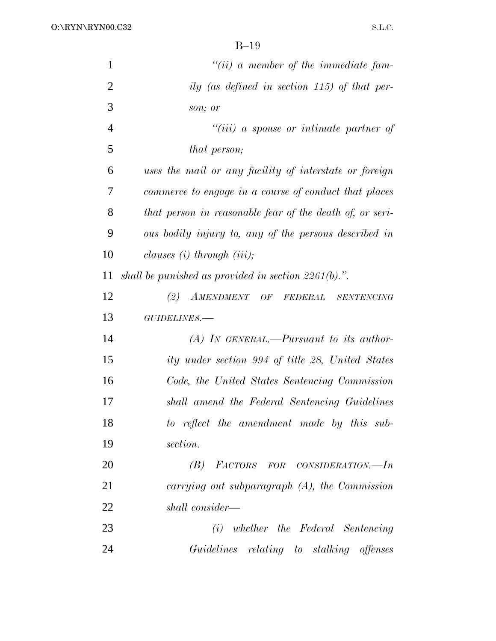O:\RYN\RYN00.C32

| $\mathbf{1}$   | $``(ii)$ a member of the immediate fam-                  |
|----------------|----------------------------------------------------------|
| $\overline{2}$ | ily (as defined in section 115) of that per-             |
| 3              | son; or                                                  |
| $\overline{4}$ | $``(iii)$ a spouse or intimate partner of                |
| 5              | that person;                                             |
| 6              | uses the mail or any facility of interstate or foreign   |
| 7              | commerce to engage in a course of conduct that places    |
| 8              | that person in reasonable fear of the death of, or seri- |
| 9              | ous bodily injury to, any of the persons described in    |
| 10             | clauses $(i)$ through $(iii)$ ;                          |
| 11             | shall be punished as provided in section $2261(b)$ .".   |
| 12             | (2)<br>AMENDMENT OF FEDERAL<br><b>SENTENCING</b>         |
| 13             | GUIDELINES.-                                             |
| 14             | $(A)$ In GENERAL.—Pursuant to its author-                |
| 15             | ity under section 994 of title 28, United States         |
| 16             | Code, the United States Sentencing Commission            |
| 17             | shall amend the Federal Sentencing Guidelines            |
| 18             | to reflect the amendment made by this sub-               |
| 19             | section.                                                 |
| 20             | (B) FACTORS FOR CONSIDERATION.—In                        |
| 21             | carrying out subparagraph $(A)$ , the Commission         |
| 22             | shall consider—                                          |
| 23             | (i) whether the Federal Sentencing                       |
| 24             | Guidelines relating to stalking offenses                 |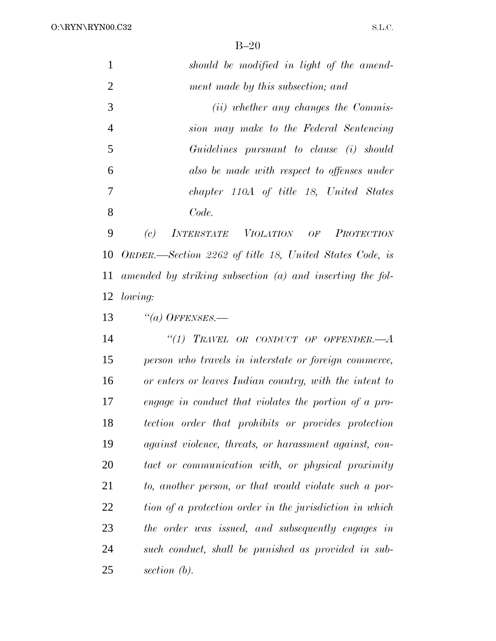|                | should be modified in light of the amend-     |
|----------------|-----------------------------------------------|
| 2              | ment made by this subsection; and             |
| 3              | ( <i>ii</i> ) whether any changes the Commis- |
| $\overline{4}$ | sion may make to the Federal Sentencing       |
| 5              | Guidelines pursuant to clause (i) should      |
| 6              | also be made with respect to offenses under   |
| 7              | chapter 110A of title 18, United States       |
| 8              | Code.                                         |

 *(c) INTERSTATE VIOLATION OF PROTECTION ORDER.—Section 2262 of title 18, United States Code, is amended by striking subsection (a) and inserting the fol-lowing:*

*''(a) OFFENSES.—*

 *''(1) TRAVEL OR CONDUCT OF OFFENDER.—A person who travels in interstate or foreign commerce, or enters or leaves Indian country, with the intent to engage in conduct that violates the portion of a pro- tection order that prohibits or provides protection against violence, threats, or harassment against, con- tact or communication with, or physical proximity to, another person, or that would violate such a por- tion of a protection order in the jurisdiction in which the order was issued, and subsequently engages in such conduct, shall be punished as provided in sub-section (b).*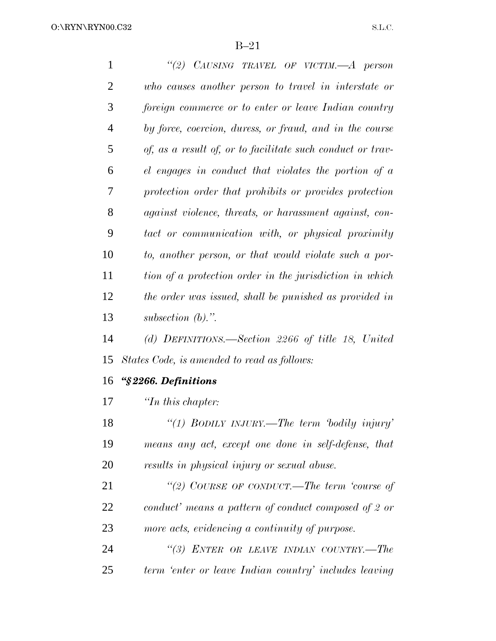O:\RYN\RYN00.C32

B–21

 *''(2) CAUSING TRAVEL OF VICTIM.—A person who causes another person to travel in interstate or foreign commerce or to enter or leave Indian country by force, coercion, duress, or fraud, and in the course of, as a result of, or to facilitate such conduct or trav- el engages in conduct that violates the portion of a protection order that prohibits or provides protection against violence, threats, or harassment against, con- tact or communication with, or physical proximity to, another person, or that would violate such a por- tion of a protection order in the jurisdiction in which the order was issued, shall be punished as provided in subsection (b).''. (d) DEFINITIONS.—Section 2266 of title 18, United States Code, is amended to read as follows: ''§ 2266. Definitions ''In this chapter: ''(1) BODILY INJURY.—The term 'bodily injury' means any act, except one done in self-defense, that results in physical injury or sexual abuse.*

 *''(2) COURSE OF CONDUCT.—The term 'course of conduct' means a pattern of conduct composed of 2 or more acts, evidencing a continuity of purpose.*

 *''(3) ENTER OR LEAVE INDIAN COUNTRY.—The term 'enter or leave Indian country' includes leaving*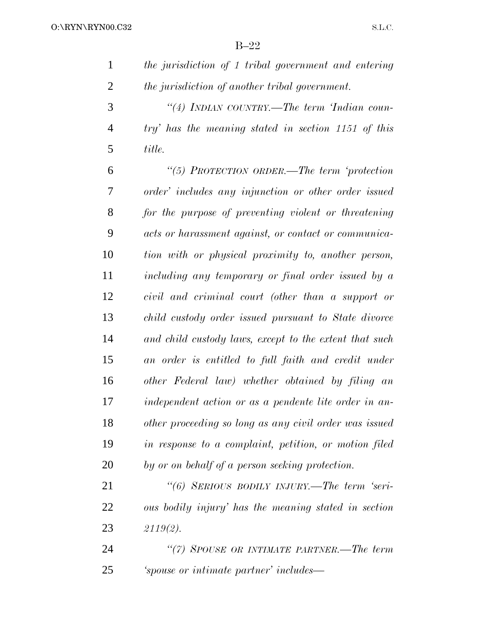| the jurisdiction of 1 tribal government and entering |
|------------------------------------------------------|
| the jurisdiction of another tribal government.       |

 *''(4) INDIAN COUNTRY.—The term 'Indian coun- try' has the meaning stated in section 1151 of this title.*

 *''(5) PROTECTION ORDER.—The term 'protection order' includes any injunction or other order issued for the purpose of preventing violent or threatening acts or harassment against, or contact or communica- tion with or physical proximity to, another person, including any temporary or final order issued by a civil and criminal court (other than a support or child custody order issued pursuant to State divorce and child custody laws, except to the extent that such an order is entitled to full faith and credit under other Federal law) whether obtained by filing an independent action or as a pendente lite order in an- other proceeding so long as any civil order was issued in response to a complaint, petition, or motion filed by or on behalf of a person seeking protection.*

 *''(6) SERIOUS BODILY INJURY.—The term 'seri- ous bodily injury' has the meaning stated in section 2119(2).*

 *''(7) SPOUSE OR INTIMATE PARTNER.—The term 'spouse or intimate partner' includes—*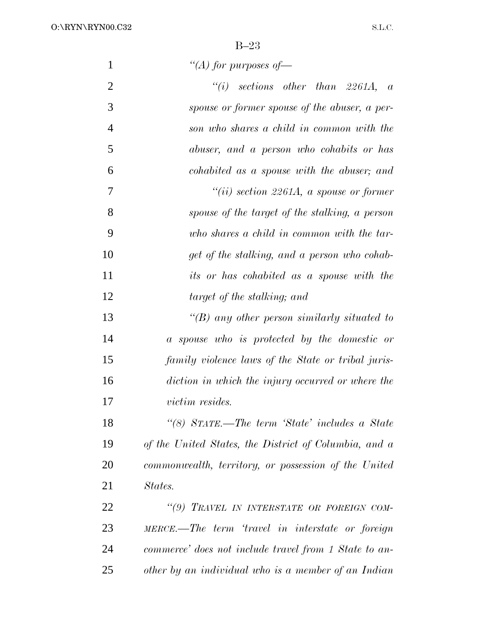O:\RYN\RYN00.C32

| $\mathbf{1}$   | "(A) for purposes of $-$                              |
|----------------|-------------------------------------------------------|
| $\overline{2}$ | $``(i)$ sections other than 2261A, a                  |
| 3              | spouse or former spouse of the abuser, a per-         |
| $\overline{4}$ | son who shares a child in common with the             |
| 5              | abuser, and a person who cohabits or has              |
| 6              | cohabited as a spouse with the abuser; and            |
| 7              | "(ii) section 2261A, a spouse or former               |
| 8              | spouse of the target of the stalking, a person        |
| 9              | who shares a child in common with the tar-            |
| 10             | get of the stalking, and a person who cohab-          |
| 11             | its or has cohabited as a spouse with the             |
| 12             | target of the stalking; and                           |
| 13             | "(B) any other person similarly situated to           |
| 14             | a spouse who is protected by the domestic or          |
| 15             | family violence laws of the State or tribal juris-    |
| 16             | diction in which the injury occurred or where the     |
| 17             | <i>victim resides.</i>                                |
| 18             | "(8) STATE.—The term 'State' includes a State         |
| 19             | of the United States, the District of Columbia, and a |
| 20             | commonwealth, territory, or possession of the United  |
| 21             | States.                                               |
| 22             | "(9) TRAVEL IN INTERSTATE OR FOREIGN COM-             |
| 23             | MERCE.—The term 'travel in interstate or foreign      |
| 24             | commerce' does not include travel from 1 State to an- |
| 25             | other by an individual who is a member of an Indian   |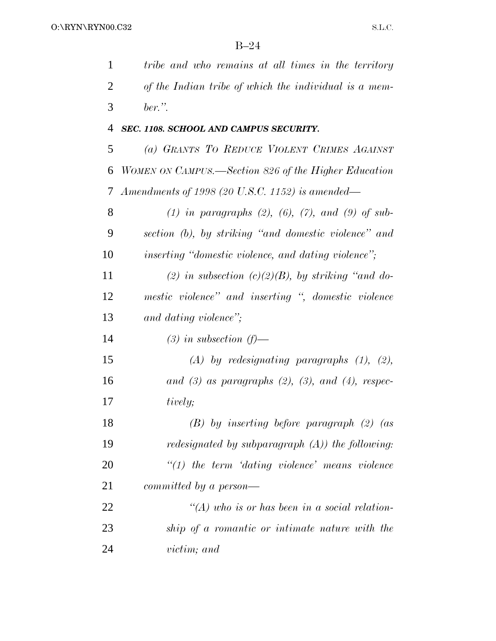| 1              | tribe and who remains at all times in the territory                         |
|----------------|-----------------------------------------------------------------------------|
| $\overline{2}$ | of the Indian tribe of which the individual is a mem-                       |
| 3              | $ber.$ ".                                                                   |
| $\overline{4}$ | SEC. 1108. SCHOOL AND CAMPUS SECURITY.                                      |
| 5              | (a) GRANTS TO REDUCE VIOLENT CRIMES AGAINST                                 |
| 6              | WOMEN ON CAMPUS.—Section 826 of the Higher Education                        |
| 7              | Amendments of 1998 (20 U.S.C. 1152) is amended—                             |
| 8              | (1) in paragraphs (2), (6), (7), and (9) of sub-                            |
| 9              | section (b), by striking "and domestic violence" and                        |
| 10             | <i>inserting</i> " <i>domestic violence</i> , and <i>dating violence</i> "; |
| 11             | (2) in subsection (c)(2)(B), by striking "and do-                           |
| 12             | mestic violence" and inserting ", domestic violence                         |
| 13             | and dating violence";                                                       |
| 14             | $(3)$ in subsection $(f)$ —                                                 |
| 15             | $(A)$ by redesignating paragraphs $(1)$ , $(2)$ ,                           |
| 16             | and $(3)$ as paragraphs $(2)$ , $(3)$ , and $(4)$ , respec-                 |
| 17             | tively;                                                                     |
| 18             | $(B)$ by inserting before paragraph $(2)$ (as                               |
| 19             | <i>redesignated by subparagraph</i> $(A)$ <i>) the following:</i>           |
| 20             | $\lq(1)$ the term 'dating violence' means violence                          |
| 21             | committed by a person—                                                      |
| 22             | $\lq (A)$ who is or has been in a social relation-                          |
| 23             | ship of a romantic or intimate nature with the                              |
| 24             | victim; and                                                                 |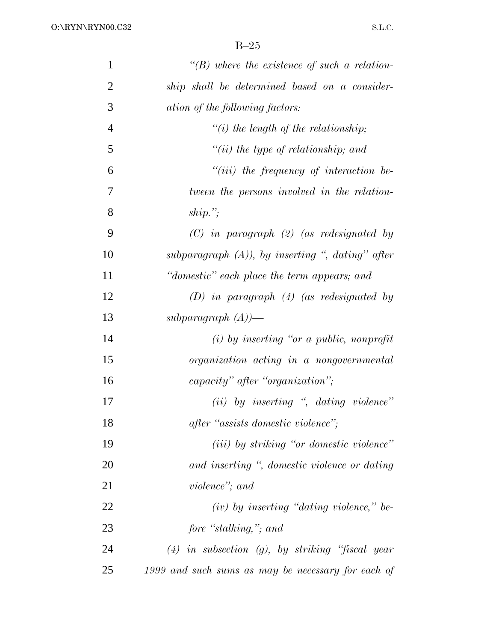| $\mathbf{1}$   | $\lq\lq(B)$ where the existence of such a relation-  |
|----------------|------------------------------------------------------|
| $\overline{2}$ | ship shall be determined based on a consider-        |
| 3              | ation of the following factors:                      |
| $\overline{4}$ | $"(i)$ the length of the relationship;               |
| 5              | $``(ii)$ the type of relationship; and               |
| 6              | $``(iii)$ the frequency of interaction be-           |
| 7              | tween the persons involved in the relation-          |
| 8              | ship.";                                              |
| 9              | $(C)$ in paragraph $(2)$ (as redesignated by         |
| 10             | subparagraph $(A)$ ), by inserting ", dating" after  |
| 11             | "domestic" each place the term appears; and          |
| 12             | $(D)$ in paragraph $(4)$ (as redesignated by         |
| 13             | subparagraph $(A)$ )—                                |
| 14             | $(i)$ by inserting "or a public, nonprofit           |
| 15             | organization acting in a nongovernmental             |
| 16             | capacity" after "organization";                      |
| 17             | $(ii)$ by inserting ", dating violence"              |
| 18             | after "assists domestic violence";                   |
| 19             | ( <i>iii</i> ) by striking "or domestic violence"    |
| 20             | and inserting ", domestic violence or dating         |
| 21             | violence"; and                                       |
| 22             | $(iv)$ by inserting "dating violence," be-           |
| 23             | fore "stalking,"; and                                |
| 24             | $(4)$ in subsection $(g)$ , by striking "fiscal year |
| 25             | 1999 and such sums as may be necessary for each of   |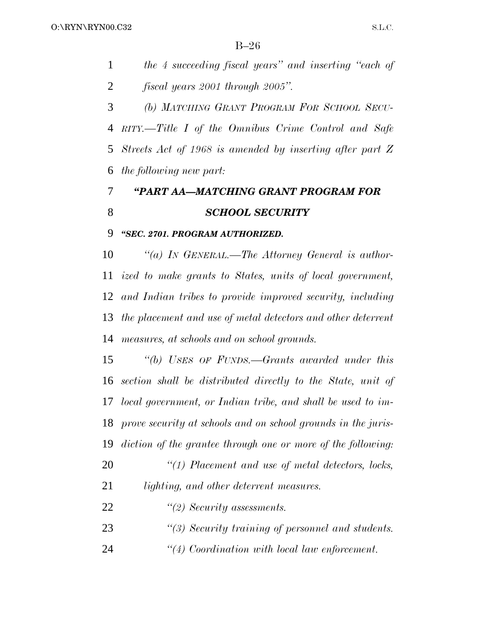|   | the 4 succeeding fiscal years" and inserting "each of |
|---|-------------------------------------------------------|
| 2 | fiscal years 2001 through 2005".                      |

 *(b) MATCHING GRANT PROGRAM FOR SCHOOL SECU- RITY.—Title I of the Omnibus Crime Control and Safe Streets Act of 1968 is amended by inserting after part Z the following new part:*

# *''PART AA—MATCHING GRANT PROGRAM FOR SCHOOL SECURITY*

### *''SEC. 2701. PROGRAM AUTHORIZED.*

 *''(a) IN GENERAL.—The Attorney General is author- ized to make grants to States, units of local government, and Indian tribes to provide improved security, including the placement and use of metal detectors and other deterrent measures, at schools and on school grounds.*

 *''(b) USES OF FUNDS.—Grants awarded under this section shall be distributed directly to the State, unit of local government, or Indian tribe, and shall be used to im- prove security at schools and on school grounds in the juris-diction of the grantee through one or more of the following:*

- *''(1) Placement and use of metal detectors, locks, lighting, and other deterrent measures.*
- *''(2) Security assessments.*
- *''(3) Security training of personnel and students.*
- *''(4) Coordination with local law enforcement.*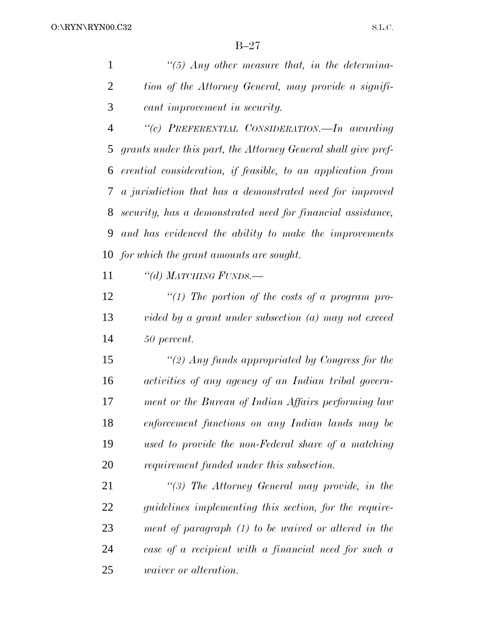*''(5) Any other measure that, in the determina- tion of the Attorney General, may provide a signifi-cant improvement in security.*

 *''(c) PREFERENTIAL CONSIDERATION.—In awarding grants under this part, the Attorney General shall give pref- erential consideration, if feasible, to an application from a jurisdiction that has a demonstrated need for improved security, has a demonstrated need for financial assistance, and has evidenced the ability to make the improvements for which the grant amounts are sought.*

*''(d) MATCHING FUNDS.—*

 *''(1) The portion of the costs of a program pro- vided by a grant under subsection (a) may not exceed 50 percent.*

 *''(2) Any funds appropriated by Congress for the activities of any agency of an Indian tribal govern- ment or the Bureau of Indian Affairs performing law enforcement functions on any Indian lands may be used to provide the non-Federal share of a matching requirement funded under this subsection.*

 *''(3) The Attorney General may provide, in the guidelines implementing this section, for the require- ment of paragraph (1) to be waived or altered in the case of a recipient with a financial need for such a waiver or alteration.*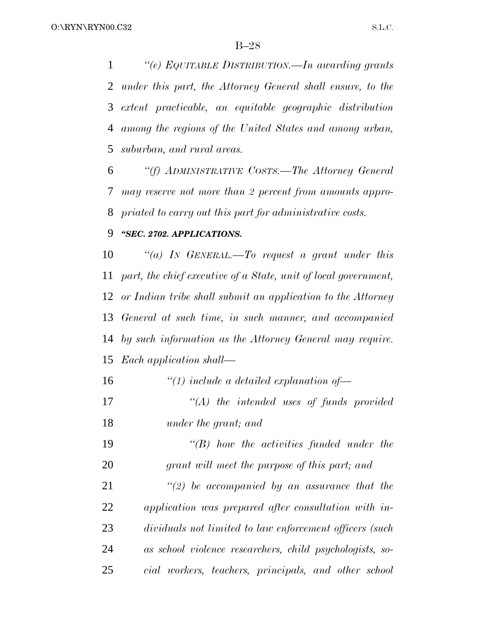*''(e) EQUITABLE DISTRIBUTION.—In awarding grants under this part, the Attorney General shall ensure, to the extent practicable, an equitable geographic distribution among the regions of the United States and among urban, suburban, and rural areas.*

 *''(f) ADMINISTRATIVE COSTS.—The Attorney General may reserve not more than 2 percent from amounts appro-priated to carry out this part for administrative costs.*

### *''SEC. 2702. APPLICATIONS.*

 *''(a) IN GENERAL.—To request a grant under this part, the chief executive of a State, unit of local government, or Indian tribe shall submit an application to the Attorney General at such time, in such manner, and accompanied by such information as the Attorney General may require. Each application shall—*

| 16 | $\lq(1)$ include a detailed explanation of               |
|----|----------------------------------------------------------|
| 17 | $\lq\lq (A)$ the intended uses of funds provided         |
| 18 | under the grant; and                                     |
| 19 | $\lq\lq B$ ) how the activities funded under the         |
| 20 | grant will meet the purpose of this part; and            |
| 21 | $\lq(2)$ be accompanied by an assurance that the         |
| 22 | application was prepared after consultation with in-     |
| 23 | dividuals not limited to law enforcement officers (such  |
| 24 | as school violence researchers, child psychologists, so- |
| 25 | cial workers, teachers, principals, and other school     |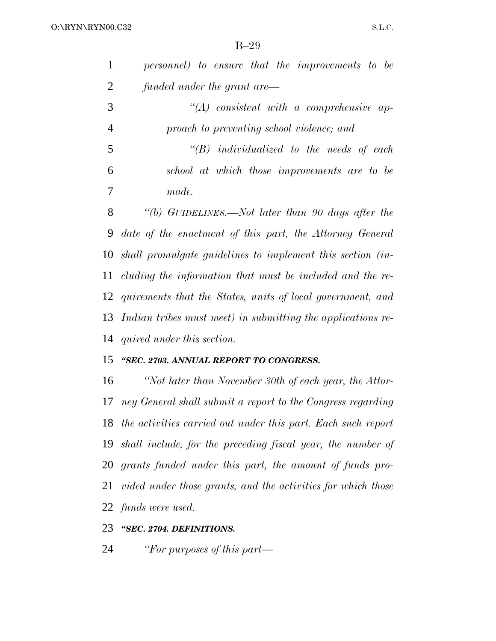| $\mathbf{1}$ | personnel) to ensure that the improvements to be |
|--------------|--------------------------------------------------|
| 2            | funded under the grant are—                      |
| 3            | $\lq\lq (A)$ consistent with a comprehensive ap- |

 *proach to preventing school violence; and ''(B) individualized to the needs of each*

 *school at which those improvements are to be made.*

 *''(b) GUIDELINES.—Not later than 90 days after the date of the enactment of this part, the Attorney General shall promulgate guidelines to implement this section (in- cluding the information that must be included and the re- quirements that the States, units of local government, and Indian tribes must meet) in submitting the applications re-quired under this section.*

### *''SEC. 2703. ANNUAL REPORT TO CONGRESS.*

 *''Not later than November 30th of each year, the Attor- ney General shall submit a report to the Congress regarding the activities carried out under this part. Each such report shall include, for the preceding fiscal year, the number of grants funded under this part, the amount of funds pro- vided under those grants, and the activities for which those funds were used.*

### *''SEC. 2704. DEFINITIONS.*

*''For purposes of this part—*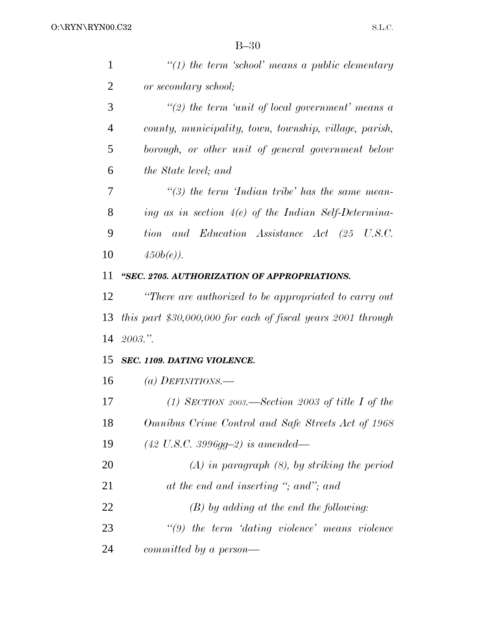| $\mathbf{1}$   | $\lq(1)$ the term 'school' means a public elementary         |
|----------------|--------------------------------------------------------------|
| 2              | or secondary school;                                         |
| 3              | "(2) the term 'unit of local government' means a             |
| $\overline{4}$ | county, municipality, town, township, village, parish,       |
| 5              | borough, or other unit of general government below           |
| 6              | the State level; and                                         |
| 7              | $\lq(3)$ the term 'Indian tribe' has the same mean-          |
| 8              | ing as in section $4(e)$ of the Indian Self-Determina-       |
| 9              | and Education Assistance Act (25 U.S.C.<br>tion              |
| 10             | $450b(e)$ ).                                                 |
| 11             | "SEC. 2705. AUTHORIZATION OF APPROPRIATIONS.                 |
| 12             | "There are authorized to be appropriated to carry out        |
|                |                                                              |
| 13             | this part \$30,000,000 for each of fiscal years 2001 through |
| 14             | 2003."                                                       |
| 15             | SEC. 1109. DATING VIOLENCE.                                  |
| 16             | (a) DEFINITIONS.—                                            |
| 17             | (1) SECTION 2003.—Section 2003 of title I of the             |
| 18             | Omnibus Crime Control and Safe Streets Act of 1968           |
| 19             | $(42 \text{ U.S.C. } 3996g - 2)$ is amended—                 |
| 20             | $(A)$ in paragraph $(8)$ , by striking the period            |
| 21             | at the end and inserting "; and"; and                        |
| 22             | $(B)$ by adding at the end the following:                    |
| 23             | $\lq(9)$ the term 'dating violence' means violence           |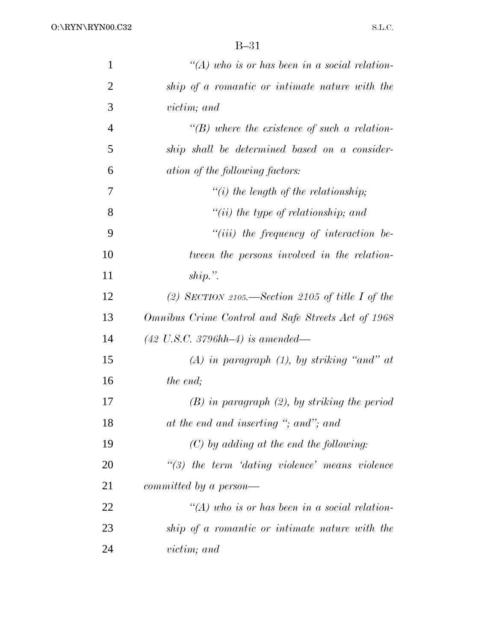| $\mathbf{1}$   | $\lq (A)$ who is or has been in a social relation-    |
|----------------|-------------------------------------------------------|
| $\overline{2}$ | ship of a romantic or intimate nature with the        |
| 3              | <i>victim</i> ; and                                   |
| $\overline{4}$ | $\lq\lq(B)$ where the existence of such a relation-   |
| 5              | ship shall be determined based on a consider-         |
| 6              | ation of the following factors:                       |
| $\overline{7}$ | $"(i)$ the length of the relationship;                |
| 8              | $``(ii)$ the type of relationship; and                |
| 9              | $``(iii)$ the frequency of interaction be-            |
| 10             | tween the persons involved in the relation-           |
| 11             | $ship.$ ".                                            |
| 12             | (2) SECTION 2105.—Section 2105 of title I of the      |
| 13             | Omnibus Crime Control and Safe Streets Act of 1968    |
| 14             | $(42 \text{ U.S.C. } 3796 \text{hh} - 4)$ is amended— |
| 15             | $(A)$ in paragraph $(1)$ , by striking "and" at       |
| 16             | the end;                                              |
| 17             | $(B)$ in paragraph $(2)$ , by striking the period     |
| 18             | at the end and inserting "; and"; and                 |
| 19             | $(C)$ by adding at the end the following:             |
| 20             | $\lq(3)$ the term 'dating violence' means violence    |
| 21             | committed by a person—                                |
| 22             | $\lq (A)$ who is or has been in a social relation-    |
| 23             | ship of a romantic or intimate nature with the        |
| 24             | <i>victim</i> ; and                                   |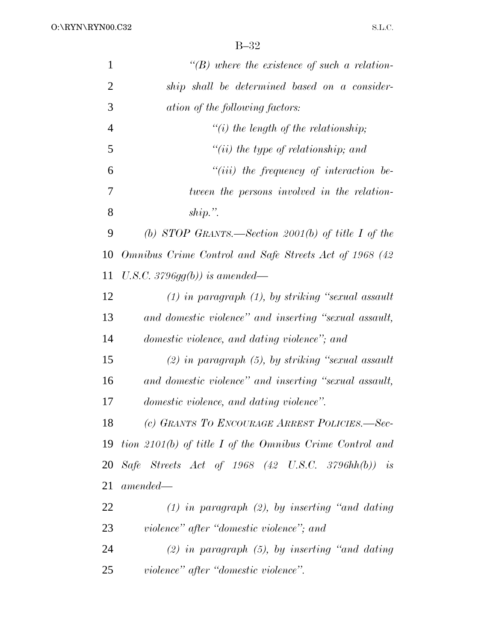| $\mathbf{1}$   | $\lq\lq(B)$ where the existence of such a relation-          |
|----------------|--------------------------------------------------------------|
| $\overline{2}$ | ship shall be determined based on a consider-                |
| 3              | ation of the following factors:                              |
| $\overline{4}$ | $\lq\lq(i)$ the length of the relationship;                  |
| 5              | $"(ii)$ the type of relationship; and                        |
| 6              | $"(iii)$ the frequency of interaction be-                    |
| 7              | tween the persons involved in the relation-                  |
| 8              | $ship.$ ".                                                   |
| 9              | (b) STOP GRANTS.—Section 2001(b) of title I of the           |
| 10             | Omnibus Crime Control and Safe Streets Act of 1968 (42       |
| 11             | U.S.C. $3796gg(b)$ ) is amended—                             |
| 12             | $(1)$ in paragraph $(1)$ , by striking "sexual assault"      |
| 13             | and domestic violence" and inserting "sexual assault,        |
| 14             | domestic violence, and dating violence"; and                 |
| 15             | $(2)$ in paragraph $(5)$ , by striking "sexual assault"      |
| 16             | and domestic violence" and inserting "sexual assault,        |
| 17             | domestic violence, and dating violence".                     |
| 18             | (c) GRANTS TO ENCOURAGE ARREST POLICIES.-Sec-                |
|                | 19 tion 2101(b) of title I of the Omnibus Crime Control and  |
| 20             | Safe Streets Act of 1968 $(42 \text{ U.S.C. } 3796hh(b))$ is |
| 21             | $amended-$                                                   |
| 22             | $(1)$ in paragraph $(2)$ , by inserting "and dating"         |
| 23             | violence" after "domestic violence"; and                     |
| 24             | $(2)$ in paragraph $(5)$ , by inserting "and dating          |
| 25             | violence" after "domestic violence".                         |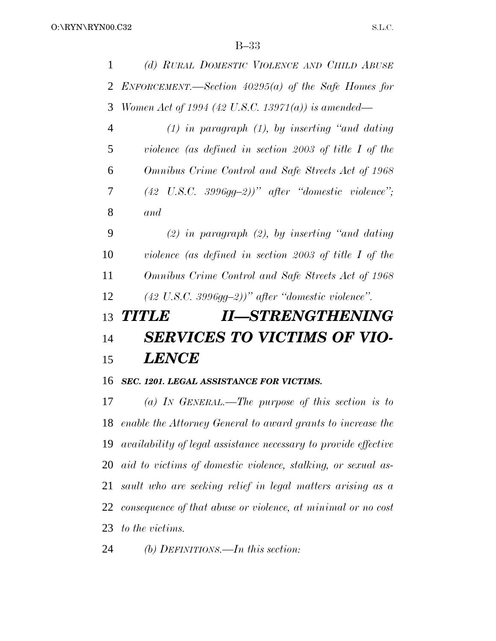| 1              | (d) RURAL DOMESTIC VIOLENCE AND CHILD ABUSE                  |
|----------------|--------------------------------------------------------------|
| 2              | ENFORCEMENT.—Section $40295(a)$ of the Safe Homes for        |
| 3              | Women Act of 1994 (42 U.S.C. 13971(a)) is amended—           |
| $\overline{4}$ | $(1)$ in paragraph $(1)$ , by inserting "and dating          |
| 5              | violence (as defined in section 2003 of title $I$ of the     |
| 6              | Omnibus Crime Control and Safe Streets Act of 1968           |
| 7              | $(42 \text{ U.S.C. } 3996g-2))$ " after "domestic violence"; |
| 8              | and                                                          |
| 9              | (2) in paragraph (2), by inserting "and dating               |
| 10             | violence (as defined in section 2003 of title $I$ of the     |
| 11             | Omnibus Crime Control and Safe Streets Act of 1968           |
| 12             | $(42 \text{ U.S.C. } 3996g-2)$ )" after "domestic violence". |
| 13             | <b>II—STRENGTHENING</b><br><b>TITLE</b>                      |
| 14             | <b>SERVICES TO VICTIMS OF VIO-</b>                           |
| 15             | <b>LENCE</b>                                                 |
| 16             | SEC. 1201. LEGAL ASSISTANCE FOR VICTIMS.                     |
| 17             | (a) IN GENERAL.—The purpose of this section is to            |
| 18             | enable the Attorney General to award grants to increase the  |
|                |                                                              |

 *availability of legal assistance necessary to provide effective aid to victims of domestic violence, stalking, or sexual as- sault who are seeking relief in legal matters arising as a consequence of that abuse or violence, at minimal or no cost to the victims.*

*(b) DEFINITIONS.—In this section:*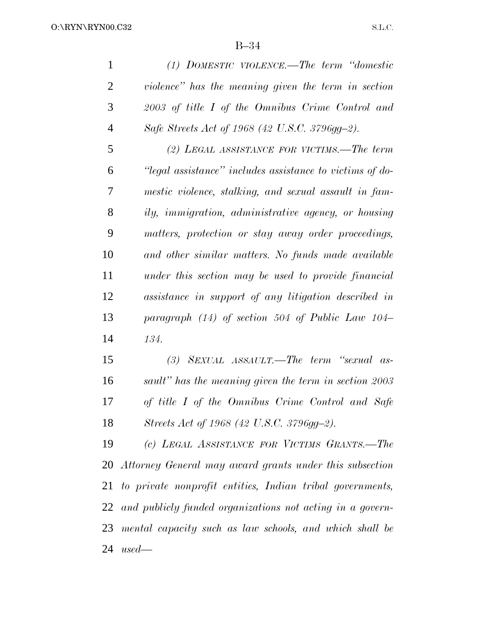*(1) DOMESTIC VIOLENCE.—The term ''domestic violence'' has the meaning given the term in section 2003 of title I of the Omnibus Crime Control and Safe Streets Act of 1968 (42 U.S.C. 3796gg–2). (2) LEGAL ASSISTANCE FOR VICTIMS.—The term ''legal assistance'' includes assistance to victims of do- mestic violence, stalking, and sexual assault in fam- ily, immigration, administrative agency, or housing matters, protection or stay away order proceedings, and other similar matters. No funds made available under this section may be used to provide financial assistance in support of any litigation described in paragraph (14) of section 504 of Public Law 104– 134. (3) SEXUAL ASSAULT.—The term ''sexual as- sault'' has the meaning given the term in section 2003 of title I of the Omnibus Crime Control and Safe Streets Act of 1968 (42 U.S.C. 3796gg–2). (c) LEGAL ASSISTANCE FOR VICTIMS GRANTS.—The*

 *Attorney General may award grants under this subsection to private nonprofit entities, Indian tribal governments, and publicly funded organizations not acting in a govern- mental capacity such as law schools, and which shall be used—*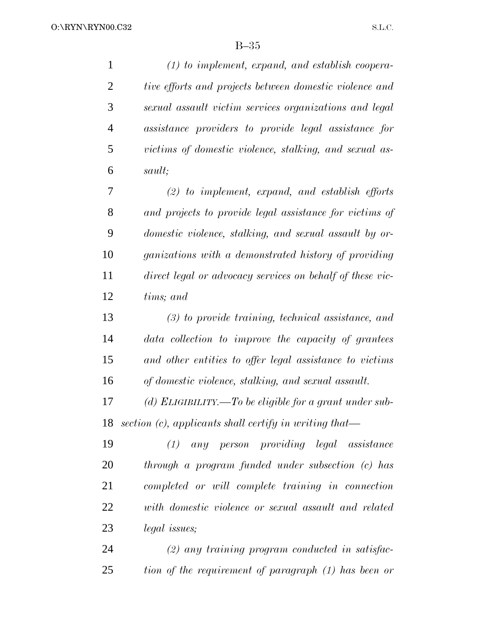| $\mathbf{1}$   | $(1)$ to implement, expand, and establish coopera-           |
|----------------|--------------------------------------------------------------|
| $\overline{2}$ | tive efforts and projects between domestic violence and      |
| 3              | sexual assault victim services organizations and legal       |
| $\overline{4}$ | assistance providers to provide legal assistance for         |
| 5              | victims of domestic violence, stalking, and sexual as-       |
| 6              | sault;                                                       |
| 7              | $(2)$ to implement, expand, and establish efforts            |
| 8              | and projects to provide legal assistance for victims of      |
| 9              | domestic violence, stalking, and sexual assault by or-       |
| 10             | ganizations with a demonstrated history of providing         |
| 11             | direct legal or advocacy services on behalf of these vic-    |
| 12             | tims; and                                                    |
| 13             | $(3)$ to provide training, technical assistance, and         |
| 14             | data collection to improve the capacity of grantees          |
| 15             | and other entities to offer legal assistance to victims      |
| 16             | of domestic violence, stalking, and sexual assault.          |
| 17             | (d) ELIGIBILITY.—To be eligible for a grant under sub-       |
| 18             | $section (c), applications shall certainly in writing that—$ |
| 19             | any person providing legal assistance<br>(1)                 |
| 20             | through a program funded under subsection (c) has            |
| 21             | completed or will complete training in connection            |
| 22             | with domestic violence or sexual assault and related         |
| 23             | <i>legal issues</i> ;                                        |
| 24             | $(2)$ any training program conducted in satisfac-            |
| 25             | tion of the requirement of paragraph (1) has been or         |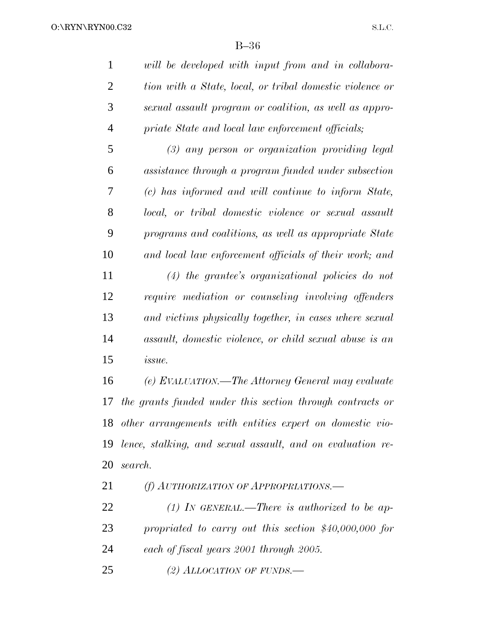*will be developed with input from and in collabora- tion with a State, local, or tribal domestic violence or sexual assault program or coalition, as well as appro-priate State and local law enforcement officials;*

 *(3) any person or organization providing legal assistance through a program funded under subsection (c) has informed and will continue to inform State, local, or tribal domestic violence or sexual assault programs and coalitions, as well as appropriate State and local law enforcement officials of their work; and*

 *(4) the grantee's organizational policies do not require mediation or counseling involving offenders and victims physically together, in cases where sexual assault, domestic violence, or child sexual abuse is an issue.*

 *(e) EVALUATION.—The Attorney General may evaluate the grants funded under this section through contracts or other arrangements with entities expert on domestic vio- lence, stalking, and sexual assault, and on evaluation re-search.*

*(f) AUTHORIZATION OF APPROPRIATIONS.—*

 *(1) IN GENERAL.—There is authorized to be ap- propriated to carry out this section \$40,000,000 for each of fiscal years 2001 through 2005.*

*(2) ALLOCATION OF FUNDS.—*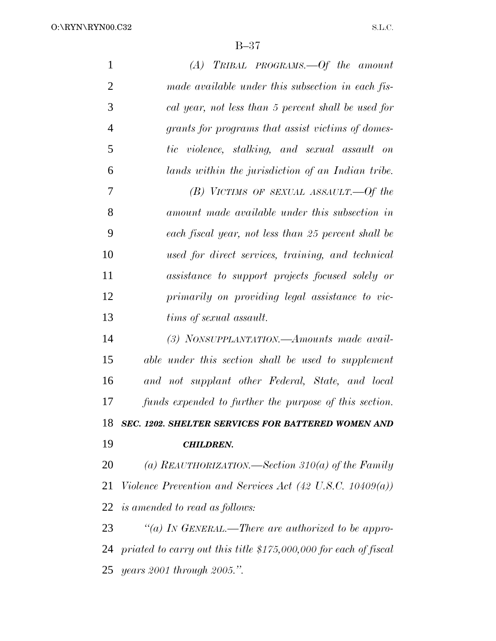O:\RYN\RYN00.C32

S.L.C.

| $\mathbf{1}$   | $(A)$ TRIBAL PROGRAMS. - Of the amount                               |
|----------------|----------------------------------------------------------------------|
| $\overline{2}$ | made available under this subsection in each fis-                    |
| 3              | cal year, not less than 5 percent shall be used for                  |
| $\overline{4}$ | grants for programs that assist victims of domes-                    |
| 5              | tic violence, stalking, and sexual assault on                        |
| 6              | lands within the jurisdiction of an Indian tribe.                    |
| 7              | $(B)$ VICTIMS OF SEXUAL ASSAULT. -- Of the                           |
| 8              | amount made available under this subsection in                       |
| 9              | each fiscal year, not less than 25 percent shall be                  |
| 10             | used for direct services, training, and technical                    |
| 11             | assistance to support projects focused solely or                     |
| 12             | primarily on providing legal assistance to vic-                      |
| 13             | tims of sexual assault.                                              |
| 14             | (3) NONSUPPLANTATION.—Amounts made avail-                            |
| 15             | able under this section shall be used to supplement                  |
| 16             | and not supplant other Federal, State, and local                     |
| 17             | funds expended to further the purpose of this section.               |
| 18             | SEC. 1202. SHELTER SERVICES FOR BATTERED WOMEN AND                   |
| 19             | <b>CHILDREN.</b>                                                     |
| 20             | (a) REAUTHORIZATION.—Section 310(a) of the Family                    |
| 21             | Violence Prevention and Services Act $(42 \text{ U.S.C. } 10409(a))$ |
| 22             | <i>is amended to read as follows:</i>                                |
| 23             | "(a) In GENERAL.—There are authorized to be appro-                   |
| 24             | priated to carry out this title $$175,000,000$ for each of fiscal    |
| 25             | years 2001 through 2005.".                                           |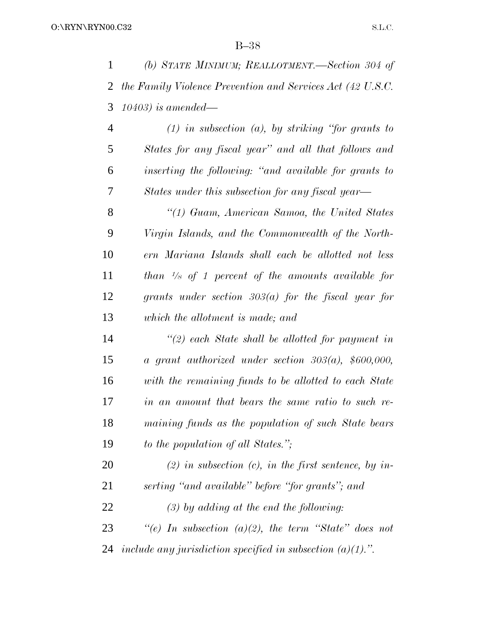|                | (b) STATE MINIMUM; REALLOTMENT.—Section 304 of               |
|----------------|--------------------------------------------------------------|
|                | 2 the Family Violence Prevention and Services Act (42 U.S.C. |
|                | 3 10403) is amended—                                         |
| $\overline{4}$ | $(1)$ in subsection $(a)$ , by striking "for grants to       |

 *States for any fiscal year'' and all that follows and inserting the following: ''and available for grants to States under this subsection for any fiscal year—*

 *''(1) Guam, American Samoa, the United States Virgin Islands, and the Commonwealth of the North- ern Mariana Islands shall each be allotted not less than <sup>1</sup>/8 of 1 percent of the amounts available for grants under section 303(a) for the fiscal year for which the allotment is made; and*

 *''(2) each State shall be allotted for payment in a grant authorized under section 303(a), \$600,000, with the remaining funds to be allotted to each State in an amount that bears the same ratio to such re- maining funds as the population of such State bears to the population of all States.'';*

 *(2) in subsection (c), in the first sentence, by in-serting ''and available'' before ''for grants''; and*

*(3) by adding at the end the following:*

 *''(e) In subsection (a)(2), the term ''State'' does not include any jurisdiction specified in subsection (a)(1).''.*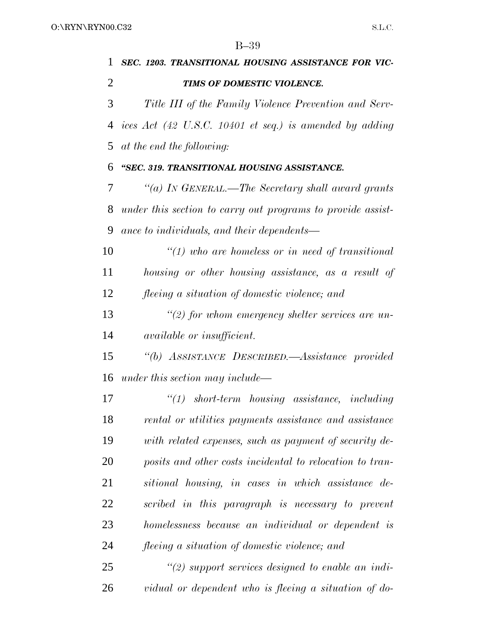| 1  | SEC. 1203. TRANSITIONAL HOUSING ASSISTANCE FOR VIC-                        |
|----|----------------------------------------------------------------------------|
| 2  | TIMS OF DOMESTIC VIOLENCE.                                                 |
| 3  | Title III of the Family Violence Prevention and Serv-                      |
| 4  | ices Act $(42 \text{ U.S.C. } 10401 \text{ et seq.})$ is amended by adding |
| 5  | at the end the following:                                                  |
| 6  | "SEC. 319. TRANSITIONAL HOUSING ASSISTANCE.                                |
| 7  | "(a) IN GENERAL.—The Secretary shall award grants                          |
| 8  | under this section to carry out programs to provide assist-                |
| 9  | ance to individuals, and their dependents—                                 |
| 10 | $\lq(1)$ who are homeless or in need of transitional                       |
| 11 | housing or other housing assistance, as a result of                        |
| 12 | <i>fleeing a situation of domestic violence; and</i>                       |
| 13 | $\lq(2)$ for whom emergency shelter services are un-                       |
| 14 | <i>available or insufficient.</i>                                          |
| 15 | "(b) ASSISTANCE DESCRIBED.—Assistance provided                             |
| 16 | under this section may include—                                            |
| 17 | $"(1)$ short-term housing assistance, including                            |
| 18 | rental or utilities payments assistance and assistance                     |
| 19 | with related expenses, such as payment of security de-                     |
| 20 | posits and other costs incidental to relocation to tran-                   |
| 21 | sitional housing, in cases in which assistance de-                         |
| 22 | scribed in this paragraph is necessary to prevent                          |
| 23 | homelessness because an individual or dependent is                         |
| 24 | <i>fleeing a situation of domestic violence; and</i>                       |
| 25 | $\lq(2)$ support services designed to enable an indi-                      |
| 26 | vidual or dependent who is fleeing a situation of do-                      |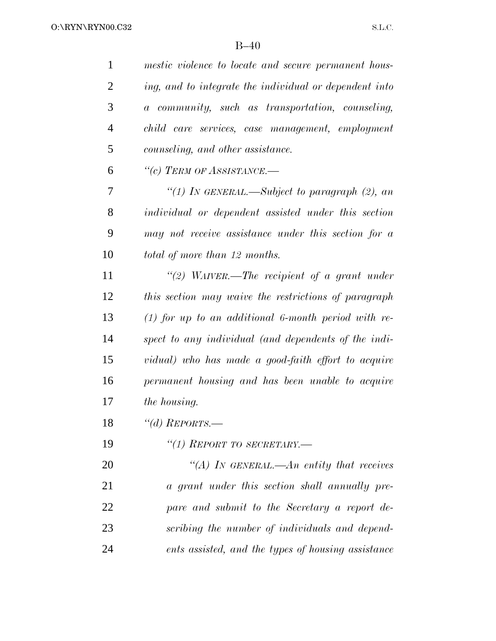| $\mathbf{1}$   | mestic violence to locate and secure permanent hous-   |
|----------------|--------------------------------------------------------|
| $\overline{2}$ | ing, and to integrate the individual or dependent into |
| 3              | a community, such as transportation, counseling,       |
| $\overline{4}$ | child care services, case management, employment       |
| 5              | counseling, and other assistance.                      |
| 6              | "(c) TERM OF ASSISTANCE.—                              |
| 7              | "(1) In GENERAL.—Subject to paragraph (2), an          |
| 8              | individual or dependent assisted under this section    |
| 9              | may not receive assistance under this section for a    |
| 10             | total of more than 12 months.                          |
| 11             | "(2) WAIVER.—The recipient of a grant under            |
| 12             | this section may waive the restrictions of paragraph   |
| 13             | $(1)$ for up to an additional 6-month period with re-  |
| 14             | spect to any individual (and dependents of the indi-   |
| 15             | vidual) who has made a good-faith effort to acquire    |
| 16             | permanent housing and has been unable to acquire       |
| 17             | <i>the housing.</i>                                    |
| 18             | "(d) REPORTS.-                                         |
| 19             | "(1) REPORT TO SECRETARY.-                             |
| 20             | "(A) IN GENERAL.—An entity that receives               |
| 21             | a grant under this section shall annually pre-         |
| 22             | pare and submit to the Secretary a report de-          |
| 23             | scribing the number of individuals and depend-         |
| 24             | ents assisted, and the types of housing assistance     |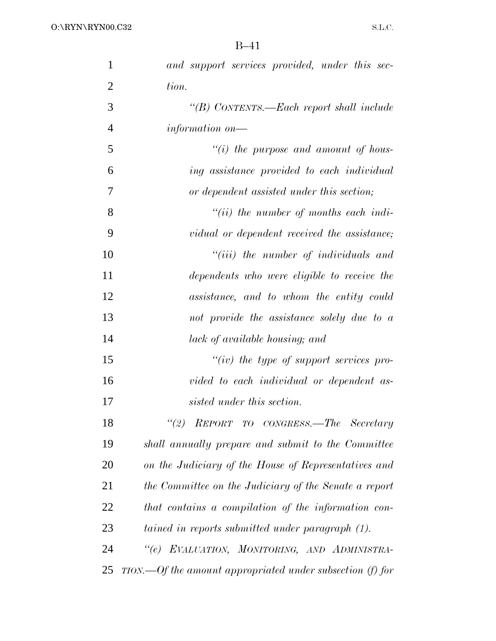| $\mathbf{1}$   | and support services provided, under this sec-              |
|----------------|-------------------------------------------------------------|
| $\overline{2}$ | tion.                                                       |
| 3              | "(B) CONTENTS.—Each report shall include                    |
| $\overline{4}$ | information on                                              |
| 5              | $``(i)$ the purpose and amount of hous-                     |
| 6              | ing assistance provided to each individual                  |
| 7              | or dependent assisted under this section;                   |
| 8              | $``(ii)$ the number of months each indi-                    |
| 9              | vidual or dependent received the assistance;                |
| 10             | $``(iii)$ the number of individuals and                     |
| 11             | dependents who were eligible to receive the                 |
| 12             | assistance, and to whom the entity could                    |
| 13             | not provide the assistance solely due to a                  |
| 14             | lack of available housing; and                              |
| 15             | $``(iv)$ the type of support services pro-                  |
| 16             | vided to each individual or dependent as-                   |
| 17             | sisted under this section.                                  |
| 18             | "(2) REPORT TO CONGRESS.—The Secretary                      |
| 19             | shall annually prepare and submit to the Committee          |
| 20             | on the Judiciary of the House of Representatives and        |
| 21             | the Committee on the Judiciary of the Senate a report       |
| 22             | that contains a compilation of the information con-         |
| 23             | tained in reports submitted under paragraph (1).            |
| 24             | "(e) EVALUATION, MONITORING, AND ADMINISTRA-                |
| 25             | $TION.$ Of the amount appropriated under subsection (f) for |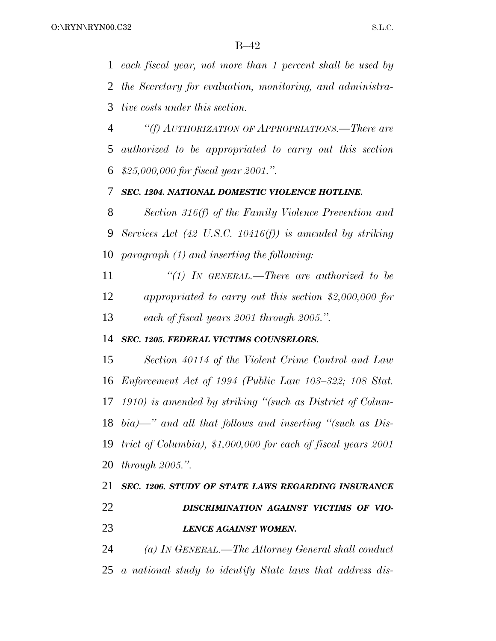*each fiscal year, not more than 1 percent shall be used by the Secretary for evaluation, monitoring, and administra-tive costs under this section.*

 *''(f) AUTHORIZATION OF APPROPRIATIONS.—There are authorized to be appropriated to carry out this section \$25,000,000 for fiscal year 2001.''.*

### *SEC. 1204. NATIONAL DOMESTIC VIOLENCE HOTLINE.*

 *Section 316(f) of the Family Violence Prevention and Services Act (42 U.S.C. 10416(f)) is amended by striking paragraph (1) and inserting the following:*

 *''(1) IN GENERAL.—There are authorized to be appropriated to carry out this section \$2,000,000 for each of fiscal years 2001 through 2005.''.*

### *SEC. 1205. FEDERAL VICTIMS COUNSELORS.*

 *Section 40114 of the Violent Crime Control and Law Enforcement Act of 1994 (Public Law 103–322; 108 Stat. 1910) is amended by striking ''(such as District of Colum- bia)—'' and all that follows and inserting ''(such as Dis- trict of Columbia), \$1,000,000 for each of fiscal years 2001 through 2005.''.*

```
21 SEC. 1206. STUDY OF STATE LAWS REGARDING INSURANCE
22 DISCRIMINATION AGAINST VICTIMS OF VIO-
23 LENCE AGAINST WOMEN.
```
 *(a) IN GENERAL.—The Attorney General shall conduct a national study to identify State laws that address dis-*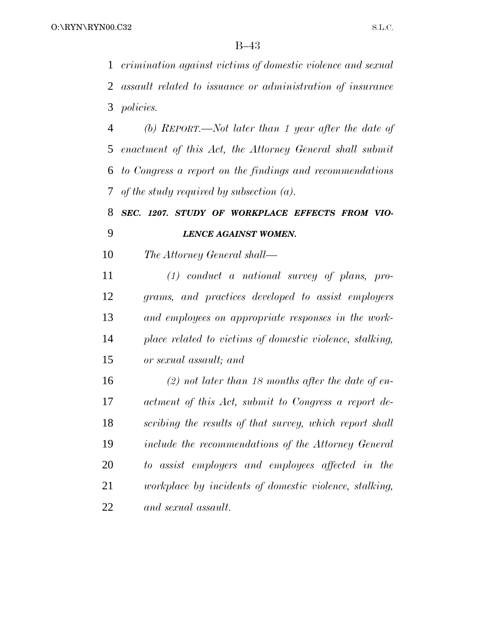*crimination against victims of domestic violence and sexual assault related to issuance or administration of insurance policies.*

 *(b) REPORT.—Not later than 1 year after the date of enactment of this Act, the Attorney General shall submit to Congress a report on the findings and recommendations of the study required by subsection (a).*

### *SEC. 1207. STUDY OF WORKPLACE EFFECTS FROM VIO-LENCE AGAINST WOMEN.*

*The Attorney General shall—*

 *(1) conduct a national survey of plans, pro- grams, and practices developed to assist employers and employees on appropriate responses in the work- place related to victims of domestic violence, stalking, or sexual assault; and*

 *(2) not later than 18 months after the date of en- actment of this Act, submit to Congress a report de- scribing the results of that survey, which report shall include the recommendations of the Attorney General to assist employers and employees affected in the workplace by incidents of domestic violence, stalking, and sexual assault.*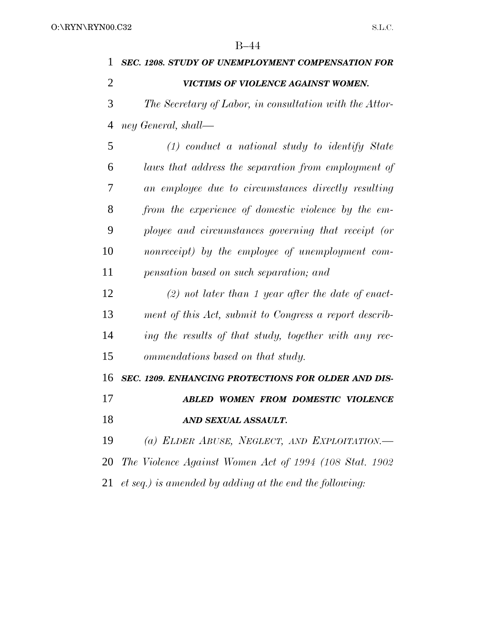| 1  | <b>SEC. 1208. STUDY OF UNEMPLOYMENT COMPENSATION FOR</b> |
|----|----------------------------------------------------------|
| 2  | VICTIMS OF VIOLENCE AGAINST WOMEN.                       |
| 3  | The Secretary of Labor, in consultation with the Attor-  |
| 4  | ney General, shall—                                      |
| 5  | $(1)$ conduct a national study to identify State         |
| 6  | laws that address the separation from employment of      |
| 7  | an employee due to circumstances directly resulting      |
| 8  | from the experience of domestic violence by the em-      |
| 9  | ployee and circumstances governing that receipt (or      |
| 10 | nonreceipt) by the employee of unemployment com-         |
| 11 | pensation based on such separation; and                  |
| 12 | $(2)$ not later than 1 year after the date of enact-     |
| 13 | ment of this Act, submit to Congress a report describ-   |
| 14 | ing the results of that study, together with any rec-    |
| 15 | ommendations based on that study.                        |
| 16 | SEC. 1209. ENHANCING PROTECTIONS FOR OLDER AND DIS-      |
| 17 | ABLED WOMEN FROM DOMESTIC VIOLENCE                       |
| 18 | AND SEXUAL ASSAULT.                                      |
| 19 | (a) ELDER ABUSE, NEGLECT, AND EXPLOITATION.              |
| 20 | The Violence Against Women Act of 1994 (108 Stat. 1902)  |
| 21 | et seq.) is amended by adding at the end the following:  |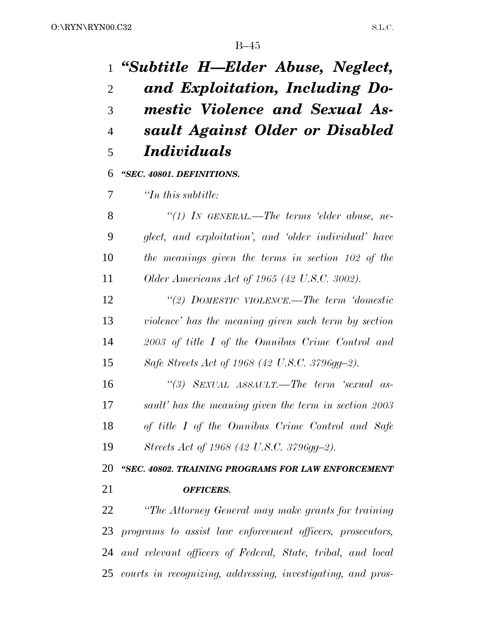*''Subtitle H—Elder Abuse, Neglect, and Exploitation, Including Do- mestic Violence and Sexual As- sault Against Older or Disabled Individuals ''SEC. 40801. DEFINITIONS. ''In this subtitle: ''(1) IN GENERAL.—The terms 'elder abuse, ne- glect, and exploitation', and 'older individual' have the meanings given the terms in section 102 of the Older Americans Act of 1965 (42 U.S.C. 3002). ''(2) DOMESTIC VIOLENCE.—The term 'domestic violence' has the meaning given such term by section 2003 of title I of the Omnibus Crime Control and Safe Streets Act of 1968 (42 U.S.C. 3796gg–2). ''(3) SEXUAL ASSAULT.—The term 'sexual as- sault' has the meaning given the term in section 2003 of title I of the Omnibus Crime Control and Safe Streets Act of 1968 (42 U.S.C. 3796gg–2).*

 *''SEC. 40802. TRAINING PROGRAMS FOR LAW ENFORCEMENT OFFICERS.*

 *''The Attorney General may make grants for training programs to assist law enforcement officers, prosecutors, and relevant officers of Federal, State, tribal, and local courts in recognizing, addressing, investigating, and pros-*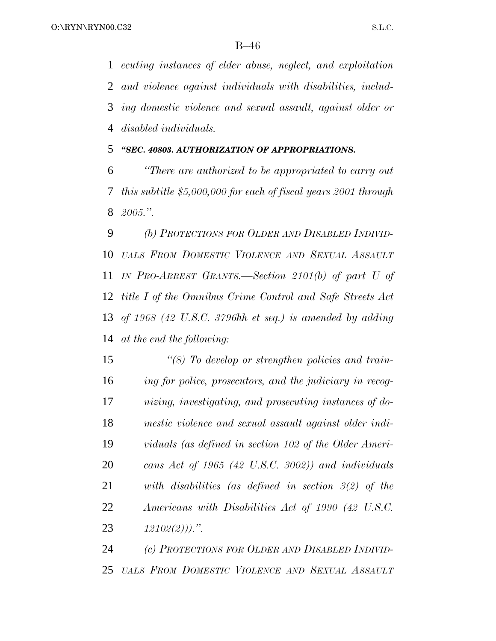*ecuting instances of elder abuse, neglect, and exploitation and violence against individuals with disabilities, includ- ing domestic violence and sexual assault, against older or disabled individuals.*

*''SEC. 40803. AUTHORIZATION OF APPROPRIATIONS.*

 *''There are authorized to be appropriated to carry out this subtitle \$5,000,000 for each of fiscal years 2001 through 2005.''.*

 *(b) PROTECTIONS FOR OLDER AND DISABLED INDIVID- UALS FROM DOMESTIC VIOLENCE AND SEXUAL ASSAULT IN PRO-ARREST GRANTS.—Section 2101(b) of part U of title I of the Omnibus Crime Control and Safe Streets Act of 1968 (42 U.S.C. 3796hh et seq.) is amended by adding at the end the following:*

 *''(8) To develop or strengthen policies and train- ing for police, prosecutors, and the judiciary in recog- nizing, investigating, and prosecuting instances of do- mestic violence and sexual assault against older indi- viduals (as defined in section 102 of the Older Ameri- cans Act of 1965 (42 U.S.C. 3002)) and individuals with disabilities (as defined in section 3(2) of the Americans with Disabilities Act of 1990 (42 U.S.C. 12102(2))).''.*

 *(c) PROTECTIONS FOR OLDER AND DISABLED INDIVID-UALS FROM DOMESTIC VIOLENCE AND SEXUAL ASSAULT*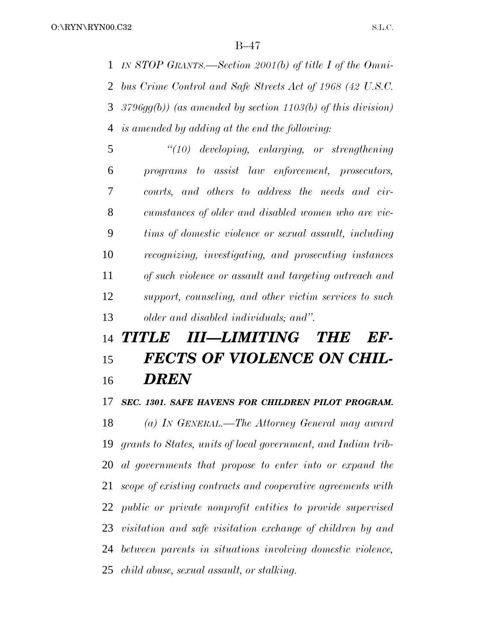*IN STOP GRANTS.—Section 2001(b) of title I of the Omni- bus Crime Control and Safe Streets Act of 1968 (42 U.S.C. 3796gg(b)) (as amended by section 1103(b) of this division) is amended by adding at the end the following:*

 *''(10) developing, enlarging, or strengthening programs to assist law enforcement, prosecutors, courts, and others to address the needs and cir- cumstances of older and disabled women who are vic- tims of domestic violence or sexual assault, including recognizing, investigating, and prosecuting instances of such violence or assault and targeting outreach and support, counseling, and other victim services to such older and disabled individuals; and''.*

# *TITLE III—LIMITING THE EF- FECTS OF VIOLENCE ON CHIL-DREN*

### *SEC. 1301. SAFE HAVENS FOR CHILDREN PILOT PROGRAM.*

 *(a) IN GENERAL.—The Attorney General may award grants to States, units of local government, and Indian trib- al governments that propose to enter into or expand the scope of existing contracts and cooperative agreements with public or private nonprofit entities to provide supervised visitation and safe visitation exchange of children by and between parents in situations involving domestic violence, child abuse, sexual assault, or stalking.*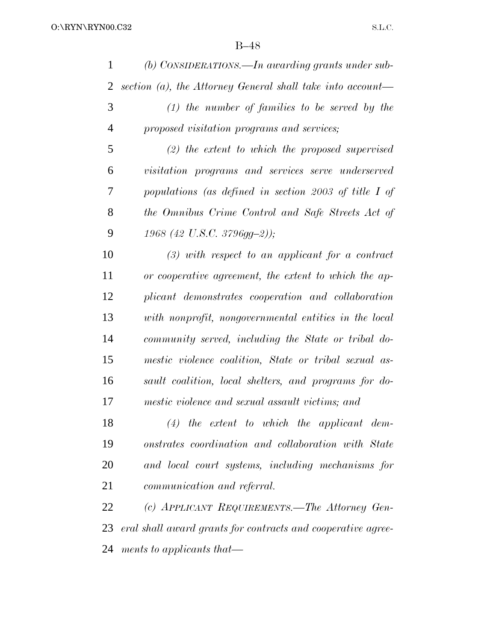| 1              | (b) CONSIDERATIONS.—In awarding grants under sub-             |
|----------------|---------------------------------------------------------------|
| $\overline{2}$ | section $(a)$ , the Attorney General shall take into account— |
| 3              | $(1)$ the number of families to be served by the              |
| $\overline{4}$ | proposed visitation programs and services;                    |
| 5              | $(2)$ the extent to which the proposed supervised             |
| 6              | visitation programs and services serve underserved            |
| 7              | populations (as defined in section 2003 of title I of         |
| 8              | the Omnibus Crime Control and Safe Streets Act of             |
| 9              | 1968 (42 U.S.C. 3796gg-2));                                   |
| 10             | $(3)$ with respect to an applicant for a contract             |
| 11             | or cooperative agreement, the extent to which the ap-         |
| 12             | plicant demonstrates cooperation and collaboration            |
| 13             | with nonprofit, nongovernmental entities in the local         |
| 14             | community served, including the State or tribal do-           |
| 15             | mestic violence coalition, State or tribal sexual as-         |
| 16             | sault coalition, local shelters, and programs for do-         |
| 17             | mestic violence and sexual assault victims; and               |
| 18             | $(4)$ the extent to which the applicant dem-                  |
| 19             | onstrates coordination and collaboration with State           |
| 20             | and local court systems, including mechanisms for             |
| 21             | communication and referral.                                   |
| 22             | (c) APPLICANT REQUIREMENTS.—The Attorney Gen-                 |
| 23             | eral shall award grants for contracts and cooperative agree-  |
|                |                                                               |

*ments to applicants that—*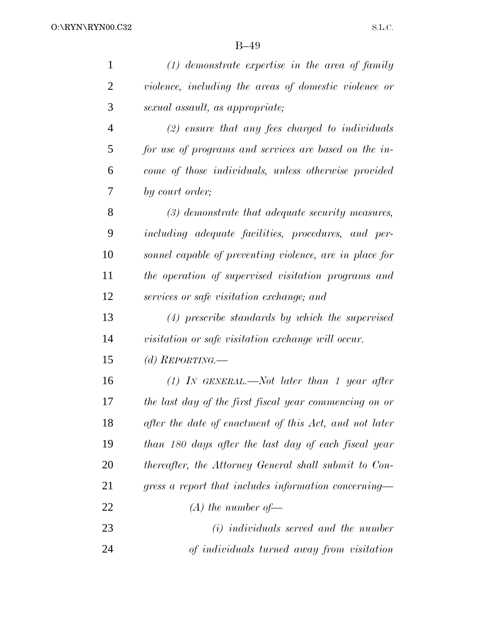| $\mathbf{1}$   | $(1)$ demonstrate expertise in the area of family       |
|----------------|---------------------------------------------------------|
| $\overline{2}$ | violence, including the areas of domestic violence or   |
| 3              | sexual assault, as appropriate;                         |
| $\overline{4}$ | $(2)$ ensure that any fees charged to individuals       |
| 5              | for use of programs and services are based on the in-   |
| 6              | come of those individuals, unless otherwise provided    |
| 7              | by court order;                                         |
| 8              | $(3)$ demonstrate that adequate security measures,      |
| 9              | including adequate facilities, procedures, and per-     |
| 10             | sonnel capable of preventing violence, are in place for |
| 11             | the operation of supervised visitation programs and     |
| 12             | services or safe visitation exchange; and               |
| 13             | $(4)$ prescribe standards by which the supervised       |
| 14             | visitation or safe visitation exchange will occur.      |
| 15             | (d) REPORTING.—                                         |
| 16             | $(1)$ IN GENERAL.—Not later than 1 year after           |
| 17             | the last day of the first fiscal year commencing on or  |
| 18             | after the date of enactment of this Act, and not later  |
| 19             | than 180 days after the last day of each fiscal year    |
| <b>20</b>      | thereafter, the Attorney General shall submit to Con-   |
| 21             | gress a report that includes information concerning—    |
| 22             | $(A)$ the number of —                                   |
| 23             | $(i)$ individuals served and the number                 |
| 24             | of individuals turned away from visitation              |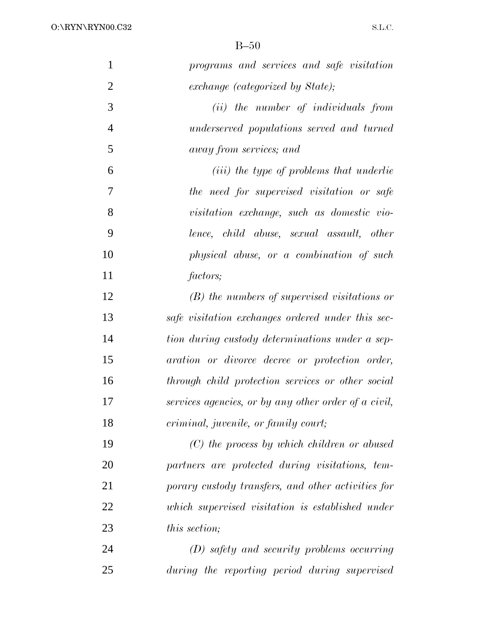| $\mathbf{1}$   | programs and services and safe visitation            |
|----------------|------------------------------------------------------|
| $\overline{2}$ | exchange (categorized by State);                     |
| 3              | (ii) the number of individuals from                  |
|                |                                                      |
| $\overline{4}$ | underserved populations served and turned            |
| 5              | away from services; and                              |
| 6              | ( <i>iii</i> ) the type of problems that underlie    |
| 7              | the need for supervised visitation or safe           |
| 8              | visitation exchange, such as domestic vio-           |
| 9              | lence, child abuse, sexual assault, other            |
| 10             | physical abuse, or a combination of such             |
| 11             | factors;                                             |
| 12             | $(B)$ the numbers of supervised visitations or       |
| 13             | safe visitation exchanges ordered under this sec-    |
| 14             | tion during custody determinations under a sep-      |
| 15             | aration or divorce decree or protection order,       |
| 16             | through child protection services or other social    |
| 17             | services agencies, or by any other order of a civil, |
| 18             | criminal, juvenile, or family court;                 |
| 19             | $(C)$ the process by which children or abused        |
| 20             | partners are protected during visitations, tem-      |
| 21             | porary custody transfers, and other activities for   |
| 22             | which supervised visitation is established under     |
| 23             | <i>this section;</i>                                 |
| 24             | (D) safety and security problems occurring           |
| 25             | during the reporting period during supervised        |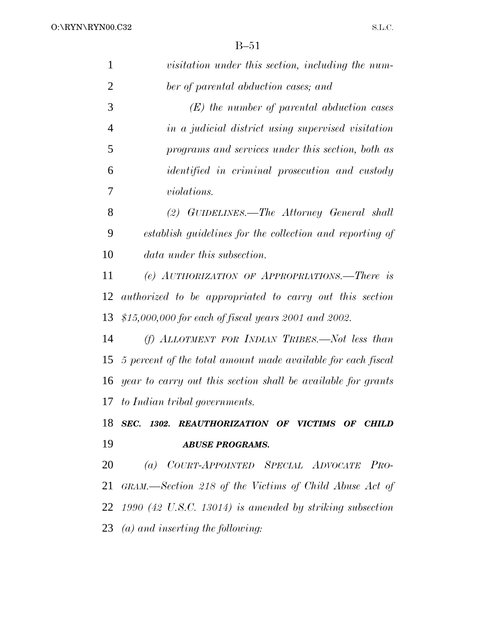| $\mathbf{1}$   | visitation under this section, including the num-             |
|----------------|---------------------------------------------------------------|
| $\overline{2}$ | ber of parental abduction cases; and                          |
| 3              | $(E)$ the number of parental abduction cases                  |
| $\overline{4}$ | in a judicial district using supervised visitation            |
| 5              | programs and services under this section, both as             |
| 6              | identified in criminal prosecution and custody                |
| 7              | <i>violations.</i>                                            |
| 8              | (2) GUIDELINES.—The Attorney General shall                    |
| 9              | establish guidelines for the collection and reporting of      |
| 10             | <i>data under this subsection.</i>                            |
| 11             | (e) AUTHORIZATION OF APPROPRIATIONS.—There is                 |
| 12             | authorized to be appropriated to carry out this section       |
| 13             | $$15,000,000$ for each of fiscal years 2001 and 2002.         |
| 14             | $(f)$ ALLOTMENT FOR INDIAN TRIBES.—Not less than              |
| 15             | 5 percent of the total amount made available for each fiscal  |
| 16             | year to carry out this section shall be available for grants  |
| 17             | to Indian tribal governments.                                 |
| 18             | SEC. 1302. REAUTHORIZATION OF VICTIMS OF CHILD                |
| 19             | <b>ABUSE PROGRAMS.</b>                                        |
| 20             | (a) COURT-APPOINTED SPECIAL ADVOCATE PRO-                     |
| 21             | GRAM.—Section 218 of the Victims of Child Abuse Act of        |
|                | 22 $1990$ (42 U.S.C. 13014) is amended by striking subsection |
|                | 23 $(a)$ and inserting the following:                         |
|                |                                                               |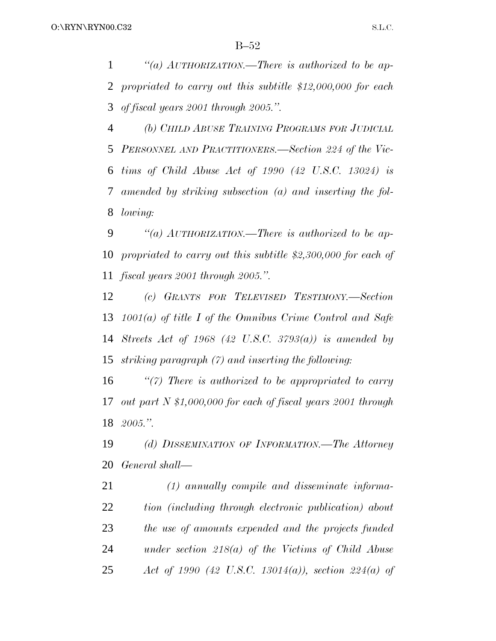*''(a) AUTHORIZATION.—There is authorized to be ap- propriated to carry out this subtitle \$12,000,000 for each of fiscal years 2001 through 2005.''.*

 *(b) CHILD ABUSE TRAINING PROGRAMS FOR JUDICIAL PERSONNEL AND PRACTITIONERS.—Section 224 of the Vic- tims of Child Abuse Act of 1990 (42 U.S.C. 13024) is amended by striking subsection (a) and inserting the fol-lowing:*

 *''(a) AUTHORIZATION.—There is authorized to be ap- propriated to carry out this subtitle \$2,300,000 for each of fiscal years 2001 through 2005.''.*

 *(c) GRANTS FOR TELEVISED TESTIMONY.—Section 1001(a) of title I of the Omnibus Crime Control and Safe Streets Act of 1968 (42 U.S.C. 3793(a)) is amended by striking paragraph (7) and inserting the following:*

 *''(7) There is authorized to be appropriated to carry out part N \$1,000,000 for each of fiscal years 2001 through 2005.''.*

 *(d) DISSEMINATION OF INFORMATION.—The Attorney General shall—*

 *(1) annually compile and disseminate informa- tion (including through electronic publication) about the use of amounts expended and the projects funded under section 218(a) of the Victims of Child Abuse Act of 1990 (42 U.S.C. 13014(a)), section 224(a) of*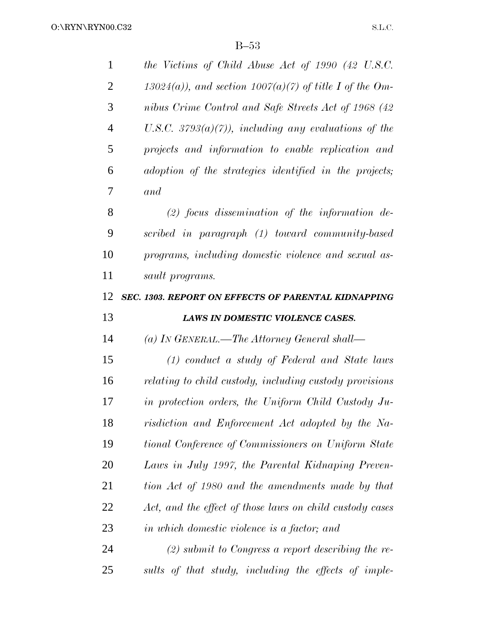| $\mathbf{1}$   | the Victims of Child Abuse Act of 1990 (42 U.S.C.           |
|----------------|-------------------------------------------------------------|
| 2              | $13024(a)$ , and section $1007(a)(7)$ of title I of the Om- |
| 3              | nibus Crime Control and Safe Streets Act of 1968 (42        |
| $\overline{4}$ | U.S.C. $3793(a)(7)$ ), including any evaluations of the     |
| 5              | projects and information to enable replication and          |
| 6              | adoption of the strategies identified in the projects;      |
| 7              | and                                                         |
| 8              | $(2)$ focus dissemination of the information de-            |
| 9              | scribed in paragraph (1) toward community-based             |
| 10             | programs, including domestic violence and sexual as-        |
| 11             | sault programs.                                             |
| 12             | SEC. 1303. REPORT ON EFFECTS OF PARENTAL KIDNAPPING         |
| 13             | LAWS IN DOMESTIC VIOLENCE CASES.                            |
|                |                                                             |
| 14             | (a) IN GENERAL.—The Attorney General shall—                 |
| 15             | $(1)$ conduct a study of Federal and State laws             |
| 16             | relating to child custody, including custody provisions     |
| 17             | in protection orders, the Uniform Child Custody Ju-         |
| 18             | risdiction and Enforcement Act adopted by the Na-           |
| 19             | tional Conference of Commissioners on Uniform State         |
| 20             | Laws in July 1997, the Parental Kidnaping Preven-           |
| 21             | tion Act of 1980 and the amendments made by that            |
| 22             | Act, and the effect of those laws on child custody cases    |
| 23             | in which domestic violence is a factor; and                 |
| 24             | $(2)$ submit to Congress a report describing the re-        |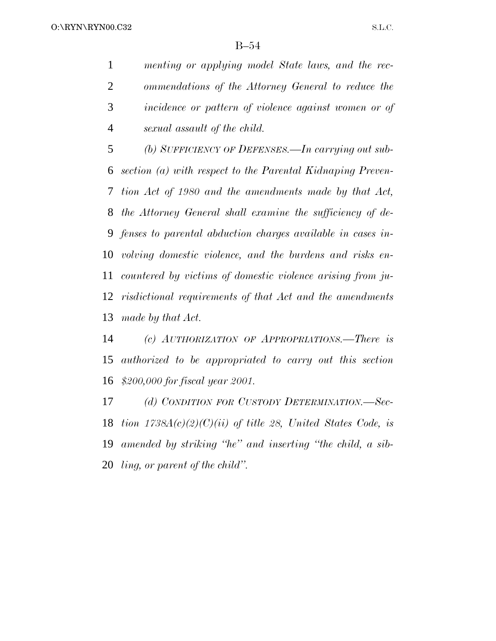*menting or applying model State laws, and the rec- ommendations of the Attorney General to reduce the incidence or pattern of violence against women or of sexual assault of the child.*

 *(b) SUFFICIENCY OF DEFENSES.—In carrying out sub- section (a) with respect to the Parental Kidnaping Preven- tion Act of 1980 and the amendments made by that Act, the Attorney General shall examine the sufficiency of de- fenses to parental abduction charges available in cases in- volving domestic violence, and the burdens and risks en- countered by victims of domestic violence arising from ju- risdictional requirements of that Act and the amendments made by that Act.*

 *(c) AUTHORIZATION OF APPROPRIATIONS.—There is authorized to be appropriated to carry out this section \$200,000 for fiscal year 2001.*

 *(d) CONDITION FOR CUSTODY DETERMINATION.—Sec- tion 1738A(c)(2)(C)(ii) of title 28, United States Code, is amended by striking ''he'' and inserting ''the child, a sib-ling, or parent of the child''.*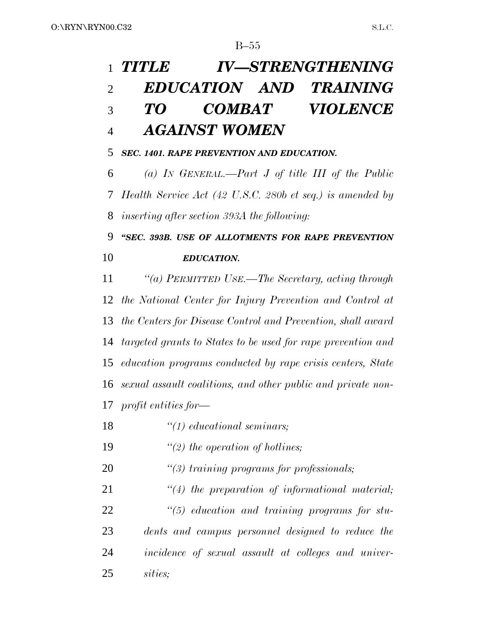# *TITLE IV—STRENGTHENING EDUCATION AND TRAINING TO COMBAT VIOLENCE AGAINST WOMEN*

### *SEC. 1401. RAPE PREVENTION AND EDUCATION.*

 *(a) IN GENERAL.—Part J of title III of the Public Health Service Act (42 U.S.C. 280b et seq.) is amended by inserting after section 393A the following:*

 *''SEC. 393B. USE OF ALLOTMENTS FOR RAPE PREVENTION EDUCATION.*

 *''(a) PERMITTED USE.—The Secretary, acting through the National Center for Injury Prevention and Control at the Centers for Disease Control and Prevention, shall award targeted grants to States to be used for rape prevention and education programs conducted by rape crisis centers, State sexual assault coalitions, and other public and private non-profit entities for—*

- *''(1) educational seminars;*
- *''(2) the operation of hotlines;*
- *''(3) training programs for professionals;*

 *''(4) the preparation of informational material; ''(5) education and training programs for stu- dents and campus personnel designed to reduce the incidence of sexual assault at colleges and univer-sities;*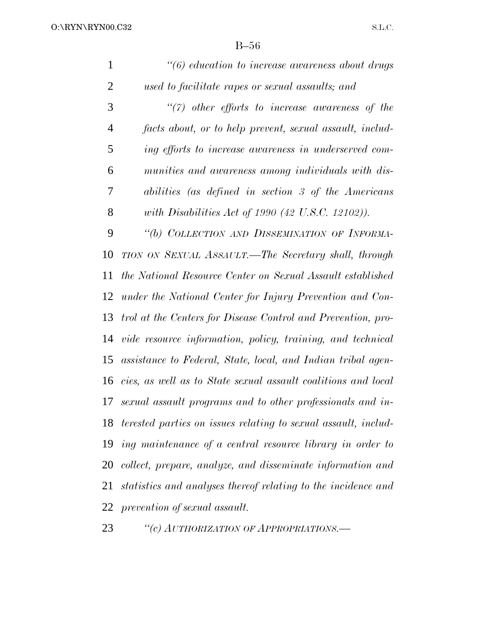| 1              | $\degree$ (6) education to increase awareness about drugs         |
|----------------|-------------------------------------------------------------------|
| $\overline{2}$ | used to facilitate rapes or sexual assaults; and                  |
| 3              | $\lq(7)$ other efforts to increase awareness of the               |
| $\overline{4}$ | facts about, or to help prevent, sexual assault, includ-          |
| 5              | ing efforts to increase awareness in underserved com-             |
| 6              | munities and awareness among individuals with dis-                |
| 7              | abilities (as defined in section 3 of the Americans               |
| 8              | with Disabilities Act of 1990 (42 U.S.C. 12102)).                 |
| 9              | "(b) COLLECTION AND DISSEMINATION OF INFORMA-                     |
| 10             | TION ON SEXUAL ASSAULT.—The Secretary shall, through              |
| 11             | the National Resource Center on Sexual Assault established        |
| 12             | under the National Center for Injury Prevention and Con-          |
| 13             | trol at the Centers for Disease Control and Prevention, pro-      |
| 14             | vide resource information, policy, training, and technical        |
| 15             | assistance to Federal, State, local, and Indian tribal agen-      |
| 16             | cies, as well as to State sexual assault coalitions and local     |
| 17             | sexual assault programs and to other professionals and in-        |
|                | 18 terested parties on issues relating to sexual assault, includ- |
| 19             | ing maintenance of a central resource library in order to         |
| 20             | collect, prepare, analyze, and disseminate information and        |
| 21             | statistics and analyses thereof relating to the incidence and     |
|                | 22 prevention of sexual assault.                                  |
|                |                                                                   |

*''(c) AUTHORIZATION OF APPROPRIATIONS.—*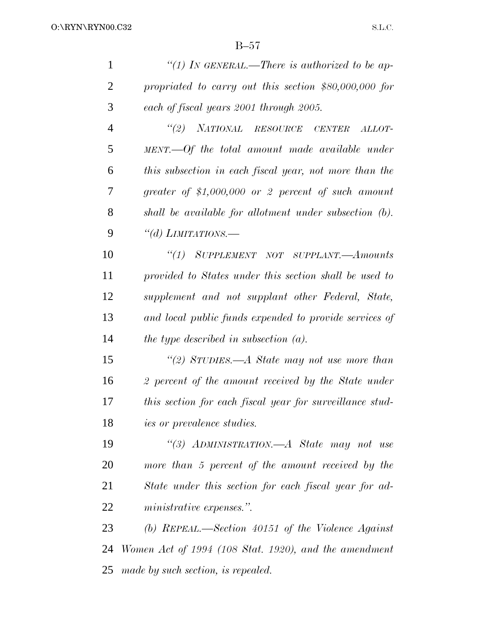| $\mathbf{1}$   | "(1) In GENERAL.—There is authorized to be ap-           |
|----------------|----------------------------------------------------------|
| $\overline{2}$ | propriated to carry out this section $$80,000,000$ for   |
| 3              | each of fiscal years 2001 through 2005.                  |
| $\overline{4}$ | "(2) NATIONAL RESOURCE CENTER<br>ALLOT-                  |
| 5              | MENT.—Of the total amount made available under           |
| 6              | this subsection in each fiscal year, not more than the   |
| 7              | greater of $$1,000,000$ or 2 percent of such amount      |
| 8              | shall be available for allotment under subsection (b).   |
| 9              | "(d) LIMITATIONS.—                                       |
| 10             | "(1) SUPPLEMENT NOT SUPPLANT.—Amounts                    |
| 11             | provided to States under this section shall be used to   |
| 12             | supplement and not supplant other Federal, State,        |
| 13             | and local public funds expended to provide services of   |
| 14             | the type described in subsection $(a)$ .                 |
| 15             | "(2) STUDIES.—A State may not use more than              |
| 16             | 2 percent of the amount received by the State under      |
| 17             | this section for each fiscal year for surveillance stud- |
| 18             | <i>ies or prevalence studies.</i>                        |
| 19             | "(3) ADMINISTRATION.—A State may not use                 |
| 20             | more than 5 percent of the amount received by the        |
| 21             | State under this section for each fiscal year for ad-    |
| 22             | ministrative expenses.".                                 |
| 23             | (b) REPEAL.—Section $40151$ of the Violence Against      |
| 24             | Women Act of 1994 (108 Stat. 1920), and the amendment    |
| 25             | made by such section, is repealed.                       |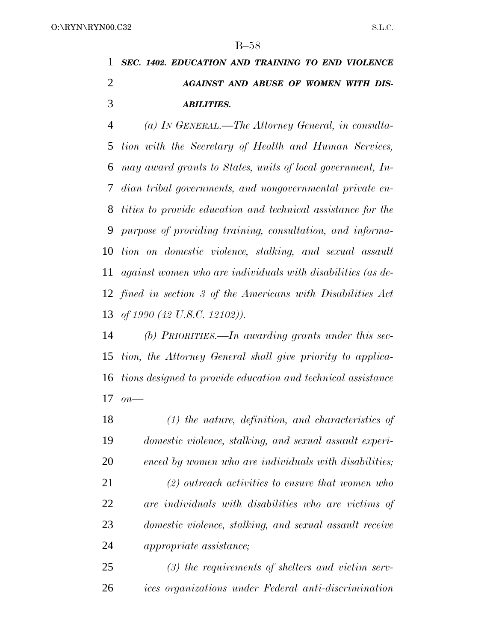*SEC. 1402. EDUCATION AND TRAINING TO END VIOLENCE AGAINST AND ABUSE OF WOMEN WITH DIS-ABILITIES.*

 *(a) IN GENERAL.—The Attorney General, in consulta- tion with the Secretary of Health and Human Services, may award grants to States, units of local government, In- dian tribal governments, and nongovernmental private en- tities to provide education and technical assistance for the purpose of providing training, consultation, and informa- tion on domestic violence, stalking, and sexual assault against women who are individuals with disabilities (as de- fined in section 3 of the Americans with Disabilities Act of 1990 (42 U.S.C. 12102)).*

 *(b) PRIORITIES.—In awarding grants under this sec- tion, the Attorney General shall give priority to applica- tions designed to provide education and technical assistance on—*

 *(1) the nature, definition, and characteristics of domestic violence, stalking, and sexual assault experi- enced by women who are individuals with disabilities; (2) outreach activities to ensure that women who are individuals with disabilities who are victims of domestic violence, stalking, and sexual assault receive appropriate assistance;*

 *(3) the requirements of shelters and victim serv-ices organizations under Federal anti-discrimination*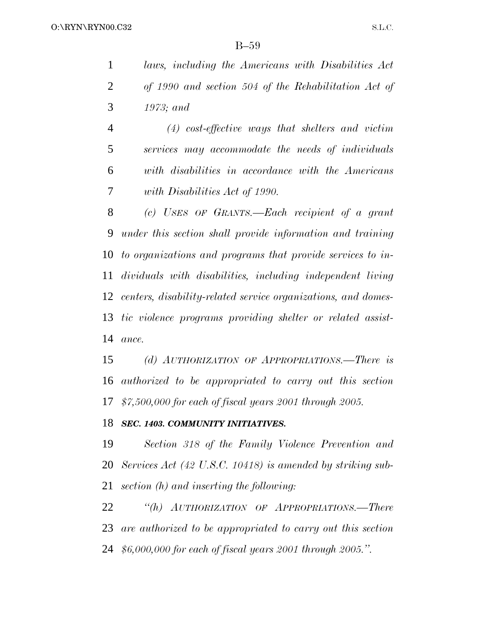*laws, including the Americans with Disabilities Act of 1990 and section 504 of the Rehabilitation Act of 1973; and*

 *(4) cost-effective ways that shelters and victim services may accommodate the needs of individuals with disabilities in accordance with the Americans with Disabilities Act of 1990.*

 *(c) USES OF GRANTS.—Each recipient of a grant under this section shall provide information and training to organizations and programs that provide services to in- dividuals with disabilities, including independent living centers, disability-related service organizations, and domes- tic violence programs providing shelter or related assist-ance.*

 *(d) AUTHORIZATION OF APPROPRIATIONS.—There is authorized to be appropriated to carry out this section \$7,500,000 for each of fiscal years 2001 through 2005.*

### *SEC. 1403. COMMUNITY INITIATIVES.*

 *Section 318 of the Family Violence Prevention and Services Act (42 U.S.C. 10418) is amended by striking sub-section (h) and inserting the following:*

 *''(h) AUTHORIZATION OF APPROPRIATIONS.—There are authorized to be appropriated to carry out this section \$6,000,000 for each of fiscal years 2001 through 2005.''.*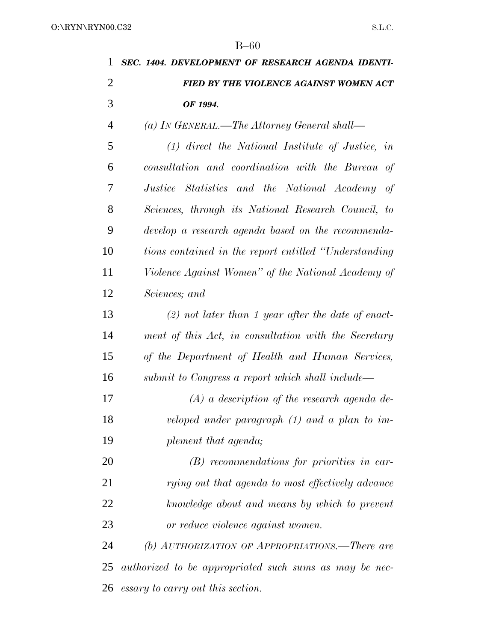| 1              | SEC. 1404. DEVELOPMENT OF RESEARCH AGENDA IDENTI-      |
|----------------|--------------------------------------------------------|
| $\overline{2}$ | FIED BY THE VIOLENCE AGAINST WOMEN ACT                 |
| 3              | OF 1994.                                               |
| $\overline{4}$ | (a) In GENERAL.—The Attorney General shall—            |
| 5              | $(1)$ direct the National Institute of Justice, in     |
| 6              | consultation and coordination with the Bureau of       |
| 7              | Justice Statistics and the National Academy of         |
| 8              | Sciences, through its National Research Council, to    |
| 9              | develop a research agenda based on the recommenda-     |
| 10             | tions contained in the report entitled "Understanding" |
| 11             | Violence Against Women" of the National Academy of     |
| 12             | Sciences; and                                          |
| 13             | $(2)$ not later than 1 year after the date of enact-   |
| 14             | ment of this Act, in consultation with the Secretary   |
| 15             | of the Department of Health and Human Services,        |
| 16             | submit to Congress a report which shall include—       |
| 17             | $(A)$ a description of the research agenda de-         |
| 18             | veloped under paragraph $(1)$ and a plan to im-        |
| 19             | plement that agenda;                                   |
| 20             | $(B)$ recommendations for priorities in car-           |
| 21             | rying out that agenda to most effectively advance      |
| 22             | knowledge about and means by which to prevent          |
| 23             | or reduce violence against women.                      |
| 24             | (b) AUTHORIZATION OF APPROPRIATIONS.—There are         |
| 25             | authorized to be appropriated such sums as may be nec- |
| 26             | essary to carry out this section.                      |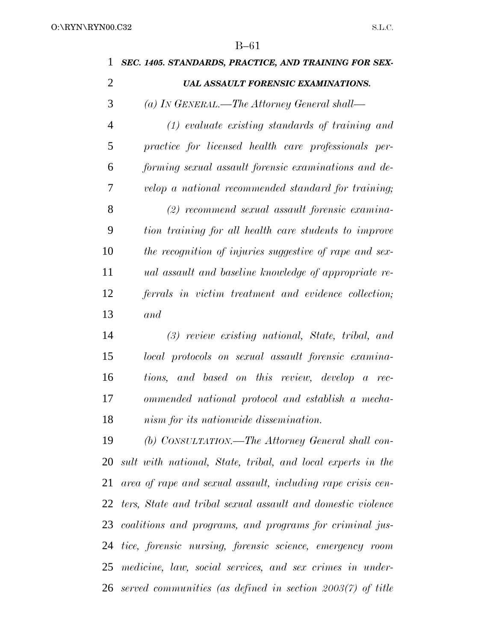| 1              | SEC. 1405. STANDARDS, PRACTICE, AND TRAINING FOR SEX-          |
|----------------|----------------------------------------------------------------|
| $\overline{2}$ | <b>UAL ASSAULT FORENSIC EXAMINATIONS.</b>                      |
| 3              | (a) IN GENERAL.—The Attorney General shall—                    |
| $\overline{4}$ | $(1)$ evaluate existing standards of training and              |
| 5              | practice for licensed health care professionals per-           |
| 6              | forming sexual assault forensic examinations and de-           |
| 7              | velop a national recommended standard for training;            |
| 8              | $(2)$ recommend sexual assault forensic examina-               |
| 9              | tion training for all health care students to improve          |
| 10             | the recognition of injuries suggestive of rape and sex-        |
| 11             | <i>ual</i> assault and baseline knowledge of appropriate re-   |
| 12             | ferrals in victim treatment and evidence collection;           |
| 13             | and                                                            |
| 14             | (3) review existing national, State, tribal, and               |
| 15             | local protocols on sexual assault forensic examina-            |
| 16             | tions, and based on this review, develop a rec-                |
| 17             | ommended national protocol and establish a mecha-              |
| 18             | nism for its nationwide dissemination.                         |
| 19             | (b) CONSULTATION.—The Attorney General shall con-              |
| 20             | sult with national, State, tribal, and local experts in the    |
| 21             | area of rape and sexual assault, including rape crisis cen-    |
|                | 22 ters, State and tribal sexual assault and domestic violence |
|                | 23 coalitions and programs, and programs for criminal jus-     |
| 24             | tice, forensic nursing, forensic science, emergency room       |
| 25             | medicine, law, social services, and sex crimes in under-       |
| 26             | served communities (as defined in section $2003(7)$ of title   |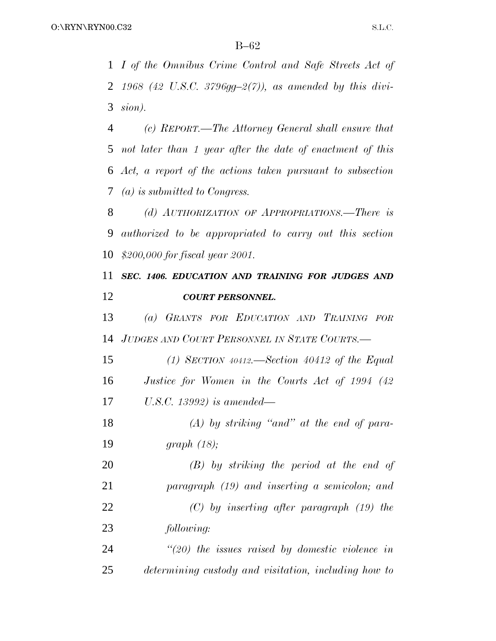*I of the Omnibus Crime Control and Safe Streets Act of 1968 (42 U.S.C. 3796gg–2(7)), as amended by this divi-sion).*

 *(c) REPORT.—The Attorney General shall ensure that not later than 1 year after the date of enactment of this Act, a report of the actions taken pursuant to subsection (a) is submitted to Congress.*

 *(d) AUTHORIZATION OF APPROPRIATIONS.—There is authorized to be appropriated to carry out this section \$200,000 for fiscal year 2001.*

### *SEC. 1406. EDUCATION AND TRAINING FOR JUDGES AND COURT PERSONNEL.*

 *(a) GRANTS FOR EDUCATION AND TRAINING FOR JUDGES AND COURT PERSONNEL IN STATE COURTS.—*

 *(1) SECTION 40412.—Section 40412 of the Equal Justice for Women in the Courts Act of 1994 (42 U.S.C. 13992) is amended—*

 *(A) by striking ''and'' at the end of para-graph (18);*

 *(B) by striking the period at the end of paragraph (19) and inserting a semicolon; and (C) by inserting after paragraph (19) the following:*

 *''(20) the issues raised by domestic violence in determining custody and visitation, including how to*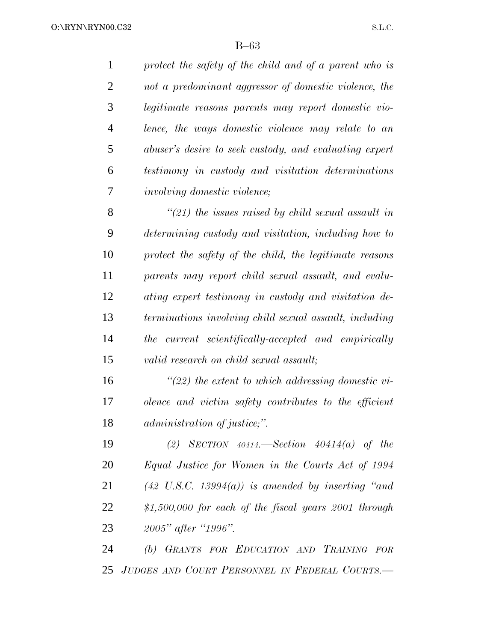*protect the safety of the child and of a parent who is not a predominant aggressor of domestic violence, the legitimate reasons parents may report domestic vio- lence, the ways domestic violence may relate to an abuser's desire to seek custody, and evaluating expert testimony in custody and visitation determinations involving domestic violence;*

 *''(21) the issues raised by child sexual assault in determining custody and visitation, including how to protect the safety of the child, the legitimate reasons parents may report child sexual assault, and evalu- ating expert testimony in custody and visitation de- terminations involving child sexual assault, including the current scientifically-accepted and empirically valid research on child sexual assault;*

 *''(22) the extent to which addressing domestic vi- olence and victim safety contributes to the efficient administration of justice;''.*

 *(2) SECTION 40414.—Section 40414(a) of the Equal Justice for Women in the Courts Act of 1994 (42 U.S.C. 13994(a)) is amended by inserting ''and \$1,500,000 for each of the fiscal years 2001 through 2005'' after ''1996''.*

 *(b) GRANTS FOR EDUCATION AND TRAINING FOR JUDGES AND COURT PERSONNEL IN FEDERAL COURTS.—*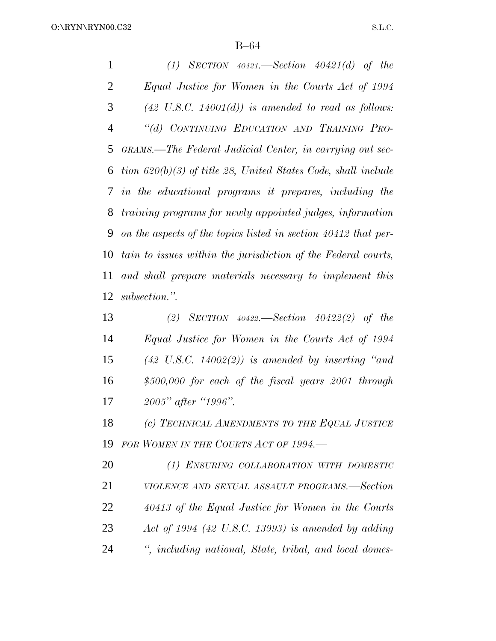*(1) SECTION 40421.—Section 40421(d) of the Equal Justice for Women in the Courts Act of 1994 (42 U.S.C. 14001(d)) is amended to read as follows: ''(d) CONTINUING EDUCATION AND TRAINING PRO- GRAMS.—The Federal Judicial Center, in carrying out sec- tion 620(b)(3) of title 28, United States Code, shall include in the educational programs it prepares, including the training programs for newly appointed judges, information on the aspects of the topics listed in section 40412 that per- tain to issues within the jurisdiction of the Federal courts, and shall prepare materials necessary to implement this subsection.''.*

 *(2) SECTION 40422.—Section 40422(2) of the Equal Justice for Women in the Courts Act of 1994 (42 U.S.C. 14002(2)) is amended by inserting ''and \$500,000 for each of the fiscal years 2001 through 2005'' after ''1996''.*

 *(c) TECHNICAL AMENDMENTS TO THE EQUAL JUSTICE FOR WOMEN IN THE COURTS ACT OF 1994.—*

 *(1) ENSURING COLLABORATION WITH DOMESTIC VIOLENCE AND SEXUAL ASSAULT PROGRAMS.—Section 40413 of the Equal Justice for Women in the Courts Act of 1994 (42 U.S.C. 13993) is amended by adding '', including national, State, tribal, and local domes-*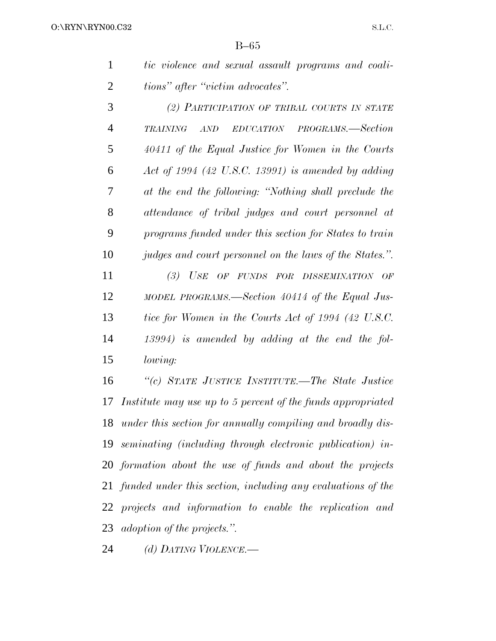| tic violence and sexual assault programs and coali- |  |  |  |
|-----------------------------------------------------|--|--|--|
| tions" after "victim advocates".                    |  |  |  |

| 3              | (2) PARTICIPATION OF TRIBAL COURTS IN STATE             |
|----------------|---------------------------------------------------------|
| $\overline{4}$ | AND EDUCATION PROGRAMS.—Section<br><b>TRAINING</b>      |
| 5              | 40411 of the Equal Justice for Women in the Courts      |
| 6              | Act of 1994 (42 U.S.C. 13991) is amended by adding      |
| 7              | at the end the following: "Nothing shall preclude the   |
| 8              | attendance of tribal judges and court personnel at      |
| 9              | programs funded under this section for States to train  |
| 10             | judges and court personnel on the laws of the States.". |
| 11             | (3) USE OF FUNDS FOR DISSEMINATION OF                   |
| 12             | MODEL PROGRAMS.—Section 40414 of the Equal Jus-         |
| 13             | tice for Women in the Courts Act of 1994 (42 U.S.C.     |
| 14             | $13994$ ) is amended by adding at the end the fol-      |
| 15             | lowing:                                                 |

 *''(c) STATE JUSTICE INSTITUTE.—The State Justice Institute may use up to 5 percent of the funds appropriated under this section for annually compiling and broadly dis- seminating (including through electronic publication) in- formation about the use of funds and about the projects funded under this section, including any evaluations of the projects and information to enable the replication and adoption of the projects.''.*

*(d) DATING VIOLENCE.—*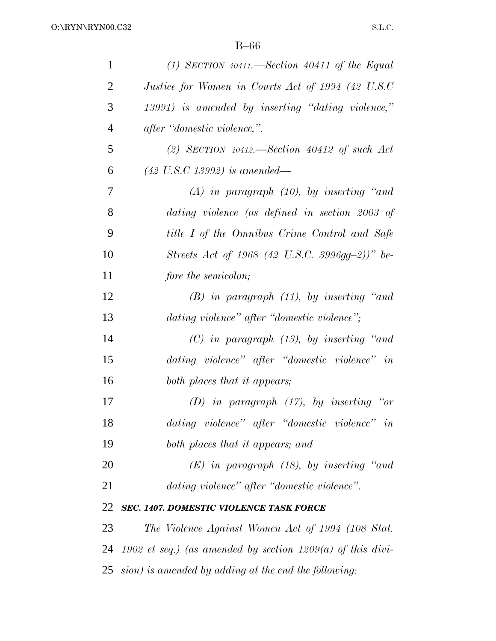| $\mathbf{1}$   | $(1)$ SECTION 40411.—Section 40411 of the Equal            |
|----------------|------------------------------------------------------------|
| $\overline{2}$ | Justice for Women in Courts Act of 1994 (42 U.S.C          |
| 3              | 13991) is amended by inserting "dating violence,"          |
| $\overline{4}$ | after "domestic violence,".                                |
| 5              | (2) SECTION $40412$ —Section $40412$ of such Act           |
| 6              | $(42 \; U.S.C \; 13992) \; is \; amended$ —                |
| 7              | $(A)$ in paragraph $(10)$ , by inserting "and              |
| 8              | dating violence (as defined in section 2003 of             |
| 9              | title I of the Omnibus Crime Control and Safe              |
| 10             | Streets Act of 1968 (42 U.S.C. 3996gg-2))" be-             |
| 11             | fore the semicolon;                                        |
| 12             | $(B)$ in paragraph $(11)$ , by inserting "and              |
| 13             | dating violence" after "domestic violence";                |
| 14             | $(C)$ in paragraph $(13)$ , by inserting "and              |
| 15             | dating violence" after "domestic violence" in              |
| 16             | both places that it appears;                               |
| 17             | $(D)$ in paragraph $(17)$ , by inserting "or               |
| 18             | dating violence" after "domestic violence" in              |
| 19             | both places that it appears; and                           |
| 20             | $(E)$ in paragraph (18), by inserting "and                 |
| 21             | dating violence" after "domestic violence".                |
| 22             | <b>SEC. 1407. DOMESTIC VIOLENCE TASK FORCE</b>             |
| 23             | The Violence Against Women Act of 1994 (108 Stat.          |
| 24             | 1902 et seq.) (as amended by section 1209(a) of this divi- |
|                | $25$ sion) is amended by adding at the end the following:  |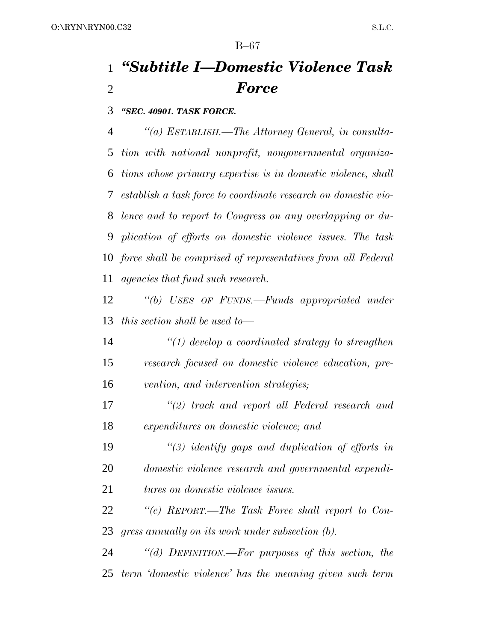## *''Subtitle I—Domestic Violence Task Force*

*''SEC. 40901. TASK FORCE.*

 *''(a) ESTABLISH.—The Attorney General, in consulta- tion with national nonprofit, nongovernmental organiza- tions whose primary expertise is in domestic violence, shall establish a task force to coordinate research on domestic vio- lence and to report to Congress on any overlapping or du- plication of efforts on domestic violence issues. The task force shall be comprised of representatives from all Federal agencies that fund such research.*

 *''(b) USES OF FUNDS.—Funds appropriated under this section shall be used to—*

 *''(1) develop a coordinated strategy to strengthen research focused on domestic violence education, pre-vention, and intervention strategies;*

 *''(2) track and report all Federal research and expenditures on domestic violence; and*

 *''(3) identify gaps and duplication of efforts in domestic violence research and governmental expendi-tures on domestic violence issues.*

 *''(c) REPORT.—The Task Force shall report to Con-gress annually on its work under subsection (b).*

 *''(d) DEFINITION.—For purposes of this section, the term 'domestic violence' has the meaning given such term*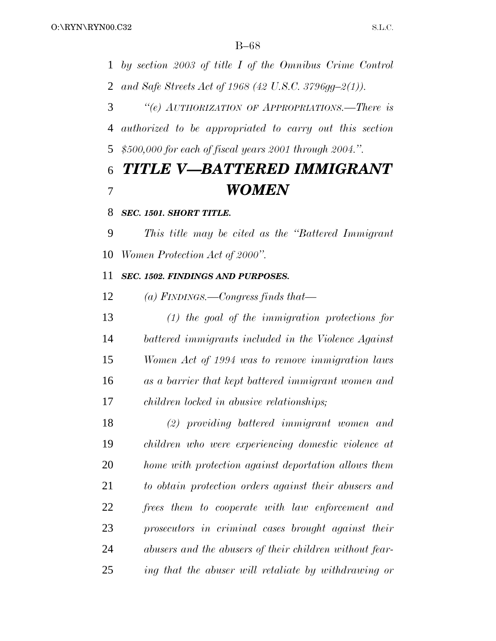*by section 2003 of title I of the Omnibus Crime Control and Safe Streets Act of 1968 (42 U.S.C. 3796gg–2(1)).*

 *''(e) AUTHORIZATION OF APPROPRIATIONS.—There is authorized to be appropriated to carry out this section \$500,000 for each of fiscal years 2001 through 2004.''.*

## *TITLE V—BATTERED IMMIGRANT WOMEN*

### *SEC. 1501. SHORT TITLE.*

 *This title may be cited as the ''Battered Immigrant Women Protection Act of 2000''.*

### *SEC. 1502. FINDINGS AND PURPOSES.*

*(a) FINDINGS.—Congress finds that—*

 *(1) the goal of the immigration protections for battered immigrants included in the Violence Against Women Act of 1994 was to remove immigration laws as a barrier that kept battered immigrant women and children locked in abusive relationships;*

 *(2) providing battered immigrant women and children who were experiencing domestic violence at home with protection against deportation allows them to obtain protection orders against their abusers and frees them to cooperate with law enforcement and prosecutors in criminal cases brought against their abusers and the abusers of their children without fear-ing that the abuser will retaliate by withdrawing or*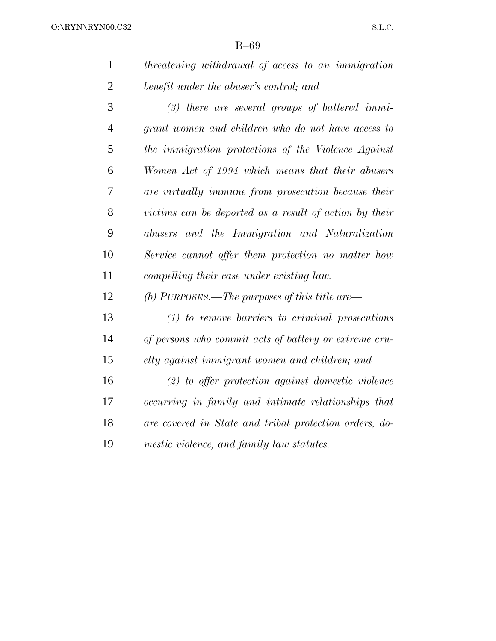| threatening withdrawal of access to an immigration |
|----------------------------------------------------|
| benefit under the abuser's control; and            |

 *(3) there are several groups of battered immi- grant women and children who do not have access to the immigration protections of the Violence Against Women Act of 1994 which means that their abusers are virtually immune from prosecution because their victims can be deported as a result of action by their abusers and the Immigration and Naturalization Service cannot offer them protection no matter how compelling their case under existing law.*

*(b) PURPOSES.—The purposes of this title are—*

 *(1) to remove barriers to criminal prosecutions of persons who commit acts of battery or extreme cru-elty against immigrant women and children; and*

 *(2) to offer protection against domestic violence occurring in family and intimate relationships that are covered in State and tribal protection orders, do-mestic violence, and family law statutes.*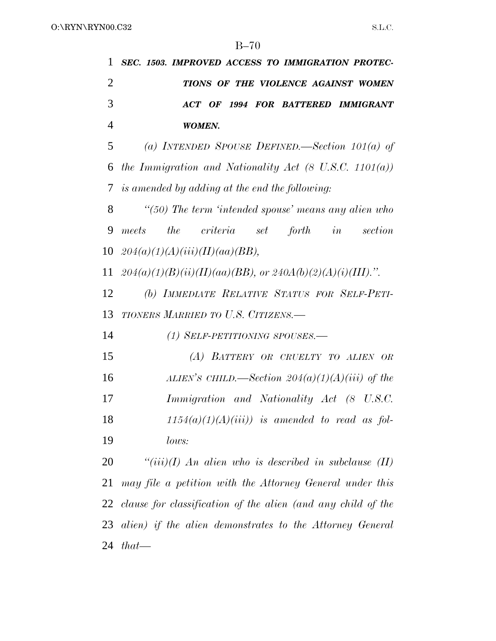*SEC. 1503. IMPROVED ACCESS TO IMMIGRATION PROTEC- TIONS OF THE VIOLENCE AGAINST WOMEN ACT OF 1994 FOR BATTERED IMMIGRANT WOMEN.*

 *(a) INTENDED SPOUSE DEFINED.—Section 101(a) of the Immigration and Nationality Act (8 U.S.C. 1101(a)) is amended by adding at the end the following:*

 *''(50) The term 'intended spouse' means any alien who meets the criteria set forth in section 204(a)(1)(A)(iii)(II)(aa)(BB),*

11  $204(a)(1)(B)(ii)(II)(aa)(BB)$ , or  $240A(b)(2)(A)(i)(III)$ .".

 *(b) IMMEDIATE RELATIVE STATUS FOR SELF-PETI-TIONERS MARRIED TO U.S. CITIZENS.—*

*(1) SELF-PETITIONING SPOUSES.—*

 *(A) BATTERY OR CRUELTY TO ALIEN OR ALIEN'S CHILD.—Section 204(a)(1)(A)(iii) of the Immigration and Nationality Act (8 U.S.C. 1154(a)(1)(A)(iii)) is amended to read as fol-lows:*

 *''(iii)(I) An alien who is described in subclause (II) may file a petition with the Attorney General under this clause for classification of the alien (and any child of the alien) if the alien demonstrates to the Attorney General that—*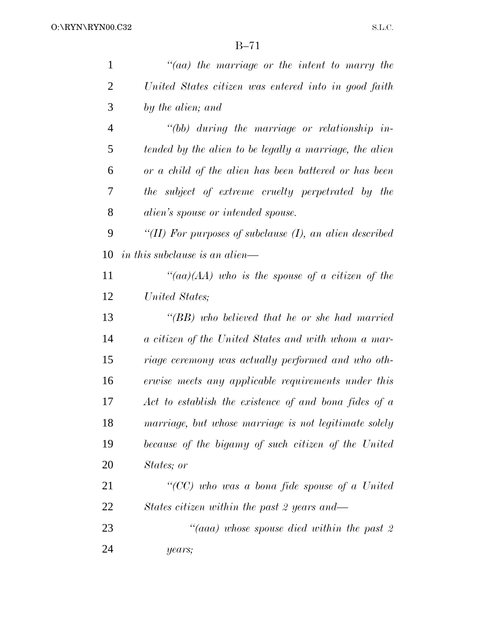| $\mathbf{1}$   | "(aa) the marriage or the intent to marry the              |
|----------------|------------------------------------------------------------|
| $\overline{2}$ | United States citizen was entered into in good faith       |
| 3              | by the alien; and                                          |
| $\overline{4}$ | $\lq\lq (bb)$ during the marriage or relationship in-      |
| 5              | tended by the alien to be legally a marriage, the alien    |
| 6              | or a child of the alien has been battered or has been      |
| 7              | the subject of extreme cruelty perpetrated by the          |
| 8              | <i>alien's spouse or intended spouse.</i>                  |
| 9              | "(II) For purposes of subclause $(I)$ , an alien described |
| 10             | <i>in this subclause is an alien—</i>                      |
| 11             | "(aa)(AA) who is the spouse of a citizen of the            |
| 12             | United States;                                             |
| 13             | "(BB) who believed that he or she had married              |
| 14             | a citizen of the United States and with whom a mar-        |
| 15             | riage ceremony was actually performed and who oth-         |
| 16             | erwise meets any applicable requirements under this        |
| 17             | Act to establish the existence of and bona fides of a      |
| 18             | marriage, but whose marriage is not legitimate solely      |
| 19             | because of the bigamy of such citizen of the United        |
| 20             | States; or                                                 |
| 21             | "(CC) who was a bona fide spouse of a United               |
| 22             | States citizen within the past 2 years and—                |
| 23             | "(aaa) whose spouse died within the past 2                 |
| 24             | years;                                                     |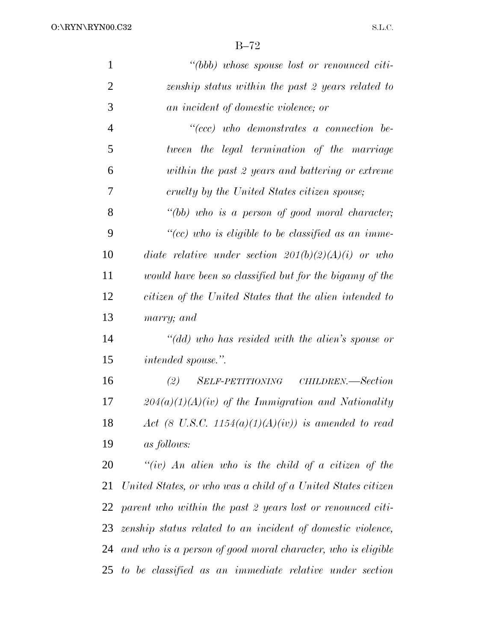| $\mathbf{1}$   | "(bbb) whose spouse lost or renounced citi-                  |
|----------------|--------------------------------------------------------------|
| $\overline{2}$ | zenship status within the past 2 years related to            |
| 3              | an incident of domestic violence; or                         |
| $\overline{4}$ | $``(ccc)$ who demonstrates a connection be-                  |
| 5              | tween the legal termination of the marriage                  |
| 6              | within the past 2 years and battering or extreme             |
| 7              | cruelty by the United States citizen spouse;                 |
| 8              | "(bb) who is a person of good moral character;               |
| 9              | "(cc) who is eligible to be classified as an imme-           |
| 10             | diate relative under section $201(b)(2)(A)(i)$ or who        |
| 11             | would have been so classified but for the bigamy of the      |
| 12             | citizen of the United States that the alien intended to      |
| 13             | marry; and                                                   |
| 14             | "(dd) who has resided with the alien's spouse or             |
| 15             | <i>intended spouse.</i> ".                                   |
| 16             | (2) SELF-PETITIONING CHILDREN.—Section                       |
| 17             | $204(a)(1)(A)(iv)$ of the Immigration and Nationality        |
| 18             | Act (8 U.S.C. 1154(a)(1)(A)(iv)) is amended to read          |
| 19             | <i>as follows:</i>                                           |
| 20             | "(iv) An alien who is the child of a citizen of the          |
| 21             | United States, or who was a child of a United States citizen |
| 22             | parent who within the past 2 years lost or renounced citi-   |
| 23             | zenship status related to an incident of domestic violence,  |
| 24             | and who is a person of good moral character, who is eligible |
|                | 25 to be classified as an immediate relative under section   |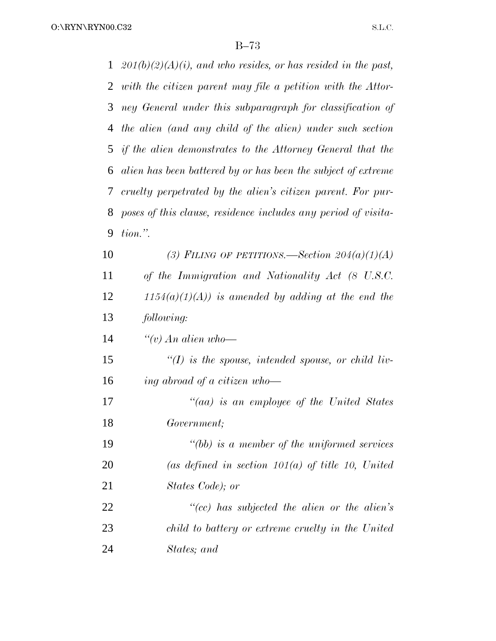O:\RYN\RYN00.C32

| $\mathbf{1}$  | $201(b)(2)(A)(i)$ , and who resides, or has resided in the past, |
|---------------|------------------------------------------------------------------|
| 2             | with the citizen parent may file a petition with the Attor-      |
| 3             | ney General under this subparagraph for classification of        |
| 4             | the alien (and any child of the alien) under such section        |
|               | 5 if the alien demonstrates to the Attorney General that the     |
| 6             | alien has been battered by or has been the subject of extreme    |
| $\mathcal{T}$ | cruelty perpetrated by the alien's citizen parent. For pur-      |
| 8             | poses of this clause, residence includes any period of visita-   |
| 9             | $tion.$ ".                                                       |
| 10            | (3) FILING OF PETITIONS.—Section $204(a)(1)(A)$                  |
| 11            | of the Immigration and Nationality Act (8 U.S.C.                 |
| 12            | $1154(a)(1)(A)$ is amended by adding at the end the              |
| 13            | following:                                                       |
| 14            | "(v) An alien who-                                               |
| 15            | $\lq (I)$ is the spouse, intended spouse, or child liv-          |
| 16            | ing abroad of a citizen who-                                     |
| 17            | "(aa) is an employee of the United States                        |
| 18            | Government;                                                      |
| 19            | $"(bb)$ is a member of the uniformed services                    |
| 20            | (as defined in section $101(a)$ of title 10, United              |
| 21            | States Code); or                                                 |
| 22            | $``(cc)$ has subjected the alien or the alien's                  |
| 23            | child to battery or extreme cruelty in the United                |
| 24            | States; and                                                      |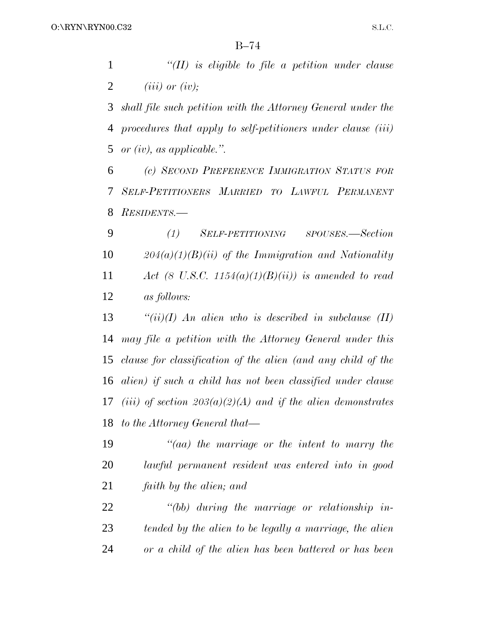*''(II) is eligible to file a petition under clause (iii) or (iv);*

 *shall file such petition with the Attorney General under the procedures that apply to self-petitioners under clause (iii) or (iv), as applicable.''.*

 *(c) SECOND PREFERENCE IMMIGRATION STATUS FOR SELF-PETITIONERS MARRIED TO LAWFUL PERMANENT RESIDENTS.—*

 *(1) SELF-PETITIONING SPOUSES.—Section 204(a)(1)(B)(ii) of the Immigration and Nationality Act (8 U.S.C. 1154(a)(1)(B)(ii)) is amended to read as follows:*

 *''(ii)(I) An alien who is described in subclause (II) may file a petition with the Attorney General under this clause for classification of the alien (and any child of the alien) if such a child has not been classified under clause (iii) of section 203(a)(2)(A) and if the alien demonstrates to the Attorney General that—*

 *''(aa) the marriage or the intent to marry the lawful permanent resident was entered into in good faith by the alien; and*

 *''(bb) during the marriage or relationship in- tended by the alien to be legally a marriage, the alien or a child of the alien has been battered or has been*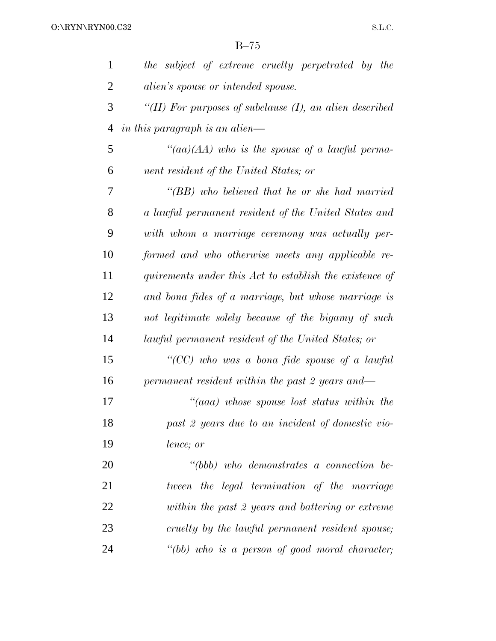| $\mathbf{1}$   | the subject of extreme cruelty perpetrated by the              |
|----------------|----------------------------------------------------------------|
| $\overline{2}$ | <i>alien's spouse or intended spouse.</i>                      |
| 3              | "( $II$ ) For purposes of subclause $(I)$ , an alien described |
| 4              | in this paragraph is an alien—                                 |
| 5              | "(aa)(AA) who is the spouse of a lawful perma-                 |
| 6              | nent resident of the United States; or                         |
| 7              | "(BB) who believed that he or she had married                  |
| 8              | a lawful permanent resident of the United States and           |
| 9              | with whom a marriage ceremony was actually per-                |
| 10             | formed and who otherwise meets any applicable re-              |
| 11             | quirements under this Act to establish the existence of        |
| 12             | and bona fides of a marriage, but whose marriage is            |
| 13             | not legitimate solely because of the bigamy of such            |
| 14             | lawful permanent resident of the United States; or             |
| 15             | "(CC) who was a bona fide spouse of a lawful                   |
| 16             | permanent resident within the past 2 years and—                |
| 17             | "(aaa) whose spouse lost status within the                     |
| 18             | past 2 years due to an incident of domestic vio-               |
| 19             | lence; or                                                      |
| 20             | $``(bbb)$ who demonstrates a connection be-                    |
| 21             | tween the legal termination of the marriage                    |
| 22             | within the past 2 years and battering or extreme               |
| 23             | cruelty by the lawful permanent resident spouse;               |
| 24             | "(bb) who is a person of good moral character;                 |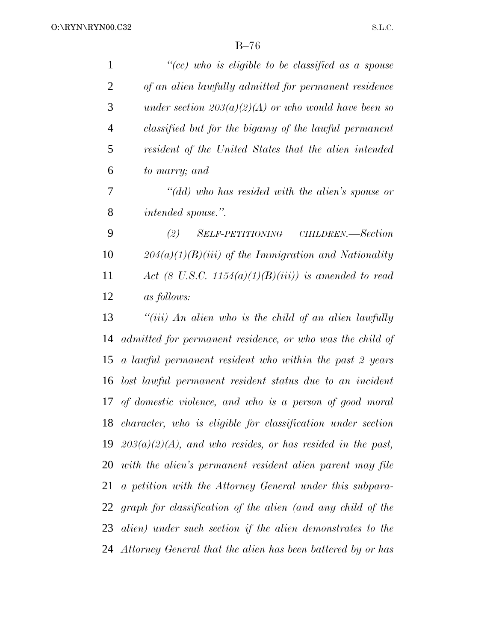| $\mathbf{1}$   | "(cc) who is eligible to be classified as a spouse               |
|----------------|------------------------------------------------------------------|
| $\overline{2}$ | of an alien lawfully admitted for permanent residence            |
| 3              | under section $203(a)(2)(A)$ or who would have been so           |
| $\overline{4}$ | classified but for the bigamy of the lawful permanent            |
| 5              | resident of the United States that the alien intended            |
| 6              | to marry; and                                                    |
| 7              | "(dd) who has resided with the alien's spouse or                 |
| $8\,$          | intended spouse.".                                               |
| 9              | (2)<br><i>SELF-PETITIONING</i><br>CHILDREN.—Section              |
| 10             | $204(a)(1)(B)(iii)$ of the Immigration and Nationality           |
| 11             | Act (8 U.S.C. 1154(a)(1)(B)(iii)) is amended to read             |
| 12             | as follows:                                                      |
| 13             | "(iii) An alien who is the child of an alien lawfully            |
| 14             | admitted for permanent residence, or who was the child of        |
| 15             | a lawful permanent resident who within the past 2 years          |
| 16             | lost lawful permanent resident status due to an incident         |
| 17             | of domestic violence, and who is a person of good moral          |
|                | 18 character, who is eligible for classification under section   |
|                | 19 $203(a)(2)(A)$ , and who resides, or has resided in the past, |
|                | 20 with the alien's permanent resident alien parent may file     |
| 21             | a petition with the Attorney General under this subpara-         |
|                | 22 graph for classification of the alien (and any child of the   |
|                | 23 alien) under such section if the alien demonstrates to the    |
|                | 24 Attorney General that the alien has been battered by or has   |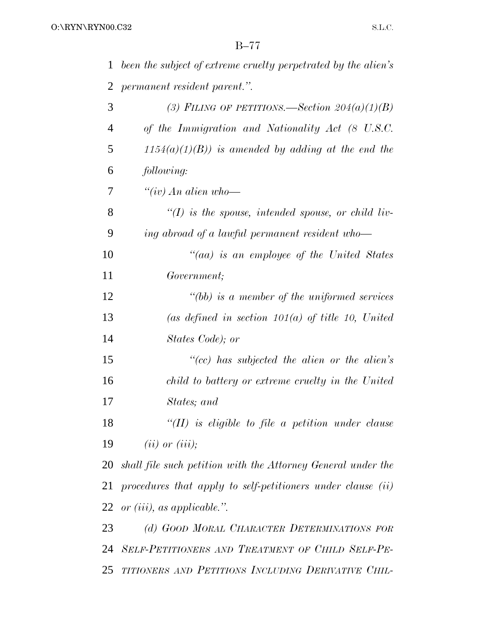| 1              | been the subject of extreme cruelty perpetrated by the alien's  |
|----------------|-----------------------------------------------------------------|
| 2              | permanent resident parent.".                                    |
| 3              | (3) FILING OF PETITIONS. Section $204(a)(1)(B)$                 |
| $\overline{4}$ | of the Immigration and Nationality Act (8 U.S.C.                |
| 5              | $1154(a)(1)(B)$ ) is amended by adding at the end the           |
| 6              | following:                                                      |
| 7              | $``(iv)$ An alien who-                                          |
| 8              | $\lq (I)$ is the spouse, intended spouse, or child liv-         |
| 9              | ing abroad of a lawful permanent resident who-                  |
| 10             | "(aa) is an employee of the United States                       |
| 11             | Government;                                                     |
| 12             | $"(bb)$ is a member of the uniformed services                   |
| 13             | (as defined in section $101(a)$ of title 10, United             |
| 14             | States Code); or                                                |
| 15             | $``(cc)$ has subjected the alien or the alien's                 |
| 16             | child to battery or extreme cruelty in the United               |
| 17             | States; and                                                     |
| 18             | $``(II)$ is eligible to file a petition under clause            |
| 19             | $(ii)$ or $(iii)$ ;                                             |
|                | 20 shall file such petition with the Attorney General under the |
| 21             | procedures that apply to self-petitioners under clause (ii)     |
|                | 22 or $(iii)$ , as applicable.".                                |
| 23             | (d) GOOD MORAL CHARACTER DETERMINATIONS FOR                     |
|                | 24 SELF-PETITIONERS AND TREATMENT OF CHILD SELF-PE-             |
| 25             | TITIONERS AND PETITIONS INCLUDING DERIVATIVE CHIL-              |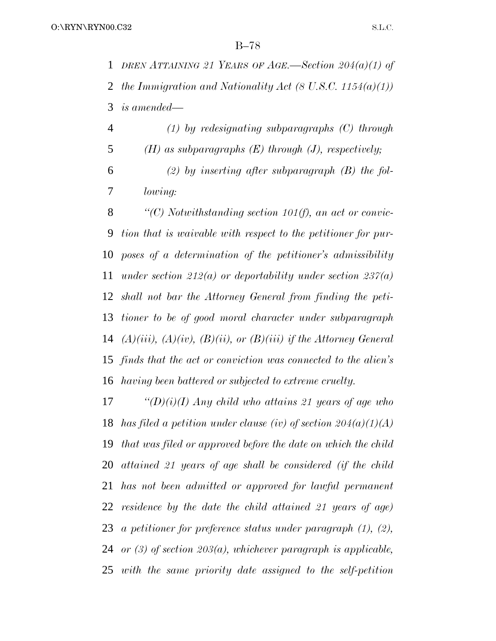*DREN ATTAINING 21 YEARS OF AGE.—Section 204(a)(1) of the Immigration and Nationality Act (8 U.S.C. 1154(a)(1)) is amended—*

 *(1) by redesignating subparagraphs (C) through (H) as subparagraphs (E) through (J), respectively; (2) by inserting after subparagraph (B) the fol-lowing:*

 *''(C) Notwithstanding section 101(f), an act or convic- tion that is waivable with respect to the petitioner for pur- poses of a determination of the petitioner's admissibility under section 212(a) or deportability under section 237(a) shall not bar the Attorney General from finding the peti- tioner to be of good moral character under subparagraph (A)(iii), (A)(iv), (B)(ii), or (B)(iii) if the Attorney General finds that the act or conviction was connected to the alien's having been battered or subjected to extreme cruelty.*

 *''(D)(i)(I) Any child who attains 21 years of age who has filed a petition under clause (iv) of section 204(a)(1)(A) that was filed or approved before the date on which the child attained 21 years of age shall be considered (if the child has not been admitted or approved for lawful permanent residence by the date the child attained 21 years of age) a petitioner for preference status under paragraph (1), (2), or (3) of section 203(a), whichever paragraph is applicable, with the same priority date assigned to the self-petition*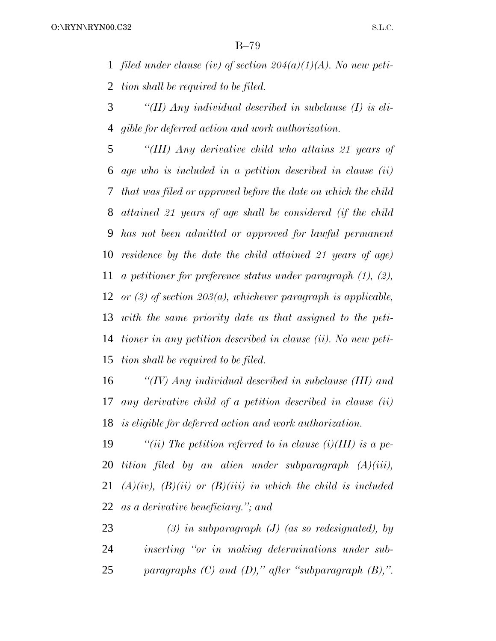*filed under clause (iv) of section 204(a)(1)(A). No new peti-tion shall be required to be filed.*

 *''(II) Any individual described in subclause (I) is eli-gible for deferred action and work authorization.*

 *''(III) Any derivative child who attains 21 years of age who is included in a petition described in clause (ii) that was filed or approved before the date on which the child attained 21 years of age shall be considered (if the child has not been admitted or approved for lawful permanent residence by the date the child attained 21 years of age) a petitioner for preference status under paragraph (1), (2), or (3) of section 203(a), whichever paragraph is applicable, with the same priority date as that assigned to the peti- tioner in any petition described in clause (ii). No new peti-tion shall be required to be filed.*

 *''(IV) Any individual described in subclause (III) and any derivative child of a petition described in clause (ii) is eligible for deferred action and work authorization.*

 *''(ii) The petition referred to in clause (i)(III) is a pe- tition filed by an alien under subparagraph (A)(iii), (A)(iv), (B)(ii) or (B)(iii) in which the child is included as a derivative beneficiary.''; and*

 *(3) in subparagraph (J) (as so redesignated), by inserting ''or in making determinations under sub-paragraphs (C) and (D),'' after ''subparagraph (B),''.*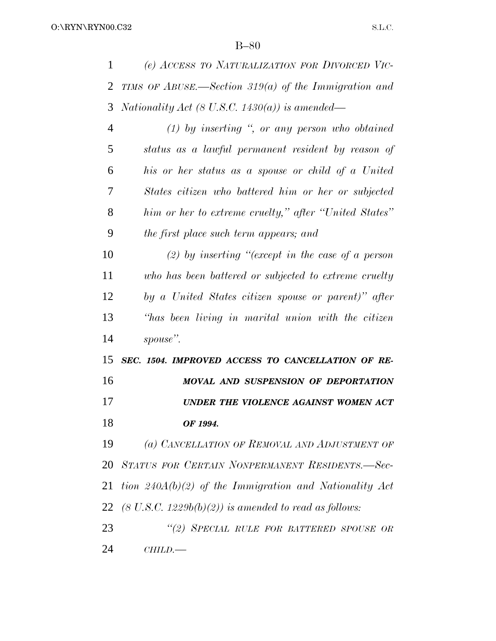| 1              | (e) ACCESS TO NATURALIZATION FOR DIVORCED VIC-                   |
|----------------|------------------------------------------------------------------|
| $\overline{2}$ | TIMS OF ABUSE.—Section 319(a) of the Immigration and             |
| 3              | Nationality Act (8 U.S.C. 1430(a)) is amended—                   |
| $\overline{4}$ | $(1)$ by inserting ", or any person who obtained                 |
| 5              | status as a lawful permanent resident by reason of               |
| 6              | his or her status as a spouse or child of a United               |
| 7              | States citizen who battered him or her or subjected              |
| 8              | him or her to extreme cruelty," after "United States"            |
| 9              | the first place such term appears; and                           |
| 10             | (2) by inserting "(except in the case of a person                |
| 11             | who has been battered or subjected to extreme cruelty            |
| 12             | by a United States citizen spouse or parent)" after              |
| 13             | "has been living in marital union with the citizen               |
| 14             | spouse".                                                         |
| 15             | SEC. 1504. IMPROVED ACCESS TO CANCELLATION OF RE-                |
| 16             | MOVAL AND SUSPENSION OF DEPORTATION                              |
| 17             | UNDER THE VIOLENCE AGAINST WOMEN ACT                             |
| 18             | OF 1994.                                                         |
| 19             | (a) CANCELLATION OF REMOVAL AND ADJUSTMENT OF                    |
| 20             | STATUS FOR CERTAIN NONPERMANENT RESIDENTS.-Sec-                  |
| 21             | tion $240A(b)(2)$ of the Immigration and Nationality Act         |
| 22             | $(8 \text{ U.S.C. } 1229b(b)(2))$ is amended to read as follows: |
| 23             | "(2) SPECIAL RULE FOR BATTERED SPOUSE OR                         |
| 24             | CHILD.                                                           |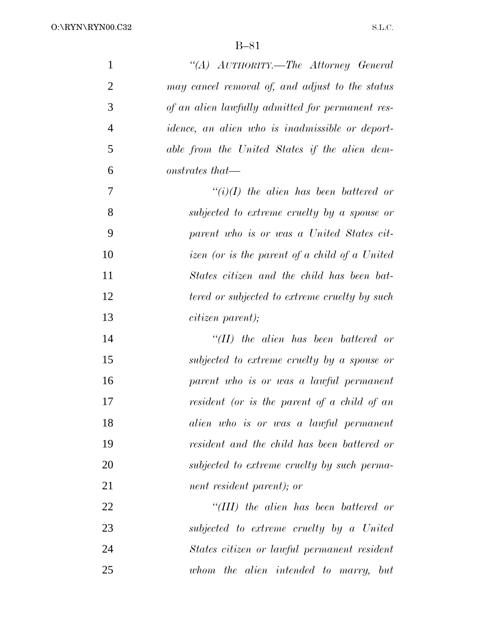| $\mathbf{1}$   | "(A) AUTHORITY.—The Attorney General                                   |
|----------------|------------------------------------------------------------------------|
| $\overline{2}$ | may cancel removal of, and adjust to the status                        |
| 3              | of an alien lawfully admitted for permanent res-                       |
| $\overline{4}$ | <i>idence</i> , an alien who is <i>inadmissible</i> or <i>deport</i> - |
| 5              | able from the United States if the alien dem-                          |
| 6              | onstrates that—                                                        |
| 7              | $``(i)(I)$ the alien has been battered or                              |
| 8              | subjected to extreme cruelty by a spouse or                            |
| 9              | parent who is or was a United States cit-                              |
| 10             | izen (or is the parent of a child of a United                          |
| 11             | States citizen and the child has been bat-                             |
| 12             | tered or subjected to extreme cruelty by such                          |
| 13             | <i>citizen parent)</i> ;                                               |
| 14             | $``(II)$ the alien has been battered or                                |
| 15             | subjected to extreme cruelty by a spouse or                            |
| 16             | parent who is or was a lawful permanent                                |
| 17             | resident (or is the parent of a child of an                            |
| 18             | alien who is or was a lawful permanent                                 |
| 19             | resident and the child has been battered or                            |
| 20             | subjected to extreme cruelty by such perma-                            |
| 21             | nent resident parent); or                                              |
| 22             | $``(III)$ the alien has been battered or                               |
| 23             | subjected to extreme cruelty by a United                               |
| 24             | States citizen or lawful permanent resident                            |
| 25             | whom the alien intended to marry, but                                  |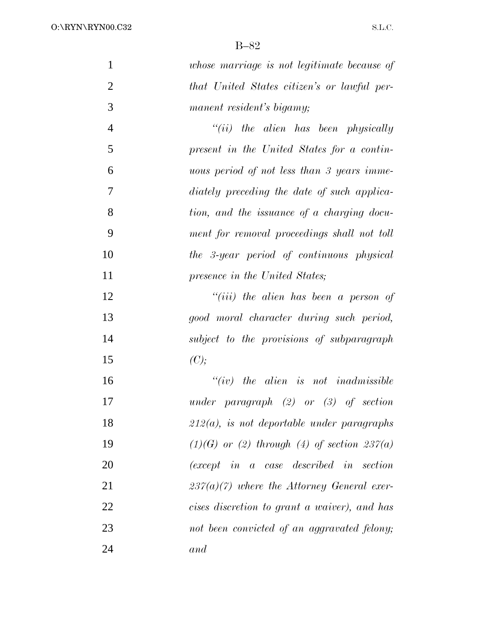| $\mathbf{1}$   | whose marriage is not legitimate because of                |
|----------------|------------------------------------------------------------|
| $\overline{2}$ | that United States citizen's or lawful per-                |
| 3              | manent resident's bigamy;                                  |
| $\overline{4}$ | $``(ii)$ the alien has been physically                     |
| 5              | present in the United States for a contin-                 |
| 6              | uous period of not less than 3 years imme-                 |
| 7              | diately preceding the date of such applica-                |
| 8              | tion, and the issuance of a charging docu-                 |
| 9              | ment for removal proceedings shall not toll                |
| 10             | the 3-year period of continuous physical                   |
| 11             | presence in the United States;                             |
| 12             | $``(iii)$ the alien has been a person of                   |
| 13             | good moral character during such period,                   |
| 14             | subject to the provisions of subparagraph                  |
| 15             | (C);                                                       |
| 16             | $``(iv)$ the alien is not inadmissible                     |
| 17             | under paragraph $(2)$ or $(3)$ of section                  |
| 18             | $212(a)$ , is not deportable under paragraphs              |
| 19             | $(1)(G)$ or (2) through (4) of section 237(a)              |
| 20             | $(except \t in \t a \t case \t described \t in \t section$ |
| 21             | $237(a)(7)$ where the Attorney General exer-               |
| 22             | cises discretion to grant a waiver), and has               |
| 23             | not been convicted of an aggravated felony;                |
| 24             | and                                                        |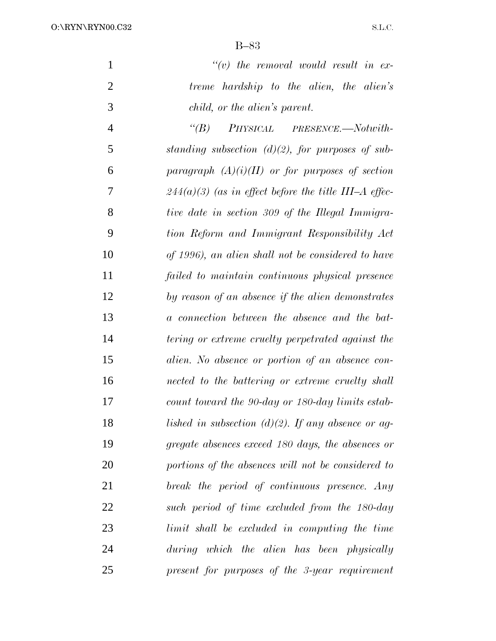| $\mathbf{1}$   | $\lq\lq(v)$ the removal would result in ex-             |
|----------------|---------------------------------------------------------|
| $\overline{2}$ | treme hardship to the alien, the alien's                |
| 3              | child, or the alien's parent.                           |
| $\overline{4}$ | PHYSICAL PRESENCE.—Notwith-<br>$\lq(B)$                 |
| 5              | standing subsection $(d)(2)$ , for purposes of sub-     |
| 6              | paragraph $(A)(i)(II)$ or for purposes of section       |
| 7              | $244(a)(3)$ (as in effect before the title III–A effec- |
| 8              | tive date in section 309 of the Illegal Immigra-        |
| 9              | tion Reform and Immigrant Responsibility Act            |
| 10             | of 1996), an alien shall not be considered to have      |
| 11             | failed to maintain continuous physical presence         |
| 12             | by reason of an absence if the alien demonstrates       |
| 13             | a connection between the absence and the bat-           |
| 14             | tering or extreme cruelty perpetrated against the       |
| 15             | alien. No absence or portion of an absence con-         |
| 16             | nected to the battering or extreme cruelty shall        |
| 17             | count toward the 90-day or 180-day limits estab-        |
| 18             | lished in subsection (d)(2). If any absence or ag-      |
| 19             | gregate absences exceed 180 days, the absences or       |
| 20             | portions of the absences will not be considered to      |
| 21             | break the period of continuous presence. Any            |
| 22             | such period of time excluded from the 180-day           |
| 23             | limit shall be excluded in computing the time           |
| 24             | during which the alien has been physically              |
| 25             | present for purposes of the 3-year requirement          |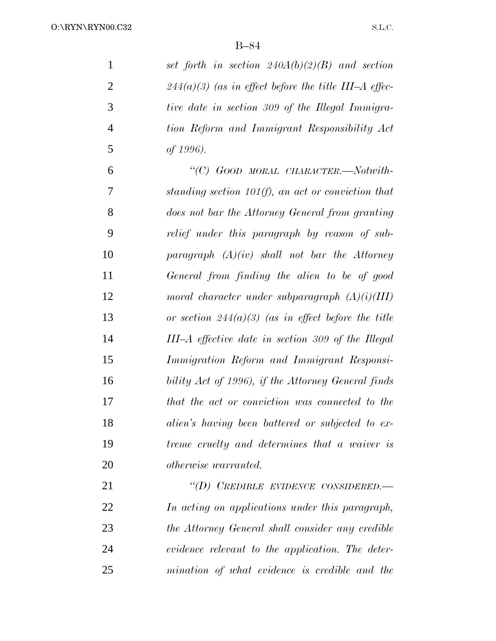*set forth in section 240A(b)(2)(B) and section 244(a)(3) (as in effect before the title III–A effec- tive date in section 309 of the Illegal Immigra- tion Reform and Immigrant Responsibility Act of 1996).*

 *''(C) GOOD MORAL CHARACTER.—Notwith- standing section 101(f), an act or conviction that does not bar the Attorney General from granting relief under this paragraph by reason of sub- paragraph (A)(iv) shall not bar the Attorney General from finding the alien to be of good moral character under subparagraph (A)(i)(III) or section 244(a)(3) (as in effect before the title III–A effective date in section 309 of the Illegal Immigration Reform and Immigrant Responsi- bility Act of 1996), if the Attorney General finds that the act or conviction was connected to the alien's having been battered or subjected to ex- treme cruelty and determines that a waiver is otherwise warranted.*

 *''(D) CREDIBLE EVIDENCE CONSIDERED.— In acting on applications under this paragraph, the Attorney General shall consider any credible evidence relevant to the application. The deter-mination of what evidence is credible and the*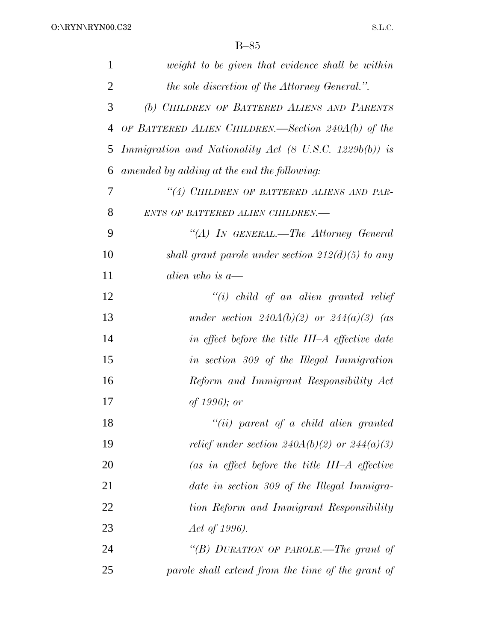| 1              | weight to be given that evidence shall be within       |
|----------------|--------------------------------------------------------|
| $\overline{2}$ | the sole discretion of the Attorney General.".         |
| 3              | (b) CHILDREN OF BATTERED ALIENS AND PARENTS            |
| 4              | OF BATTERED ALIEN CHILDREN.—Section 240A(b) of the     |
| 5              | Immigration and Nationality Act (8 U.S.C. 1229b(b)) is |
| 6              | amended by adding at the end the following:            |
| 7              | "(4) CHILDREN OF BATTERED ALIENS AND PAR-              |
| 8              | ENTS OF BATTERED ALIEN CHILDREN.-                      |
| 9              | "(A) In GENERAL.—The Attorney General                  |
| 10             | shall grant parole under section $212(d)(5)$ to any    |
| 11             | alien who is $a$ —                                     |
| 12             | $``(i)$ child of an alien granted relief               |
| 13             | under section $240A(b)(2)$ or $244(a)(3)$ (as          |
| 14             | in effect before the title III–A effective date        |
| 15             | in section 309 of the Illegal Immigration              |
| 16             | Reform and Immigrant Responsibility Act                |
| 17             | <i>of</i> 1996); <i>or</i>                             |
| 18             | $``(ii)$ parent of a child alien granted               |
| 19             | relief under section $240A(b)(2)$ or $244(a)(3)$       |
| 20             | (as in effect before the title $III-A$ effective       |
| 21             | date in section 309 of the Illegal Immigra-            |
| 22             | tion Reform and Immigrant Responsibility               |
| 23             | Act of 1996).                                          |
| 24             | "(B) DURATION OF PAROLE.—The grant of                  |
| 25             | parole shall extend from the time of the grant of      |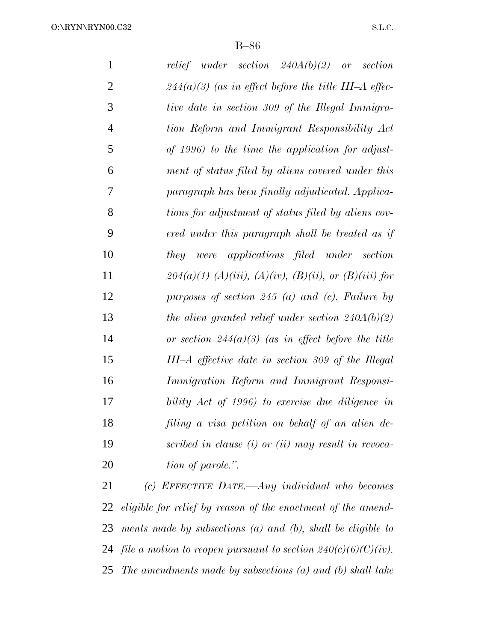O:\RYN\RYN00.C32

B–86

| $\mathbf{1}$   | relief under section $240A(b)(2)$ or<br>section         |
|----------------|---------------------------------------------------------|
| $\overline{2}$ | $244(a)(3)$ (as in effect before the title III–A effec- |
| 3              | tive date in section 309 of the Illegal Immigra-        |
| $\overline{4}$ | tion Reform and Immigrant Responsibility Act            |
| 5              | of 1996) to the time the application for adjust-        |
| 6              | ment of status filed by aliens covered under this       |
| 7              | paragraph has been finally adjudicated. Applica-        |
| 8              | tions for adjustment of status filed by aliens cov-     |
| 9              | ered under this paragraph shall be treated as if        |
| 10             | they were applications filed under section              |
| 11             | $204(a)(1)$ (A)(iii), (A)(iv), (B)(ii), or (B)(iii) for |
| 12             | purposes of section 245 (a) and (c). Failure by         |
| 13             | the alien granted relief under section $240A(b)(2)$     |
| 14             | or section $244(a)(3)$ (as in effect before the title   |
| 15             | III-A effective date in section 309 of the Illegal      |
| 16             | Immigration Reform and Immigrant Responsi-              |
| 17             | bility Act of 1996) to exercise due diligence in        |
| 18             | filing a visa petition on behalf of an alien de-        |
| 19             | scribed in clause $(i)$ or $(ii)$ may result in revoca- |
| 20             | tion of parole.".                                       |
|                |                                                         |

 *(c) EFFECTIVE DATE.—Any individual who becomes eligible for relief by reason of the enactment of the amend- ments made by subsections (a) and (b), shall be eligible to file a motion to reopen pursuant to section 240(c)(6)(C)(iv). The amendments made by subsections (a) and (b) shall take*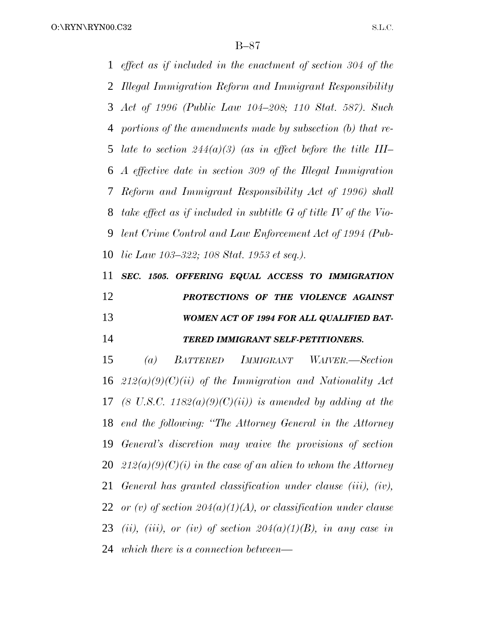O:\RYN\RYN00.C32

B–87

 *effect as if included in the enactment of section 304 of the Illegal Immigration Reform and Immigrant Responsibility Act of 1996 (Public Law 104–208; 110 Stat. 587). Such portions of the amendments made by subsection (b) that re- late to section 244(a)(3) (as in effect before the title III– A effective date in section 309 of the Illegal Immigration Reform and Immigrant Responsibility Act of 1996) shall take effect as if included in subtitle G of title IV of the Vio- lent Crime Control and Law Enforcement Act of 1994 (Pub- lic Law 103–322; 108 Stat. 1953 et seq.). SEC. 1505. OFFERING EQUAL ACCESS TO IMMIGRATION PROTECTIONS OF THE VIOLENCE AGAINST*

# *WOMEN ACT OF 1994 FOR ALL QUALIFIED BAT-TERED IMMIGRANT SELF-PETITIONERS.*

 *(a) BATTERED IMMIGRANT WAIVER.—Section 212(a)(9)(C)(ii) of the Immigration and Nationality Act (8 U.S.C. 1182(a)(9)(C)(ii)) is amended by adding at the end the following: ''The Attorney General in the Attorney General's discretion may waive the provisions of section 212(a)(9)(C)(i) in the case of an alien to whom the Attorney General has granted classification under clause (iii), (iv), or (v) of section 204(a)(1)(A), or classification under clause (ii), (iii), or (iv) of section 204(a)(1)(B), in any case in which there is a connection between—*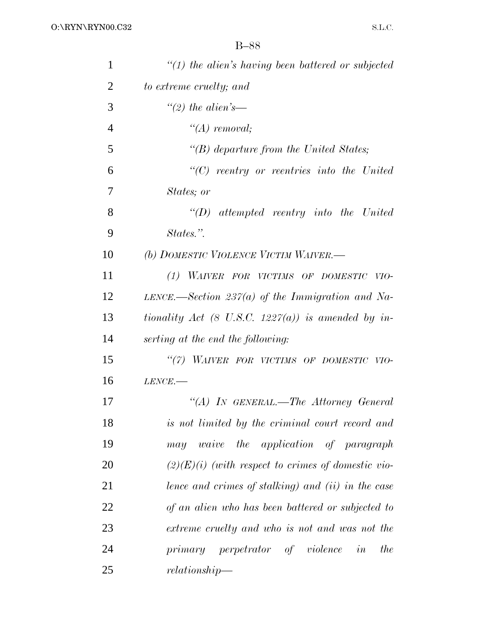| $\mathbf{1}$   | $"(1)$ the alien's having been battered or subjected |
|----------------|------------------------------------------------------|
| $\overline{2}$ | to extreme cruelty; and                              |
| 3              | "(2) the alien's—                                    |
| $\overline{4}$ | $\lq (A)$ removal;                                   |
| 5              | " $(B)$ departure from the United States;            |
| 6              | $\lq\lq C$ reentry or reentries into the United      |
| 7              | States; or                                           |
| 8              | $\lq\lq D$ attempted reentry into the United         |
| 9              | States.".                                            |
| 10             | (b) DOMESTIC VIOLENCE VICTIM WAIVER.-                |
| 11             | (1) WAIVER FOR VICTIMS OF DOMESTIC VIO-              |
| 12             | LENCE.—Section 237(a) of the Immigration and Na-     |
| 13             | tionality Act (8 U.S.C. 1227(a)) is amended by in-   |
| 14             | serting at the end the following:                    |
| 15             | "(7) WAIVER FOR VICTIMS OF DOMESTIC VIO-             |
| 16             | $LENCE$ .                                            |
| 17             | "(A) IN GENERAL.—The Attorney General                |
| 18             | is not limited by the criminal court record and      |
| 19             | may waive the application of paragraph               |
| 20             | $(2)(E)(i)$ (with respect to crimes of domestic vio- |
| 21             | lence and crimes of stalking) and (ii) in the case   |
| 22             | of an alien who has been battered or subjected to    |
| 23             | extreme cruelty and who is not and was not the       |
| 24             | primary perpetrator of violence in<br>the            |
| 25             | relationship                                         |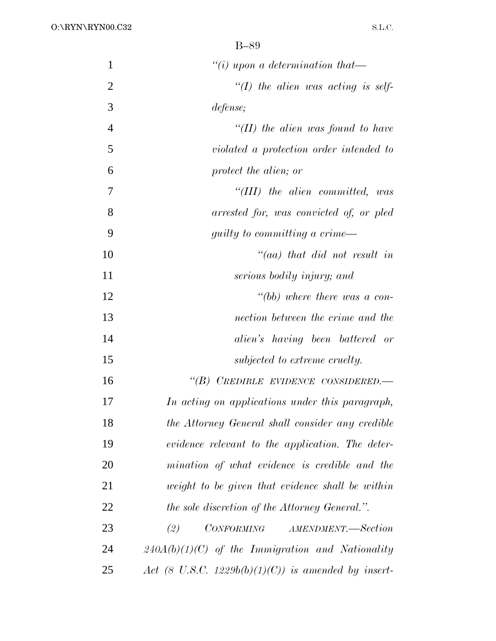| 1              | "(i) upon a determination that-                     |
|----------------|-----------------------------------------------------|
| $\overline{2}$ | $\lq (I)$ the alien was acting is self-             |
| 3              | defense;                                            |
| $\overline{4}$ | "(II) the alien was found to have                   |
| 5              | violated a protection order intended to             |
| 6              | protect the alien; or                               |
| 7              | "(III) the alien committed, was                     |
| 8              | arrested for, was convicted of, or pled             |
| 9              | <i>guilty to committing a crime—</i>                |
| 10             | $\lq\lq (aa)$ that did not result in                |
| 11             | serious bodily injury; and                          |
| 12             | "(bb) where there was a con-                        |
| 13             | nection between the crime and the                   |
| 14             | alien's having been battered or                     |
| 15             | subjected to extreme cruelty.                       |
| 16             | "(B) CREDIBLE EVIDENCE CONSIDERED.-                 |
| 17             | In acting on applications under this paragraph,     |
| 18             | the Attorney General shall consider any credible    |
| 19             | evidence relevant to the application. The deter-    |
| 20             | mination of what evidence is credible and the       |
| 21             | weight to be given that evidence shall be within    |
| 22             | the sole discretion of the Attorney General.".      |
| 23             | CONFORMING<br>(2)<br>AMENDMENT.—Section             |
| 24             | $240A(b)(1)(C)$ of the Immigration and Nationality  |
| 25             | Act (8 U.S.C. 1229b(b)(1)(C)) is amended by insert- |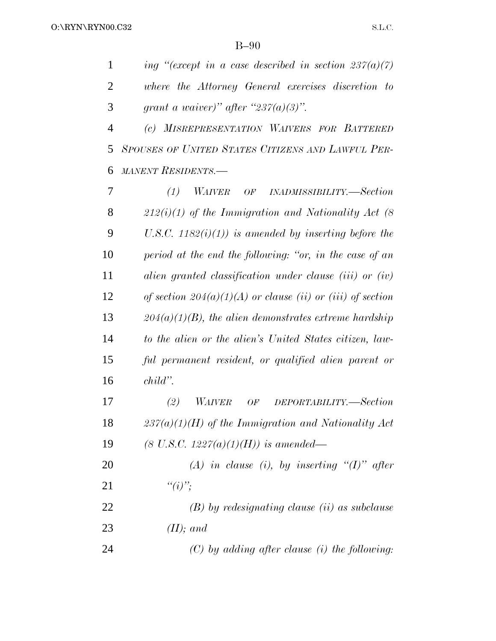*ing ''(except in a case described in section 237(a)(7) where the Attorney General exercises discretion to grant a waiver)'' after ''237(a)(3)''. (c) MISREPRESENTATION WAIVERS FOR BATTERED SPOUSES OF UNITED STATES CITIZENS AND LAWFUL PER- MANENT RESIDENTS.— (1) WAIVER OF INADMISSIBILITY.—Section 212(i)(1) of the Immigration and Nationality Act (8 U.S.C. 1182(i)(1)) is amended by inserting before the period at the end the following: ''or, in the case of an alien granted classification under clause (iii) or (iv) of section 204(a)(1)(A) or clause (ii) or (iii) of section 204(a)(1)(B), the alien demonstrates extreme hardship to the alien or the alien's United States citizen, law-ful permanent resident, or qualified alien parent or*

*child''.*

 *(2) WAIVER OF DEPORTABILITY.—Section 237(a)(1)(H) of the Immigration and Nationality Act (8 U.S.C. 1227(a)(1)(H)) is amended—*

 *(A) in clause (i), by inserting ''(I)'' after ''(i)'';*

 *(B) by redesignating clause (ii) as subclause (II); and*

*(C) by adding after clause (i) the following:*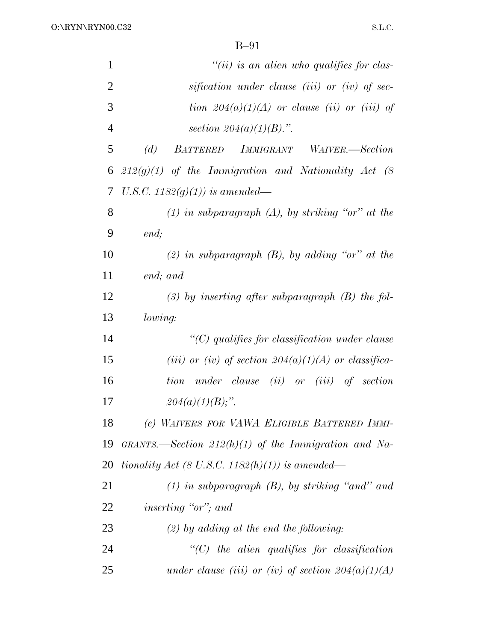| $\mathbf{1}$   | $``(ii)$ is an alien who qualifies for clas-           |
|----------------|--------------------------------------------------------|
| $\overline{2}$ | sification under clause (iii) or (iv) of sec-          |
| 3              | tion $204(a)(1)(A)$ or clause (ii) or (iii) of         |
| $\overline{4}$ | section $204(a)(1)(B)$ .".                             |
| 5              | (d)<br>BATTERED IMMIGRANT WAIVER.-Section              |
| 6              | $212(g)(1)$ of the Immigration and Nationality Act (8) |
| 7              | U.S.C. 1182 $(g)(1)$ ) is amended—                     |
| 8              | $(1)$ in subparagraph $(A)$ , by striking "or" at the  |
| 9              | end;                                                   |
| 10             | (2) in subparagraph $(B)$ , by adding "or" at the      |
| 11             | end; and                                               |
| 12             | $(3)$ by inserting after subparagraph $(B)$ the fol-   |
| 13             | <i>lowing:</i>                                         |
| 14             | $\lq\lq C$ qualifies for classification under clause   |
| 15             | (iii) or (iv) of section $204(a)(1)(A)$ or classifica- |
| 16             | tion under clause (ii) or (iii) of section             |
| 17             | $204(a)(1)(B)$ ;".                                     |
| 18             | (e) WAIVERS FOR VAWA ELIGIBLE BATTERED IMMI-           |
| 19             | GRANTS.—Section $212(h)(1)$ of the Immigration and Na- |
| 20             | tionality Act (8 U.S.C. 1182(h)(1)) is amended—        |
| 21             | $(1)$ in subparagraph $(B)$ , by striking "and" and    |
| 22             | <i>inserting "or"; and</i>                             |
| 23             | $(2)$ by adding at the end the following:              |
| 24             | $\lq\lq C$ the alien qualifies for classification      |
| 25             | under clause (iii) or (iv) of section $204(a)(1)(A)$   |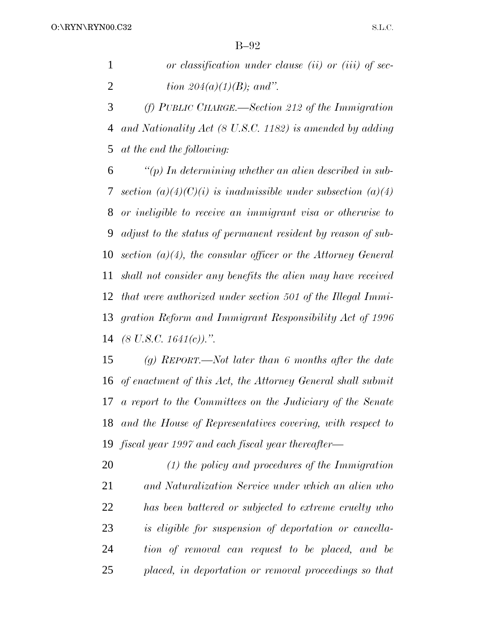| or classification under clause (ii) or (iii) of sec- |
|------------------------------------------------------|
| <i>tion 204(a)(1)(B); and".</i>                      |

 *(f) PUBLIC CHARGE.—Section 212 of the Immigration and Nationality Act (8 U.S.C. 1182) is amended by adding at the end the following:*

 *''(p) In determining whether an alien described in sub- section (a)(4)(C)(i) is inadmissible under subsection (a)(4) or ineligible to receive an immigrant visa or otherwise to adjust to the status of permanent resident by reason of sub- section (a)(4), the consular officer or the Attorney General shall not consider any benefits the alien may have received that were authorized under section 501 of the Illegal Immi- gration Reform and Immigrant Responsibility Act of 1996 (8 U.S.C. 1641(c)).''.*

 *(g) REPORT.—Not later than 6 months after the date of enactment of this Act, the Attorney General shall submit a report to the Committees on the Judiciary of the Senate and the House of Representatives covering, with respect to fiscal year 1997 and each fiscal year thereafter—*

 *(1) the policy and procedures of the Immigration and Naturalization Service under which an alien who has been battered or subjected to extreme cruelty who is eligible for suspension of deportation or cancella- tion of removal can request to be placed, and be placed, in deportation or removal proceedings so that*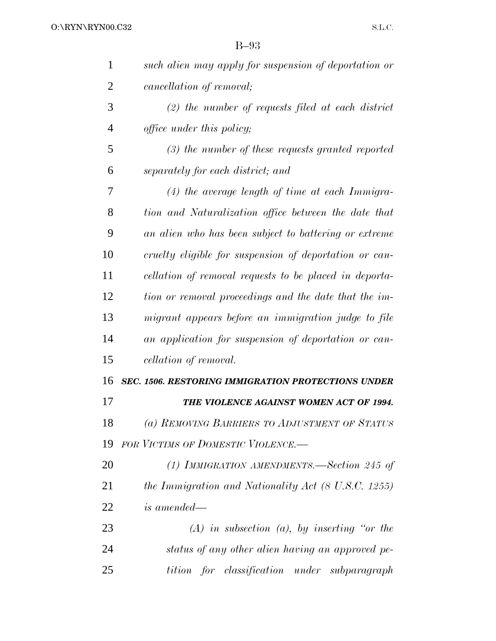| 1              | such alien may apply for suspension of deportation or     |
|----------------|-----------------------------------------------------------|
| 2              | cancellation of removal;                                  |
| 3              | $(2)$ the number of requests filed at each district       |
| $\overline{4}$ | <i>office under this policy;</i>                          |
| 5              | $(3)$ the number of these requests granted reported       |
| 6              | separately for each district; and                         |
| 7              | $(4)$ the average length of time at each Immigra-         |
| 8              | tion and Naturalization office between the date that      |
| 9              | an alien who has been subject to battering or extreme     |
| 10             | cruelty eligible for suspension of deportation or can-    |
| 11             | cellation of removal requests to be placed in deporta-    |
| 12             | tion or removal proceedings and the date that the im-     |
| 13             | migrant appears before an immigration judge to file       |
| 14             | an application for suspension of deportation or can-      |
| 15             | cellation of removal.                                     |
| 16             | <b>SEC. 1506. RESTORING IMMIGRATION PROTECTIONS UNDER</b> |
| 17             | THE VIOLENCE AGAINST WOMEN ACT OF 1994.                   |
| 18             | (a) REMOVING BARRIERS TO ADJUSTMENT OF STATUS             |
| 19             | <b>FOR VICTIMS OF DOMESTIC VIOLENCE.</b>                  |
| 20             | (1) IMMIGRATION AMENDMENTS.—Section 245 of                |
| 21             | the Immigration and Nationality Act (8 U.S.C. 1255)       |
| <u>22</u>      | <i>is amended—</i>                                        |
| 23             | $(A)$ in subsection $(a)$ , by inserting "or the          |
| 24             | status of any other alien having an approved pe-          |
| 25             | tition for classification under subparagraph              |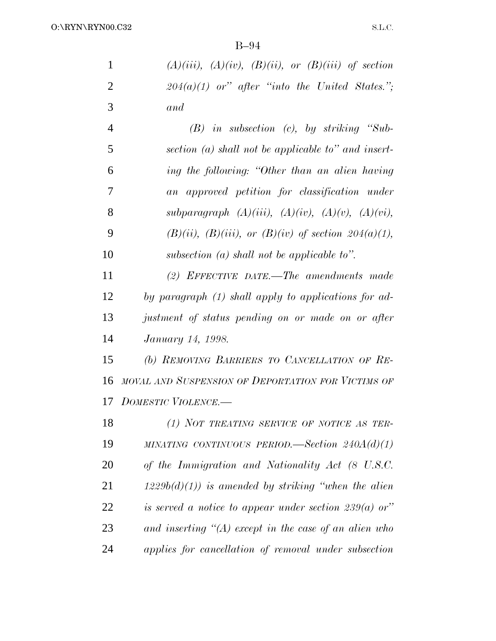| 1 | $(A)(iii)$ , $(A)(iv)$ , $(B)(ii)$ , or $(B)(iii)$ of section |
|---|---------------------------------------------------------------|
|   | $204(a)(1)$ or" after "into the United States.";              |
| 3 | and                                                           |
|   |                                                               |

|    | $(B)$ in subsection $(c)$ , by striking "Sub-                  |
|----|----------------------------------------------------------------|
| 5  | section $(a)$ shall not be applicable to" and insert-          |
| 6  | ing the following: "Other than an alien having                 |
| 7  | an approved petition for classification under                  |
| 8  | subparagraph $(A)(iii)$ , $(A)(iv)$ , $(A)(v)$ , $(A)(vi)$ ,   |
| 9  | $(B)(ii)$ , $(B)(iii)$ , or $(B)(iv)$ of section $204(a)(1)$ , |
| 10 | subsection (a) shall not be applicable to".                    |

 *(2) EFFECTIVE DATE.—The amendments made by paragraph (1) shall apply to applications for ad- justment of status pending on or made on or after January 14, 1998.*

 *(b) REMOVING BARRIERS TO CANCELLATION OF RE- MOVAL AND SUSPENSION OF DEPORTATION FOR VICTIMS OF DOMESTIC VIOLENCE.—*

 *(1) NOT TREATING SERVICE OF NOTICE AS TER- MINATING CONTINUOUS PERIOD.—Section 240A(d)(1) of the Immigration and Nationality Act (8 U.S.C. 1229b(d)(1)) is amended by striking ''when the alien is served a notice to appear under section 239(a) or'' and inserting ''(A) except in the case of an alien who applies for cancellation of removal under subsection*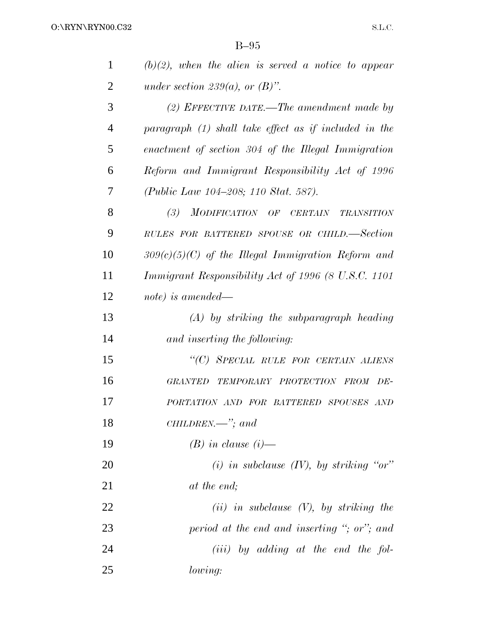| $\mathbf{1}$   | $(b)(2)$ , when the alien is served a notice to appear |
|----------------|--------------------------------------------------------|
| $\overline{2}$ | under section 239(a), or $(B)$ ".                      |
| 3              | (2) EFFECTIVE DATE.—The amendment made by              |
| $\overline{4}$ | paragraph (1) shall take effect as if included in the  |
| 5              | enactment of section 304 of the Illegal Immigration    |
| 6              | Reform and Immigrant Responsibility Act of 1996        |
| 7              | <i>(Public Law 104–208; 110 Stat. 587).</i>            |
| 8              | (3)<br>MODIFICATION OF CERTAIN<br><b>TRANSITION</b>    |
| 9              | RULES FOR BATTERED SPOUSE OR CHILD.-Section            |
| 10             | $309(c)(5)(C)$ of the Illegal Immigration Reform and   |
| 11             | Immigrant Responsibility Act of 1996 (8 U.S.C. 1101    |
| 12             | note) is amended—                                      |
| 13             | $(A)$ by striking the subparagraph heading             |
| 14             | and inserting the following:                           |
| 15             | "(C) SPECIAL RULE FOR CERTAIN ALIENS                   |
| 16             | <b>GRANTED</b><br>TEMPORARY PROTECTION FROM DE-        |
| 17             | PORTATION AND FOR BATTERED SPOUSES AND                 |
| 18             | $CHILDREN.$ "; and                                     |
| 19             | $(B)$ in clause $(i)$ —                                |
| <b>20</b>      | (i) in subclause $(IV)$ , by striking "or"             |
| 21             | at the end;                                            |
| 22             | $(ii)$ in subclause $(V)$ , by striking the            |
| 23             | period at the end and inserting "; or"; and            |
| 24             | $(iii)$ by adding at the end the fol-                  |
| 25             | lowing:                                                |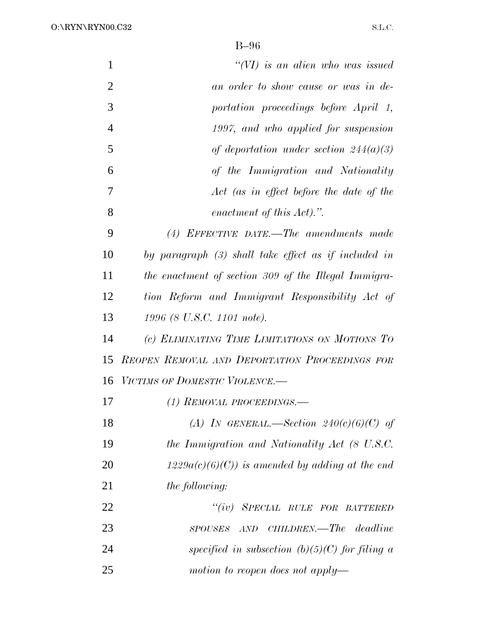O:\RYN\RYN00.C32

| $\mathbf{1}$   | $``(VI)$ is an alien who was issued                  |
|----------------|------------------------------------------------------|
| $\overline{2}$ | an order to show cause or was in de-                 |
| 3              | portation proceedings before April 1,                |
| $\overline{4}$ | 1997, and who applied for suspension                 |
| 5              | of deportation under section $244(a)(3)$             |
| 6              | of the Immigration and Nationality                   |
| 7              | Act (as in effect before the date of the             |
| 8              | enactment of this Act).".                            |
| 9              | $(4)$ EFFECTIVE DATE.—The amendments made            |
| 10             | by paragraph (3) shall take effect as if included in |
| 11             | the enactment of section 309 of the Illegal Immigra- |
| 12             | tion Reform and Immigrant Responsibility Act of      |
| 13             | 1996 (8 U.S.C. 1101 note).                           |
| 14             | (c) ELIMINATING TIME LIMITATIONS ON MOTIONS TO       |
| 15             | REOPEN REMOVAL AND DEPORTATION PROCEEDINGS FOR       |
| 16             | VICTIMS OF DOMESTIC VIOLENCE.-                       |
| 17             | (1) REMOVAL PROCEEDINGS.—                            |
| 18             | (A) IN GENERAL.—Section $240(c)(6)(C)$ of            |
| 19             | the Immigration and Nationality Act (8 U.S.C.        |
| 20             | $1229a(c)(6)(C)$ is amended by adding at the end     |
| 21             | <i>the following:</i>                                |
| 22             | ``(iv)<br>SPECIAL RULE FOR BATTERED                  |
| 23             | AND CHILDREN.—The deadline<br><b>SPOUSES</b>         |
| 24             | specified in subsection $(b)(5)(C)$ for filing a     |
| 25             | motion to reopen does not apply—                     |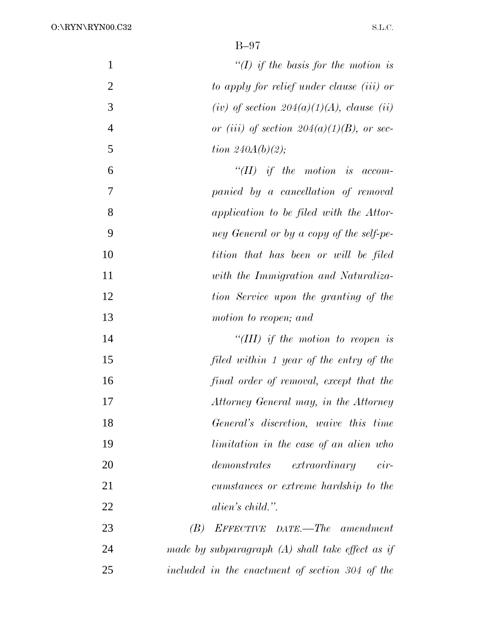| 1              | "(I) if the basis for the motion is                |
|----------------|----------------------------------------------------|
| $\overline{2}$ | to apply for relief under clause (iii) or          |
| 3              | (iv) of section $204(a)(1)(A)$ , clause (ii)       |
| $\overline{4}$ | or (iii) of section $204(a)(1)(B)$ , or sec-       |
| 5              | tion $240A(b)(2)$ ;                                |
| 6              | $``(II)$ if the motion is accom-                   |
| 7              | panied by a cancellation of removal                |
| 8              | application to be filed with the Attor-            |
| 9              | ney General or by a copy of the self-pe-           |
| 10             | tition that has been or will be filed              |
| 11             | with the Immigration and Naturaliza-               |
| 12             | tion Service upon the granting of the              |
| 13             | motion to reopen; and                              |
| 14             | "(III) if the motion to reopen is                  |
| 15             | filed within 1 year of the entry of the            |
| 16             | final order of removal, except that the            |
| 17             | Attorney General may, in the Attorney              |
| 18             | General's discretion, waive this time              |
| 19             | limitation in the case of an alien who             |
| 20             | demonstrates<br>$extraordinary$ cir-               |
| 21             | cumstances or extreme hardship to the              |
| 22             | alien's child.".                                   |
| 23             | EFFECTIVE DATE.—The amendment<br>(B)               |
| 24             | made by subparagraph $(A)$ shall take effect as if |
| 25             | included in the enactment of section 304 of the    |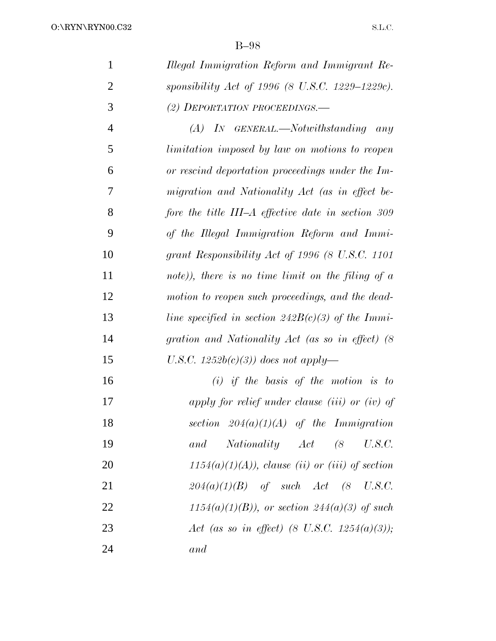| $\mathbf{1}$   | Illegal Immigration Reform and Immigrant Re-          |
|----------------|-------------------------------------------------------|
| $\overline{2}$ | sponsibility Act of 1996 (8 U.S.C. 1229–1229c).       |
| 3              | (2) DEPORTATION PROCEEDINGS.                          |
| $\overline{4}$ | $(A)$ In GENERAL.—Notwithstanding any                 |
| 5              | <i>limitation imposed by law on motions to reopen</i> |
| 6              | or rescind deportation proceedings under the Im-      |
| 7              | migration and Nationality Act (as in effect be-       |
| 8              | fore the title III–A effective date in section 309    |
| 9              | of the Illegal Immigration Reform and Immi-           |
| 10             | grant Responsibility Act of 1996 (8 U.S.C. 1101       |
| 11             | note)), there is no time limit on the filing of $a$   |
| 12             | motion to reopen such proceedings, and the dead-      |
| 13             | line specified in section $242B(c)(3)$ of the Immi-   |
| 14             | gration and Nationality Act (as so in effect) (8      |
| 15             | U.S.C. $1252b(c)(3)$ does not apply—                  |
| 16             | $(i)$ if the basis of the motion is to                |
| 17             | apply for relief under clause (iii) or (iv) of        |
| 18             | section $204(a)(1)(A)$ of the Immigration             |
| 19             | Nationality Act (8 U.S.C.<br>and                      |
| 20             | $1154(a)(1)(A)$ , clause (ii) or (iii) of section     |
| 21             | $204(a)(1)(B)$ of such Act $(8 \text{ U.S.C.})$       |
| 22             | $1154(a)(1)(B)$ , or section 244(a)(3) of such        |
| 23             | Act (as so in effect) (8 U.S.C. 1254(a)(3));          |
| 24             | and                                                   |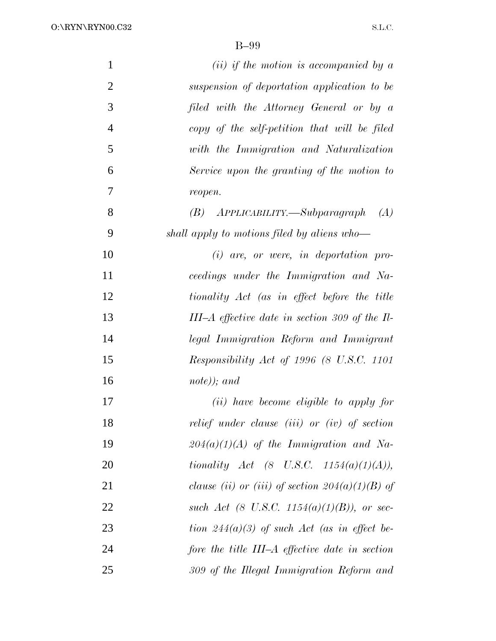O:\RYN\RYN00.C32

| $\mathbf{1}$   | (ii) if the motion is accompanied by $a$                  |
|----------------|-----------------------------------------------------------|
| $\overline{2}$ | suspension of deportation application to be               |
| 3              | filed with the Attorney General or by a                   |
| $\overline{4}$ | copy of the self-petition that will be filed              |
| 5              | with the Immigration and Naturalization                   |
| 6              | Service upon the granting of the motion to                |
| 7              | reopen.                                                   |
| 8              | $(B)$ APPLICABILITY.—Subparagraph $(A)$                   |
| 9              | shall apply to motions filed by aliens who-               |
| 10             | $(i)$ are, or were, in deportation pro-                   |
| 11             | ceedings under the Immigration and Na-                    |
| 12             | tionality Act (as in effect before the title              |
| 13             | III–A effective date in section 309 of the $\Pi$ -        |
| 14             | legal Immigration Reform and Immigrant                    |
| 15             | Responsibility Act of 1996 (8 U.S.C. 1101                 |
| 16             | $note)$ ; and                                             |
| 17             | ( <i>ii</i> ) have become eligible to apply for           |
| 18             | relief under clause (iii) or (iv) of section              |
| 19             | $204(a)(1)(A)$ of the Immigration and Na-                 |
| 20             | <i>tionality</i> Act $(8 \text{ U.S.C. } 1154(a)(1)(A)),$ |
| 21             | clause (ii) or (iii) of section $204(a)(1)(B)$ of         |
| 22             | such Act (8 U.S.C. 1154(a)(1)(B)), or sec-                |
| 23             | tion $244(a)(3)$ of such Act (as in effect be-            |
| 24             | fore the title III–A effective date in section            |
| 25             | 309 of the Illegal Immigration Reform and                 |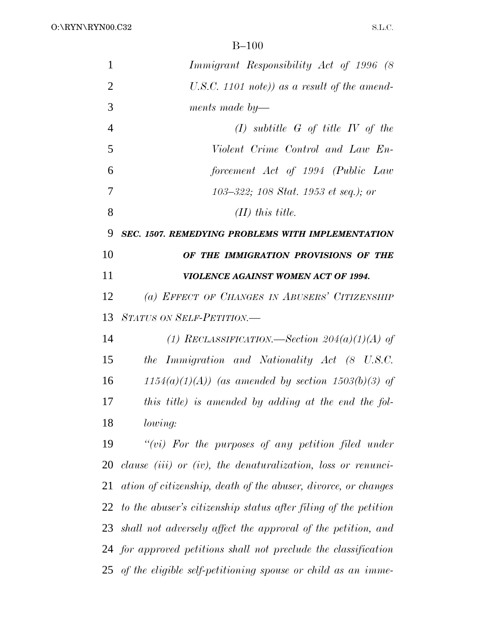| $\mathbf{1}$   | Immigrant Responsibility Act of 1996 (8)                        |
|----------------|-----------------------------------------------------------------|
| $\overline{2}$ | U.S.C. 1101 note)) as a result of the amend-                    |
| 3              | ments made by—                                                  |
| $\overline{4}$ | $(I)$ subtitle G of title IV of the                             |
| 5              | Violent Crime Control and Law En-                               |
| 6              | forcement Act of 1994 (Public Law                               |
| 7              | 103–322; 108 Stat. 1953 et seq.); or                            |
| 8              | $(II)$ this title.                                              |
| 9              | SEC. 1507. REMEDYING PROBLEMS WITH IMPLEMENTATION               |
| 10             | OF THE IMMIGRATION PROVISIONS OF THE                            |
| 11             | VIOLENCE AGAINST WOMEN ACT OF 1994.                             |
| 12             | (a) EFFECT OF CHANGES IN ABUSERS' CITIZENSHIP                   |
| 13             | STATUS ON SELF-PETITION.-                                       |
| 14             | (1) RECLASSIFICATION.—Section $204(a)(1)(A)$ of                 |
| 15             | the Immigration and Nationality Act (8 U.S.C.                   |
| 16             | $1154(a)(1)(A)$ (as amended by section 1503(b)(3) of            |
| 17             | this title) is amended by adding at the end the fol-            |
| 18             | lowing:                                                         |
| 19             | " $(vi)$ For the purposes of any petition filed under           |
| 20             | clause (iii) or (iv), the denaturalization, loss or renunci-    |
| 21             | ation of citizenship, death of the abuser, divorce, or changes  |
| 22             | to the abuser's citizenship status after filing of the petition |
| 23             | shall not adversely affect the approval of the petition, and    |
|                | 24 for approved petitions shall not preclude the classification |
|                | 25 of the eligible self-petitioning spouse or child as an imme- |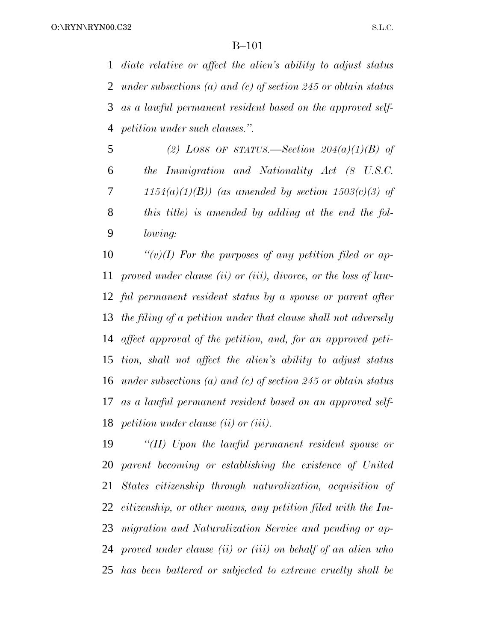*diate relative or affect the alien's ability to adjust status under subsections (a) and (c) of section 245 or obtain status as a lawful permanent resident based on the approved self-petition under such clauses.''.*

 *(2) LOSS OF STATUS.—Section 204(a)(1)(B) of the Immigration and Nationality Act (8 U.S.C. 1154(a)(1)(B)) (as amended by section 1503(c)(3) of this title) is amended by adding at the end the fol-lowing:*

 *''(v)(I) For the purposes of any petition filed or ap- proved under clause (ii) or (iii), divorce, or the loss of law- ful permanent resident status by a spouse or parent after the filing of a petition under that clause shall not adversely affect approval of the petition, and, for an approved peti- tion, shall not affect the alien's ability to adjust status under subsections (a) and (c) of section 245 or obtain status as a lawful permanent resident based on an approved self-petition under clause (ii) or (iii).*

 *''(II) Upon the lawful permanent resident spouse or parent becoming or establishing the existence of United States citizenship through naturalization, acquisition of citizenship, or other means, any petition filed with the Im- migration and Naturalization Service and pending or ap- proved under clause (ii) or (iii) on behalf of an alien who has been battered or subjected to extreme cruelty shall be*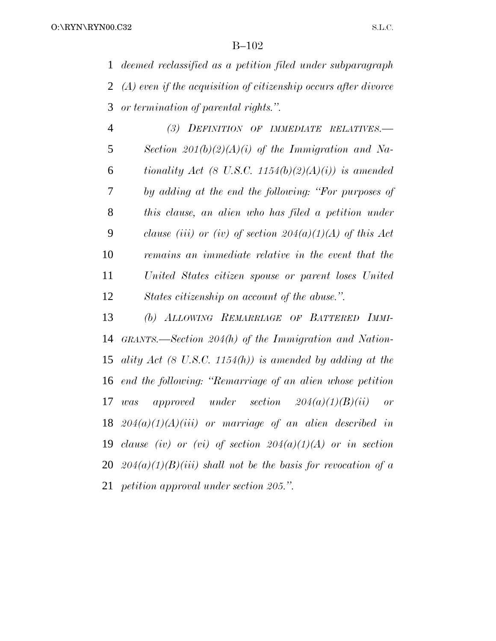*deemed reclassified as a petition filed under subparagraph (A) even if the acquisition of citizenship occurs after divorce or termination of parental rights.''.*

 *(3) DEFINITION OF IMMEDIATE RELATIVES.— Section 201(b)(2)(A)(i) of the Immigration and Na- tionality Act (8 U.S.C. 1154(b)(2)(A)(i)) is amended by adding at the end the following: ''For purposes of this clause, an alien who has filed a petition under clause (iii) or (iv) of section 204(a)(1)(A) of this Act remains an immediate relative in the event that the United States citizen spouse or parent loses United States citizenship on account of the abuse.''.*

 *(b) ALLOWING REMARRIAGE OF BATTERED IMMI- GRANTS.—Section 204(h) of the Immigration and Nation- ality Act (8 U.S.C. 1154(h)) is amended by adding at the end the following: ''Remarriage of an alien whose petition was approved under section 204(a)(1)(B)(ii) or 204(a)(1)(A)(iii) or marriage of an alien described in clause (iv) or (vi) of section 204(a)(1)(A) or in section 204(a)(1)(B)(iii) shall not be the basis for revocation of a petition approval under section 205.''.*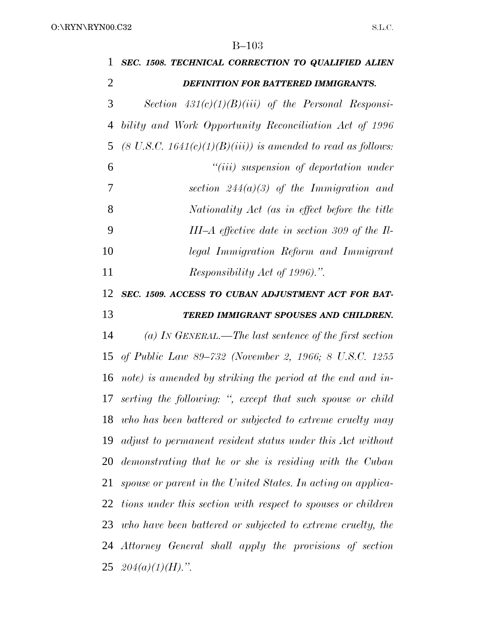| 1              | SEC. 1508. TECHNICAL CORRECTION TO QUALIFIED ALIEN                      |
|----------------|-------------------------------------------------------------------------|
| $\overline{2}$ | DEFINITION FOR BATTERED IMMIGRANTS.                                     |
| 3              | Section $431(c)(1)(B)(iii)$ of the Personal Responsi-                   |
| 4              | bility and Work Opportunity Reconciliation Act of 1996                  |
| 5              | $(8 \text{ U.S.C. } 1641(c)(1)(B)(iii))$ is amended to read as follows: |
| 6              | $``(iii)$ suspension of deportation under                               |
| 7              | section $244(a)(3)$ of the Immigration and                              |
| 8              | Nationality Act (as in effect before the title                          |
| 9              | III-A effective date in section 309 of the $\Pi$ -                      |
| 10             | legal Immigration Reform and Immigrant                                  |
| 11             | <i>Responsibility Act of 1996).</i> ".                                  |
| 12             | SEC. 1509. ACCESS TO CUBAN ADJUSTMENT ACT FOR BAT-                      |
| 13             | TERED IMMIGRANT SPOUSES AND CHILDREN.                                   |
| 14             | (a) IN GENERAL.—The last sentence of the first section                  |
|                | 15 of Public Law 89–732 (November 2, 1966; 8 U.S.C. 1255                |
| 16             | note) is amended by striking the period at the end and in-              |
|                | 17 serting the following: ", except that such spouse or child           |
|                | 18 who has been battered or subjected to extreme cruelty may            |
|                | 19 adjust to permanent resident status under this Act without           |
| 20             | demonstrating that he or she is residing with the Cuban                 |
| 21             | spouse or parent in the United States. In acting on applica-            |
| 22             | tions under this section with respect to spouses or children            |
|                | 23 who have been battered or subjected to extreme cruelty, the          |
|                | 24 Attorney General shall apply the provisions of section               |
|                | $25 \text{ } 204(a)(1)(H)$ .".                                          |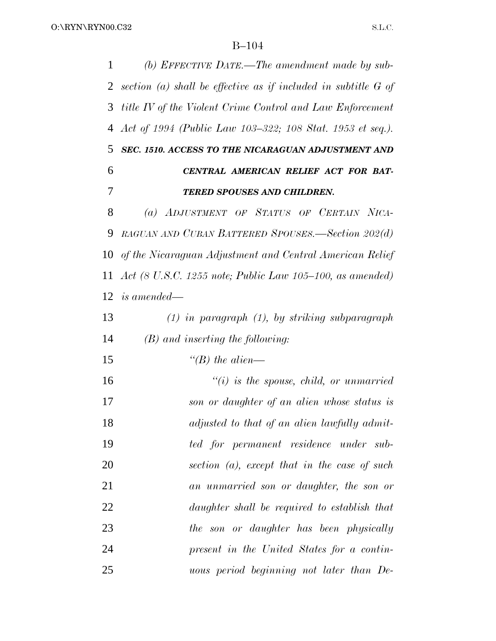*(b) EFFECTIVE DATE.—The amendment made by sub- section (a) shall be effective as if included in subtitle G of title IV of the Violent Crime Control and Law Enforcement Act of 1994 (Public Law 103–322; 108 Stat. 1953 et seq.). SEC. 1510. ACCESS TO THE NICARAGUAN ADJUSTMENT AND CENTRAL AMERICAN RELIEF ACT FOR BAT- TERED SPOUSES AND CHILDREN. (a) ADJUSTMENT OF STATUS OF CERTAIN NICA- RAGUAN AND CUBAN BATTERED SPOUSES.—Section 202(d) of the Nicaraguan Adjustment and Central American Relief Act (8 U.S.C. 1255 note; Public Law 105–100, as amended) is amended— (1) in paragraph (1), by striking subparagraph (B) and inserting the following: ''(B) the alien— ''(i) is the spouse, child, or unmarried son or daughter of an alien whose status is adjusted to that of an alien lawfully admit- ted for permanent residence under sub- section (a), except that in the case of such an unmarried son or daughter, the son or daughter shall be required to establish that the son or daughter has been physically present in the United States for a contin-uous period beginning not later than De-*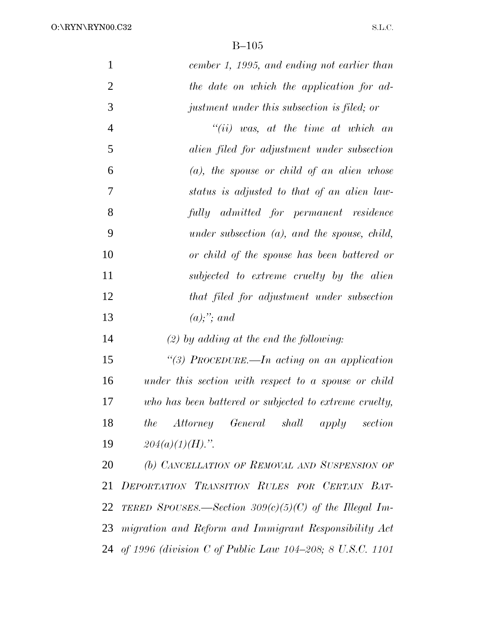O:\RYN\RYN00.C32

| $\mathbf{1}$   | cember 1, 1995, and ending not earlier than                 |
|----------------|-------------------------------------------------------------|
| $\overline{2}$ | the date on which the application for ad-                   |
| 3              | justment under this subsection is filed; or                 |
| $\overline{4}$ | $``(ii)$ was, at the time at which an                       |
| 5              | alien filed for adjustment under subsection                 |
| 6              | $(a)$ , the spouse or child of an alien whose               |
| 7              | status is adjusted to that of an alien law-                 |
| 8              | fully admitted for permanent residence                      |
| 9              | under subsection $(a)$ , and the spouse, child,             |
| 10             | or child of the spouse has been battered or                 |
| 11             | subjected to extreme cruelty by the alien                   |
| 12             | that filed for adjustment under subsection                  |
| 13             | $(a);$ "; and                                               |
| 14             | $(2)$ by adding at the end the following:                   |
| 15             | "(3) PROCEDURE.—In acting on an application                 |
| 16             | under this section with respect to a spouse or child        |
| 17             | who has been battered or subjected to extreme cruelty,      |
| 18             | <i>Attorney General</i><br>shall<br>the<br>apply<br>section |
| 19             | $204(a)(1)(H)$ .".                                          |
| 20             | (b) CANCELLATION OF REMOVAL AND SUSPENSION OF               |
| 21             | DEPORTATION TRANSITION RULES FOR CERTAIN BAT-               |
| 22             | TERED SPOUSES.—Section $309(c)(5)(C)$ of the Illegal Im-    |
| 23             | migration and Reform and Immigrant Responsibility Act       |
|                | 24 of 1996 (division C of Public Law 104-208; 8 U.S.C. 1101 |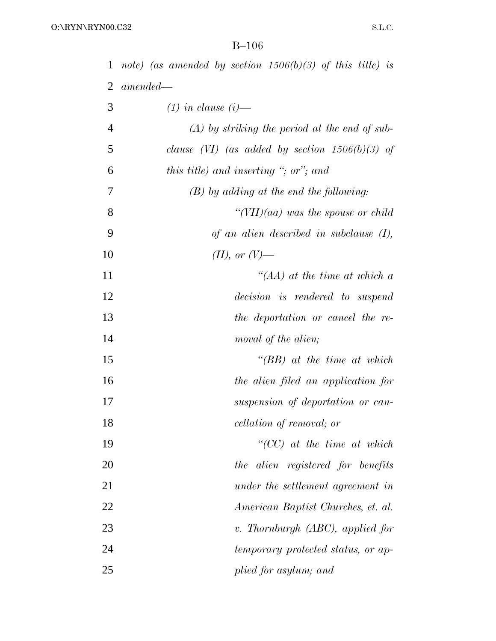|                | 1 note) (as amended by section $1506(b)(3)$ of this title) is |
|----------------|---------------------------------------------------------------|
| 2              | $amended-$                                                    |
| 3              | $(1)$ in clause $(i)$ —                                       |
| $\overline{4}$ | $(A)$ by striking the period at the end of sub-               |
| 5              | clause (VI) (as added by section $1506(b)(3)$ of              |
| 6              | this title) and inserting "; or"; and                         |
| 7              | $(B)$ by adding at the end the following:                     |
| 8              | "(VII) $(aa)$ was the spouse or child                         |
| 9              | of an alien described in subclause $(I)$ ,                    |
| 10             | $(II)$ , or $(V)$ —                                           |
| 11             | "(AA) at the time at which $a$                                |
| 12             | decision is rendered to suspend                               |
| 13             | the deportation or cancel the re-                             |
| 14             | moval of the alien;                                           |
| 15             | $\lq\lq (BB)$ at the time at which                            |
| 16             | the alien filed an application for                            |
| 17             | suspension of deportation or can-                             |
| 18             | cellation of removal; or                                      |
| 19             | $``(CC)$ at the time at which                                 |
| 20             | the alien registered for benefits                             |
| 21             | under the settlement agreement in                             |
| 22             | American Baptist Churches, et. al.                            |
| 23             | v. Thornburgh $(ABC)$ , applied for                           |
| 24             | temporary protected status, or ap-                            |
| 25             | plied for asylum; and                                         |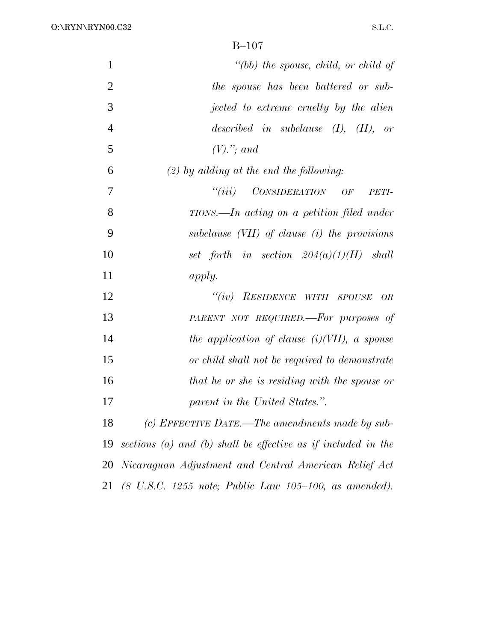| $\mathbf{1}$   | "(bb) the spouse, child, or child of                                            |
|----------------|---------------------------------------------------------------------------------|
| $\overline{2}$ | the spouse has been battered or sub-                                            |
| 3              | jected to extreme cruelty by the alien                                          |
| $\overline{4}$ | described in subclause $(I)$ , $(II)$ , or                                      |
| 5              | $(V)$ ."; and                                                                   |
| 6              | $(2)$ by adding at the end the following:                                       |
| 7              | ``(iii)<br>CONSIDERATION OF<br>PETI-                                            |
| 8              | $TIONS$ —In acting on a petition filed under                                    |
| 9              | subclause $(VII)$ of clause $(i)$ the provisions                                |
| 10             | set forth in section $204(a)(1)(H)$ shall                                       |
| 11             | apply.                                                                          |
| 12             | "(iv) RESIDENCE WITH SPOUSE<br>OR                                               |
| 13             | PARENT NOT REQUIRED.—For purposes of                                            |
| 14             | the application of clause $(i)(VII)$ , a spouse                                 |
| 15             | or child shall not be required to demonstrate                                   |
| 16             | that he or she is residing with the spouse or                                   |
| 17             | parent in the United States.".                                                  |
| 18             | (c) EFFECTIVE DATE.—The amendments made by sub-                                 |
| 19             | sections (a) and (b) shall be effective as if included in the                   |
| 20             | Nicaraguan Adjustment and Central American Relief Act                           |
| 21             | $(8 \, U.S.C. \, 1255 \, note; \, Public \, Law \, 105-100, \, as \, amended).$ |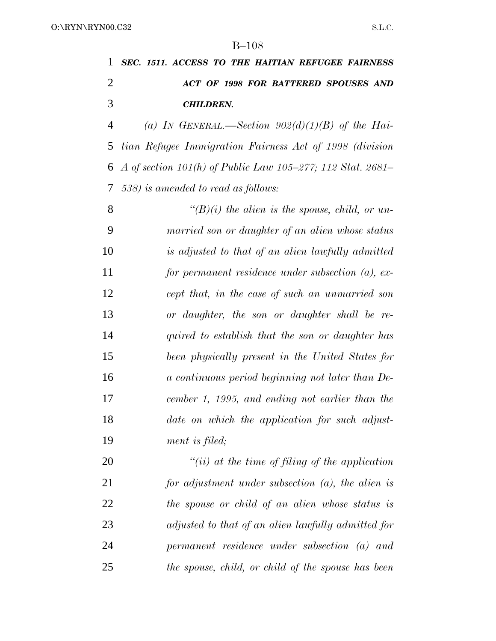*SEC. 1511. ACCESS TO THE HAITIAN REFUGEE FAIRNESS ACT OF 1998 FOR BATTERED SPOUSES AND CHILDREN.*

 *(a) IN GENERAL.—Section 902(d)(1)(B) of the Hai- tian Refugee Immigration Fairness Act of 1998 (division A of section 101(h) of Public Law 105–277; 112 Stat. 2681– 538) is amended to read as follows:*

 *''(B)(i) the alien is the spouse, child, or un- married son or daughter of an alien whose status is adjusted to that of an alien lawfully admitted for permanent residence under subsection (a), ex- cept that, in the case of such an unmarried son or daughter, the son or daughter shall be re- quired to establish that the son or daughter has been physically present in the United States for a continuous period beginning not later than De- cember 1, 1995, and ending not earlier than the date on which the application for such adjust-ment is filed;*

 *''(ii) at the time of filing of the application for adjustment under subsection (a), the alien is the spouse or child of an alien whose status is adjusted to that of an alien lawfully admitted for permanent residence under subsection (a) and the spouse, child, or child of the spouse has been*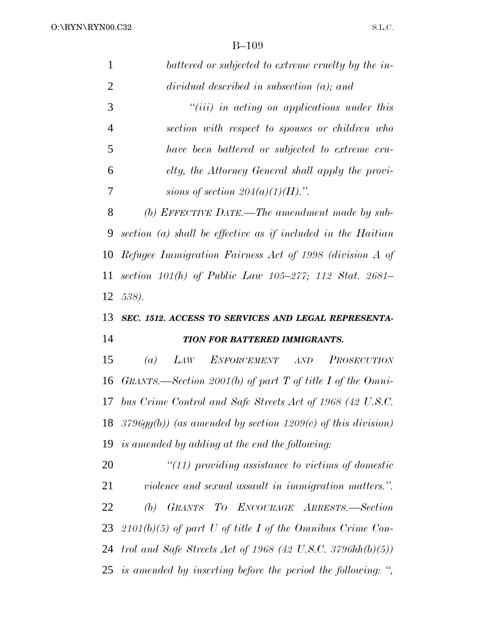| 1              | battered or subjected to extreme cruelty by the in-               |
|----------------|-------------------------------------------------------------------|
| $\overline{2}$ | $dividual$ described in subsection $(a)$ ; and                    |
| 3              | $``(iii)$ in acting on applications under this                    |
| $\overline{4}$ | section with respect to spouses or children who                   |
| 5              | have been battered or subjected to extreme cru-                   |
| 6              | elty, the Attorney General shall apply the provi-                 |
| 7              | sions of section $204(a)(1)(H)$ .".                               |
| 8              | (b) EFFECTIVE DATE.—The amendment made by sub-                    |
| 9              | section $(a)$ shall be effective as if included in the Haitian    |
| 10             | Refugee Immigration Fairness Act of 1998 (division A of           |
| 11             | section $101(h)$ of Public Law $105-277$ ; $112$ Stat. $2681-$    |
| 12             | 538).                                                             |
|                |                                                                   |
|                | SEC. 1512. ACCESS TO SERVICES AND LEGAL REPRESENTA-               |
| 13<br>14       | TION FOR BATTERED IMMIGRANTS.                                     |
| 15             | $\left( a\right)$<br>LAW<br>ENFORCEMENT AND<br><b>PROSECUTION</b> |
| 16             | GRANTS.—Section 2001(b) of part T of title I of the Omni-         |
| 17             | bus Crime Control and Safe Streets Act of 1968 (42 U.S.C.         |
| 18             | $3796gg(b)$ (as amended by section 1209(c) of this division)      |
|                | is amended by adding at the end the following:                    |
| 19<br>20       | $"(11)$ providing assistance to victims of domestic               |
| 21             | violence and sexual assault in immigration matters.".             |
| 22             | (b) GRANTS TO ENCOURAGE ARRESTS.-Section                          |
|                | 23 $2101(b)(5)$ of part U of title I of the Omnibus Crime Con-    |
|                | 24 trol and Safe Streets Act of 1968 (42 U.S.C. 3796hh $(b)(5)$ ) |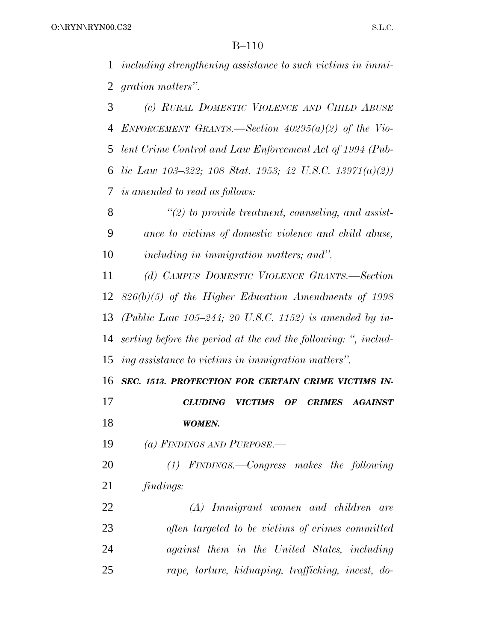*including strengthening assistance to such victims in immi-gration matters''.*

 *(c) RURAL DOMESTIC VIOLENCE AND CHILD ABUSE ENFORCEMENT GRANTS.—Section 40295(a)(2) of the Vio- lent Crime Control and Law Enforcement Act of 1994 (Pub- lic Law 103–322; 108 Stat. 1953; 42 U.S.C. 13971(a)(2)) is amended to read as follows:*

 *''(2) to provide treatment, counseling, and assist- ance to victims of domestic violence and child abuse, including in immigration matters; and''.*

 *(d) CAMPUS DOMESTIC VIOLENCE GRANTS.—Section 826(b)(5) of the Higher Education Amendments of 1998 (Public Law 105–244; 20 U.S.C. 1152) is amended by in- serting before the period at the end the following: '', includ-ing assistance to victims in immigration matters''.*

 *SEC. 1513. PROTECTION FOR CERTAIN CRIME VICTIMS IN- CLUDING VICTIMS OF CRIMES AGAINST WOMEN.*

*(a) FINDINGS AND PURPOSE.—*

 *(1) FINDINGS.—Congress makes the following findings:*

 *(A) Immigrant women and children are often targeted to be victims of crimes committed against them in the United States, including rape, torture, kidnaping, trafficking, incest, do-*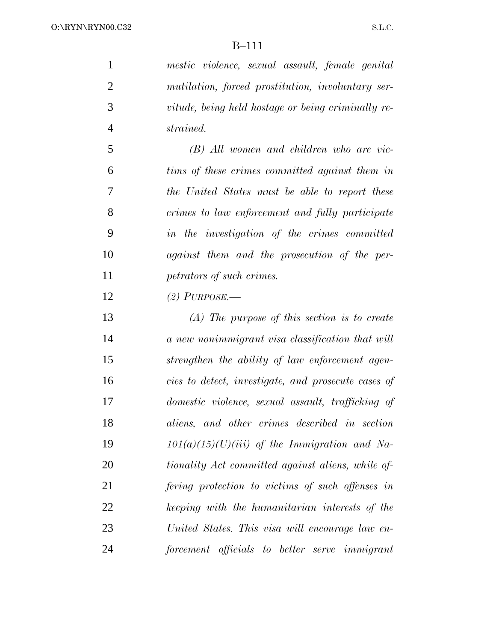*mestic violence, sexual assault, female genital mutilation, forced prostitution, involuntary ser- vitude, being held hostage or being criminally re-strained.*

 *(B) All women and children who are vic- tims of these crimes committed against them in the United States must be able to report these crimes to law enforcement and fully participate in the investigation of the crimes committed against them and the prosecution of the per-petrators of such crimes.*

*(2) PURPOSE.—*

 *(A) The purpose of this section is to create a new nonimmigrant visa classification that will strengthen the ability of law enforcement agen- cies to detect, investigate, and prosecute cases of domestic violence, sexual assault, trafficking of aliens, and other crimes described in section 101(a)(15)(U)(iii) of the Immigration and Na- tionality Act committed against aliens, while of- fering protection to victims of such offenses in keeping with the humanitarian interests of the United States. This visa will encourage law en-forcement officials to better serve immigrant*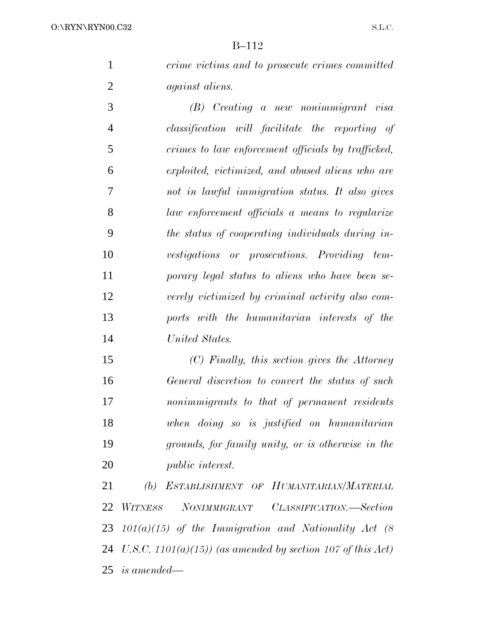*crime victims and to prosecute crimes committed against aliens.*

 *(B) Creating a new nonimmigrant visa classification will facilitate the reporting of crimes to law enforcement officials by trafficked, exploited, victimized, and abused aliens who are not in lawful immigration status. It also gives law enforcement officials a means to regularize the status of cooperating individuals during in- vestigations or prosecutions. Providing tem- porary legal status to aliens who have been se- verely victimized by criminal activity also com- ports with the humanitarian interests of the United States.*

 *(C) Finally, this section gives the Attorney General discretion to convert the status of such nonimmigrants to that of permanent residents when doing so is justified on humanitarian grounds, for family unity, or is otherwise in the public interest.*

 *(b) ESTABLISHMENT OF HUMANITARIAN/MATERIAL WITNESS NONIMMIGRANT CLASSIFICATION.—Section 101(a)(15) of the Immigration and Nationality Act (8 U.S.C. 1101(a)(15)) (as amended by section 107 of this Act) is amended—*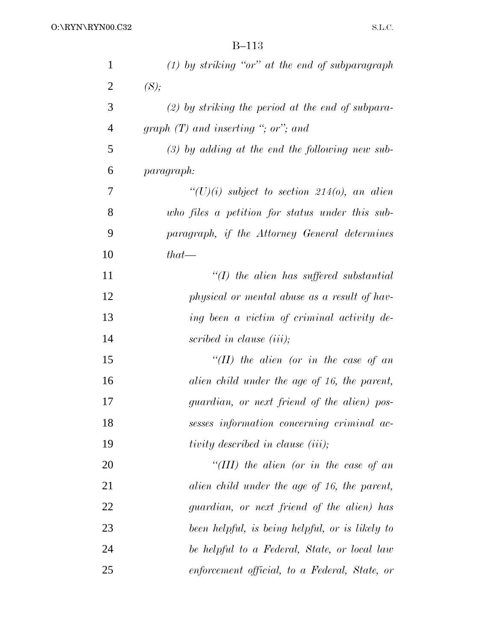| $\mathbf{1}$   | $(1)$ by striking "or" at the end of subparagraph   |
|----------------|-----------------------------------------------------|
| $\overline{2}$ | (S);                                                |
| 3              | $(2)$ by striking the period at the end of subpara- |
| $\overline{4}$ | graph $(T)$ and inserting "; or"; and               |
| 5              | $(3)$ by adding at the end the following new sub-   |
| 6              | paragraph:                                          |
| 7              | $``(U)(i)$ subject to section 214(o), an alien      |
| 8              | who files a petition for status under this sub-     |
| 9              | paragraph, if the Attorney General determines       |
| 10             | $that$ —                                            |
| 11             | $\lq (I)$ the alien has suffered substantial        |
| 12             | physical or mental abuse as a result of hav-        |
| 13             | ing been a victim of criminal activity de-          |
| 14             | scribed in clause (iii);                            |
| 15             | "(II) the alien (or in the case of an               |
| 16             | alien child under the age of 16, the parent,        |
| 17             | guardian, or next friend of the alien) pos-         |
| 18             | sesses information concerning criminal ac-          |
| 19             | tivity described in clause (iii);                   |
| 20             | "(III) the alien (or in the case of an              |
| 21             | alien child under the age of 16, the parent,        |
| 22             | guardian, or next friend of the alien) has          |
| 23             | been helpful, is being helpful, or is likely to     |
| 24             | be helpful to a Federal, State, or local law        |
| 25             | enforcement official, to a Federal, State, or       |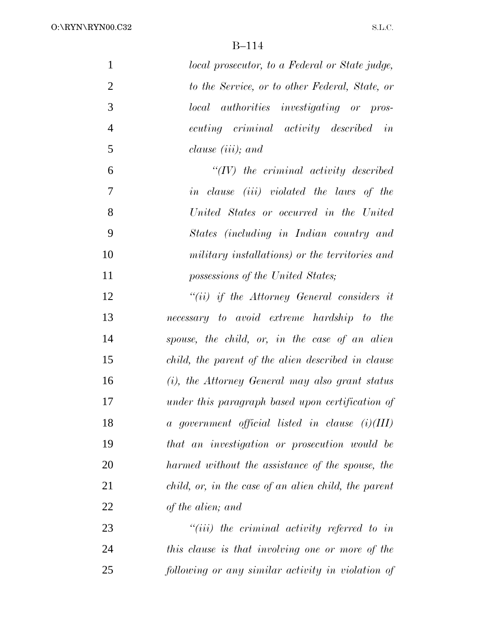| $\mathbf{1}$   | local prosecutor, to a Federal or State judge,       |
|----------------|------------------------------------------------------|
| $\overline{2}$ | to the Service, or to other Federal, State, or       |
| 3              | <i>authorities investigating or pros-</i><br>local   |
| $\overline{4}$ | ecuting criminal activity described<br>in            |
| 5              | clause $(iii)$ ; and                                 |
| 6              | $``(IV)$ the criminal activity described             |
| 7              | in clause (iii) violated the laws of the             |
| 8              | United States or occurred in the United              |
| 9              | States (including in Indian country and              |
| 10             | military installations) or the territories and       |
| 11             | possessions of the United States;                    |
| 12             | $``(ii)$ if the Attorney General considers it        |
| 13             | necessary to avoid extreme hardship to the           |
| 14             | spouse, the child, or, in the case of an alien       |
| 15             | child, the parent of the alien described in clause   |
| 16             | (i), the Attorney General may also grant status      |
| 17             | under this paragraph based upon certification of     |
| 18             | $a$ government official listed in clause $(i)(III)$  |
| 19             | that an investigation or prosecution would be        |
| 20             | harmed without the assistance of the spouse, the     |
| 21             | child, or, in the case of an alien child, the parent |
| 22             | of the alien; and                                    |
| 23             | $"(iii)$ the criminal activity referred to in        |
| 24             | this clause is that involving one or more of the     |
| 25             | following or any similar activity in violation of    |
|                |                                                      |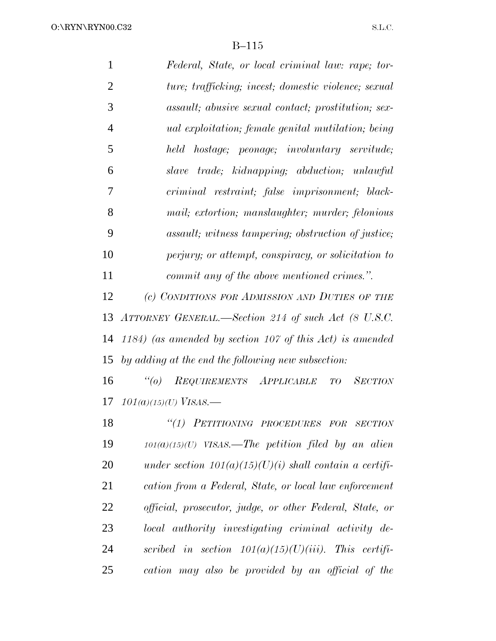| $\mathbf{1}$   | Federal, State, or local criminal law: rape; tor-           |
|----------------|-------------------------------------------------------------|
| $\overline{2}$ | ture; trafficking; incest; domestic violence; sexual        |
| 3              | assault; abusive sexual contact; prostitution; sex-         |
| $\overline{4}$ | <i>ual exploitation; female genital mutilation; being</i>   |
| 5              | held hostage; peonage; involuntary servitude;               |
| 6              | <i>trade;</i> kidnapping; abduction; unlawful<br>slave      |
| 7              | criminal restraint; false imprisonment; black-              |
| 8              | mail; extortion; manslaughter; murder; felonious            |
| 9              | <i>assault; witness tampering; obstruction of justice;</i>  |
| 10             | perjury; or attempt, conspiracy, or solicitation to         |
| 11             | commit any of the above mentioned crimes.".                 |
| 12             | (c) CONDITIONS FOR ADMISSION AND DUTIES OF THE              |
| 13             | ATTORNEY GENERAL.—Section 214 of such Act (8 U.S.C.         |
|                | 14 1184) (as amended by section 107 of this Act) is amended |
|                | 15 by adding at the end the following new subsection:       |
|                |                                                             |

 *''(o) REQUIREMENTS APPLICABLE TO SECTION 101(a)(15)(U) VISAS.—*

 *''(1) PETITIONING PROCEDURES FOR SECTION 101(a)(15)(U) VISAS.—The petition filed by an alien under section 101(a)(15)(U)(i) shall contain a certifi- cation from a Federal, State, or local law enforcement official, prosecutor, judge, or other Federal, State, or local authority investigating criminal activity de- scribed in section 101(a)(15)(U)(iii). This certifi-cation may also be provided by an official of the*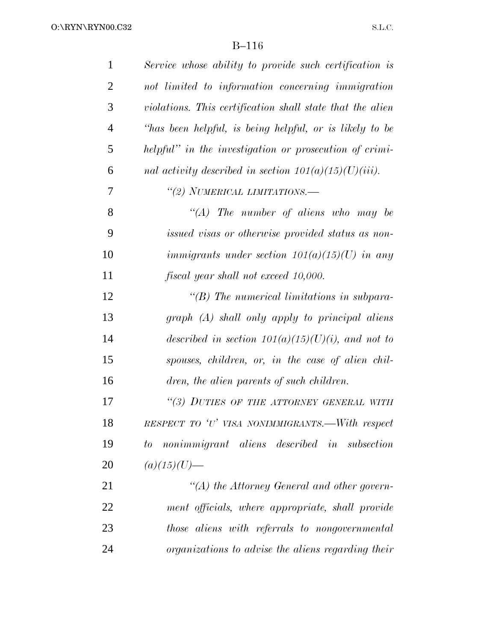| $\mathbf{1}$   | Service whose ability to provide such certification is    |
|----------------|-----------------------------------------------------------|
| $\overline{2}$ | not limited to information concerning immigration         |
| 3              | violations. This certification shall state that the alien |
| $\overline{4}$ | "has been helpful, is being helpful, or is likely to be   |
| 5              | helpful" in the investigation or prosecution of crimi-    |
| 6              | nal activity described in section $101(a)(15)(U)(iii)$ .  |
| 7              | "(2) NUMERICAL LIMITATIONS.-                              |
| 8              | "(A) The number of aliens who may be                      |
| 9              | issued visas or otherwise provided status as non-         |
| 10             | immigrants under section $101(a)(15)(U)$ in any           |
| 11             | fiscal year shall not exceed 10,000.                      |
| 12             | $\lq\lq B$ ) The numerical limitations in subpara-        |
| 13             | graph (A) shall only apply to principal aliens            |
| 14             | described in section $101(a)(15)(U)(i)$ , and not to      |
| 15             | spouses, children, or, in the case of alien chil-         |
| 16             | dren, the alien parents of such children.                 |
| 17             | "(3) DUTIES OF THE ATTORNEY GENERAL WITH                  |
| 18             | RESPECT TO 'U' VISA NONIMMIGRANTS.—With respect           |
| 19             | to nonimmigrant aliens described in subsection            |
| 20             | $(a)(15)(U)$ —                                            |
| 21             | $\lq (A)$ the Attorney General and other govern-          |
| 22             | ment officials, where appropriate, shall provide          |
| 23             | those aliens with referrals to nongovernmental            |
| 24             | organizations to advise the aliens regarding their        |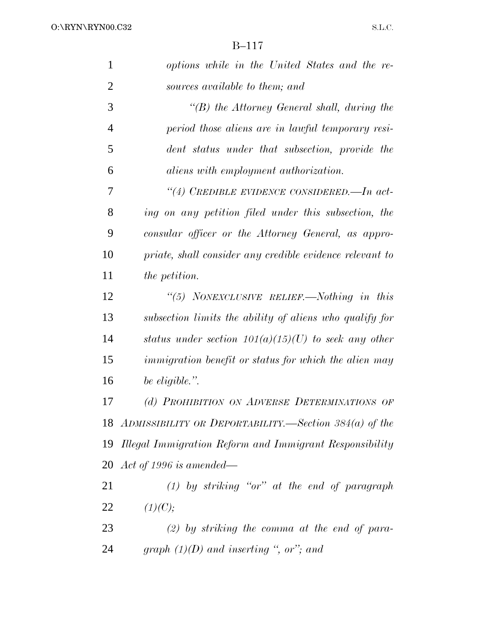| 1              | options while in the United States and the re-               |
|----------------|--------------------------------------------------------------|
| $\overline{2}$ | sources available to them; and                               |
| 3              | $\lq\lq(B)$ the Attorney General shall, during the           |
| $\overline{4}$ | period those aliens are in lawful temporary resi-            |
| 5              | dent status under that subsection, provide the               |
| 6              | <i>aliens with employment authorization.</i>                 |
| 7              | "(4) CREDIBLE EVIDENCE CONSIDERED. $-In \ act$               |
| 8              | ing on any petition filed under this subsection, the         |
| 9              | consular officer or the Attorney General, as appro-          |
| 10             | priate, shall consider any credible evidence relevant to     |
| 11             | <i>the petition.</i>                                         |
| 12             | "(5) NONEXCLUSIVE RELIEF.—Nothing in this                    |
| 13             | subsection limits the ability of aliens who qualify for      |
| 14             | status under section $101(a)(15)(U)$ to seek any other       |
| 15             | <i>immigration benefit or status for which the alien may</i> |
| 16             | be eligible.".                                               |
| 17             | (d) PROHIBITION ON ADVERSE DETERMINATIONS OF                 |
| 18             | ADMISSIBILITY OR DEPORTABILITY.—Section $384(a)$ of the      |
| 19             | Illegal Immigration Reform and Immigrant Responsibility      |
|                | 20 Act of 1996 is amended—                                   |
| 21             | $(1)$ by striking "or" at the end of paragraph               |
| 22             | (1)(C);                                                      |
| 23             | $(2)$ by striking the comma at the end of para-              |
| 24             | graph $(1)(D)$ and inserting ", or"; and                     |
|                |                                                              |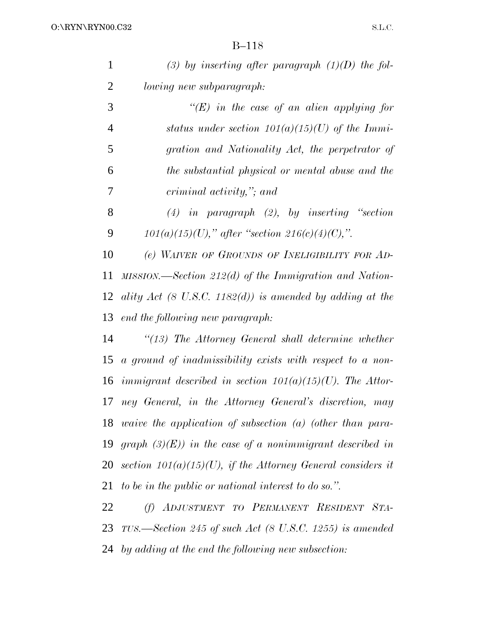| 1 | (3) by inserting after paragraph $(1)(D)$ the fol-   |
|---|------------------------------------------------------|
| 2 | <i>lowing new subparagraph:</i>                      |
| 3 | "(E) in the case of an alien applying for            |
| 4 | status under section $101(a)(15)(U)$ of the Immi-    |
| 5 | gration and Nationality Act, the perpetrator of      |
| 6 | the substantial physical or mental abuse and the     |
| 7 | criminal activity," and                              |
| 8 | $(4)$ in paragraph $(2)$ , by inserting "section     |
| 9 | $101(a)(15)(U)$ ," after "section $216(c)(4)(C)$ ,". |
|   |                                                      |

 *(e) WAIVER OF GROUNDS OF INELIGIBILITY FOR AD- MISSION.—Section 212(d) of the Immigration and Nation- ality Act (8 U.S.C. 1182(d)) is amended by adding at the end the following new paragraph:*

 *''(13) The Attorney General shall determine whether a ground of inadmissibility exists with respect to a non- immigrant described in section 101(a)(15)(U). The Attor- ney General, in the Attorney General's discretion, may waive the application of subsection (a) (other than para- graph (3)(E)) in the case of a nonimmigrant described in section 101(a)(15)(U), if the Attorney General considers it to be in the public or national interest to do so.''.*

 *(f) ADJUSTMENT TO PERMANENT RESIDENT STA- TUS.—Section 245 of such Act (8 U.S.C. 1255) is amended by adding at the end the following new subsection:*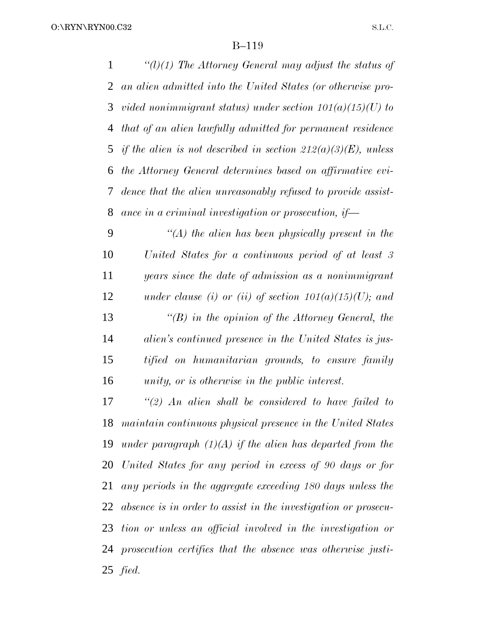*''(l)(1) The Attorney General may adjust the status of an alien admitted into the United States (or otherwise pro- vided nonimmigrant status) under section 101(a)(15)(U) to that of an alien lawfully admitted for permanent residence if the alien is not described in section 212(a)(3)(E), unless the Attorney General determines based on affirmative evi- dence that the alien unreasonably refused to provide assist-ance in a criminal investigation or prosecution, if—*

 *''(A) the alien has been physically present in the United States for a continuous period of at least 3 years since the date of admission as a nonimmigrant under clause (i) or (ii) of section 101(a)(15)(U); and ''(B) in the opinion of the Attorney General, the alien's continued presence in the United States is jus- tified on humanitarian grounds, to ensure family unity, or is otherwise in the public interest.*

 *''(2) An alien shall be considered to have failed to maintain continuous physical presence in the United States under paragraph (1)(A) if the alien has departed from the United States for any period in excess of 90 days or for any periods in the aggregate exceeding 180 days unless the absence is in order to assist in the investigation or prosecu- tion or unless an official involved in the investigation or prosecution certifies that the absence was otherwise justi-fied.*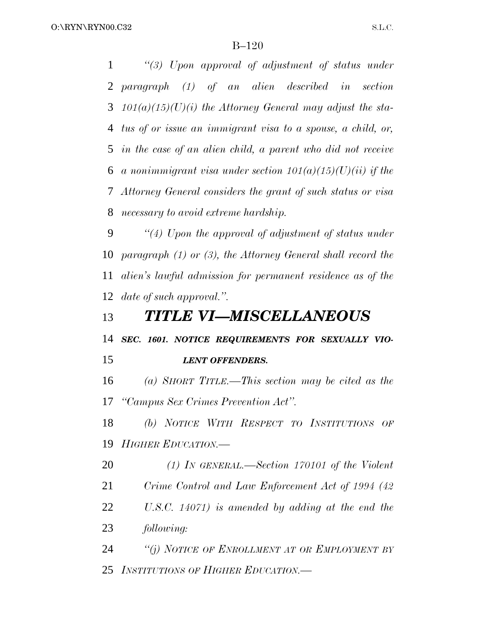*''(3) Upon approval of adjustment of status under paragraph (1) of an alien described in section 101(a)(15)(U)(i) the Attorney General may adjust the sta- tus of or issue an immigrant visa to a spouse, a child, or, in the case of an alien child, a parent who did not receive a nonimmigrant visa under section 101(a)(15)(U)(ii) if the Attorney General considers the grant of such status or visa necessary to avoid extreme hardship.*

 *''(4) Upon the approval of adjustment of status under paragraph (1) or (3), the Attorney General shall record the alien's lawful admission for permanent residence as of the date of such approval.''.*

### *TITLE VI—MISCELLANEOUS*

*SEC. 1601. NOTICE REQUIREMENTS FOR SEXUALLY VIO-*

*LENT OFFENDERS.*

 *(a) SHORT TITLE.—This section may be cited as the ''Campus Sex Crimes Prevention Act''.*

 *(b) NOTICE WITH RESPECT TO INSTITUTIONS OF HIGHER EDUCATION.—*

*(1) IN GENERAL.—Section 170101 of the Violent*

*Crime Control and Law Enforcement Act of 1994 (42*

 *U.S.C. 14071) is amended by adding at the end the following:*

 *''(j) NOTICE OF ENROLLMENT AT OR EMPLOYMENT BY INSTITUTIONS OF HIGHER EDUCATION.—*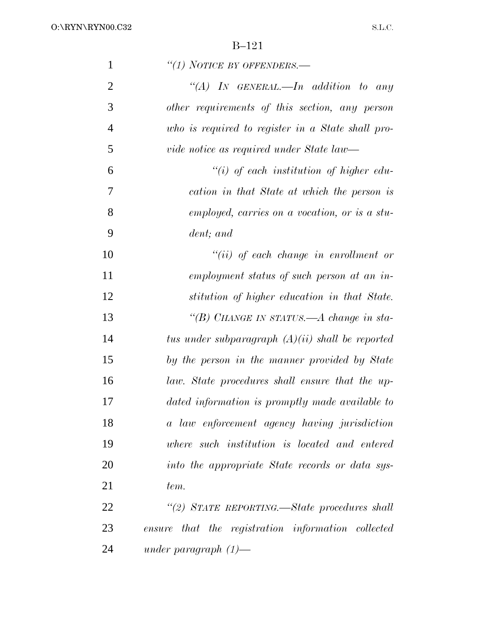| $\mathbf{1}$   | "(1) NOTICE BY OFFENDERS.—                         |
|----------------|----------------------------------------------------|
| $\overline{2}$ | "(A) IN GENERAL.—In addition to any                |
| 3              | other requirements of this section, any person     |
| $\overline{4}$ | who is required to register in a State shall pro-  |
| 5              | vide notice as required under State law—           |
| 6              | $``(i)$ of each institution of higher edu-         |
| 7              | cation in that State at which the person is        |
| 8              | employed, carries on a vocation, or is a stu-      |
| 9              | dent; and                                          |
| 10             | $``(ii)$ of each change in enrollment or           |
| 11             | employment status of such person at an in-         |
| 12             | stitution of higher education in that State.       |
| 13             | "(B) CHANGE IN STATUS.—A change in sta-            |
| 14             | tus under subparagraph $(A)(ii)$ shall be reported |
| 15             | by the person in the manner provided by State      |
| 16             | law. State procedures shall ensure that the up-    |
| 17             | dated information is promptly made available to    |
| 18             | a law enforcement agency having jurisdiction       |
| 19             | where such institution is located and entered      |
| 20             | into the appropriate State records or data sys-    |
| 21             | tem.                                               |
| 22             | "(2) STATE REPORTING.—State procedures shall       |
| 23             | ensure that the registration information collected |
| 24             | under paragraph $(1)$ —                            |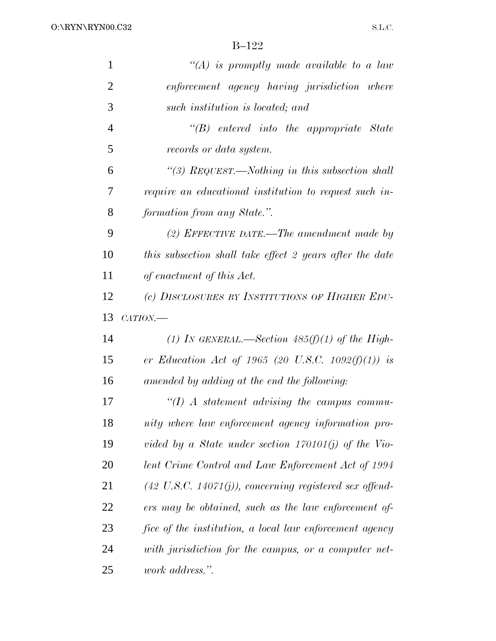| $\mathbf{1}$   | "(A) is promptly made available to a law                            |
|----------------|---------------------------------------------------------------------|
| $\overline{2}$ | enforcement agency having jurisdiction where                        |
| 3              | such institution is located; and                                    |
| $\overline{4}$ | $\lq\lq B$ entered into the appropriate State                       |
| 5              | records or data system.                                             |
| 6              | "(3) $_{\text{REQUEST}\text{.}}$ Nothing in this subsection shall   |
| 7              | require an educational institution to request such in-              |
| 8              | formation from any State.".                                         |
| 9              | (2) EFFECTIVE DATE.—The amendment made by                           |
| 10             | this subsection shall take effect 2 years after the date            |
| 11             | of enactment of this Act.                                           |
| 12             | (c) DISCLOSURES BY INSTITUTIONS OF HIGHER EDU-                      |
|                |                                                                     |
| 13             | CATION.                                                             |
| 14             | (1) In GENERAL.—Section $485(f)(1)$ of the High-                    |
| 15             | er Education Act of 1965 (20 U.S.C. 1092 $(f)(1)$ ) is              |
| 16             | amended by adding at the end the following:                         |
| 17             | $\lq (I)$ A statement advising the campus commu-                    |
| 18             | nity where law enforcement agency information pro-                  |
| 19             | vided by a State under section $170101(j)$ of the Vio-              |
| 20             | lent Crime Control and Law Enforcement Act of 1994                  |
| 21             | $(42 \text{ U.S.C. } 14071(j))$ , concerning registered sex offend- |
| <u>22</u>      | ers may be obtained, such as the law enforcement of                 |
| 23             | fice of the institution, a local law enforcement agency             |
| 24             | with jurisdiction for the campus, or a computer net-                |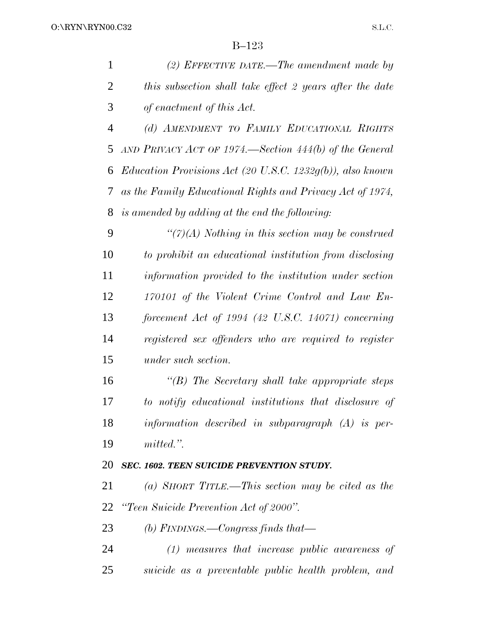|                | $B-123$                                                   |
|----------------|-----------------------------------------------------------|
| $\mathbf{1}$   | (2) EFFECTIVE DATE.—The amendment made by                 |
| $\overline{2}$ | this subsection shall take effect 2 years after the date  |
| 3              | of enactment of this Act.                                 |
| $\overline{4}$ | (d) AMENDMENT TO FAMILY EDUCATIONAL RIGHTS                |
| 5              | AND PRIVACY ACT OF 1974.—Section $444(b)$ of the General  |
| 6              | Education Provisions Act (20 U.S.C. 1232g(b)), also known |
| 7              | as the Family Educational Rights and Privacy Act of 1974, |
| 8              | is amended by adding at the end the following:            |
| 9              | $\lq(7)(A)$ Nothing in this section may be construed      |
| 10             | to prohibit an educational institution from disclosing    |
| 11             | information provided to the institution under section     |
| 12             | 170101 of the Violent Crime Control and Law En-           |
| 13             | forcement Act of $1994$ (42 U.S.C. 14071) concerning      |
| 14             | registered sex offenders who are required to register     |
| 15             | under such section.                                       |
| 16             | $\lq\lq(B)$ The Secretary shall take appropriate steps    |
| 17             | to notify educational institutions that disclosure of     |
| 18             | information described in subparagraph $(A)$ is per-       |
| 19             | mitted.".                                                 |
| 20             | SEC. 1602. TEEN SUICIDE PREVENTION STUDY.                 |
| 21             | (a) SHORT TITLE.—This section may be cited as the         |
| 22             | "Teen Suicide Prevention Act of 2000".                    |

*(b) FINDINGS.—Congress finds that—*

 *(1) measures that increase public awareness of suicide as a preventable public health problem, and*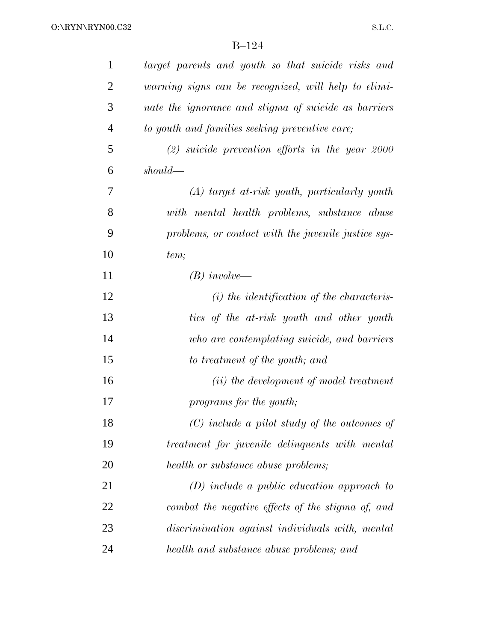| 1              | target parents and youth so that suicide risks and   |
|----------------|------------------------------------------------------|
| $\overline{2}$ | warning signs can be recognized, will help to elimi- |
| 3              | nate the ignorance and stigma of suicide as barriers |
| $\overline{4}$ | to youth and families seeking preventive care;       |
| 5              | $(2)$ suicide prevention efforts in the year 2000    |
| 6              | $should$ —                                           |
| 7              | $(A)$ target at-risk youth, particularly youth       |
| 8              | with mental health problems, substance abuse         |
| 9              | problems, or contact with the juvenile justice sys-  |
| 10             | tem;                                                 |
| 11             | $(B)$ involve—                                       |
| 12             | $(i)$ the identification of the characteris-         |
| 13             | tics of the at-risk youth and other youth            |
| 14             | who are contemplating suicide, and barriers          |
| 15             | to treatment of the youth; and                       |
| 16             | ( <i>ii</i> ) the development of model treatment     |
| 17             | programs for the youth;                              |
| 18             | $(C)$ include a pilot study of the outcomes of       |
| 19             | treatment for juvenile delinquents with mental       |
| 20             | health or substance abuse problems;                  |
| 21             | $(D)$ include a public education approach to         |
| 22             | combat the negative effects of the stigma of, and    |
| 23             | discrimination against individuals with, mental      |
| 24             | health and substance abuse problems; and             |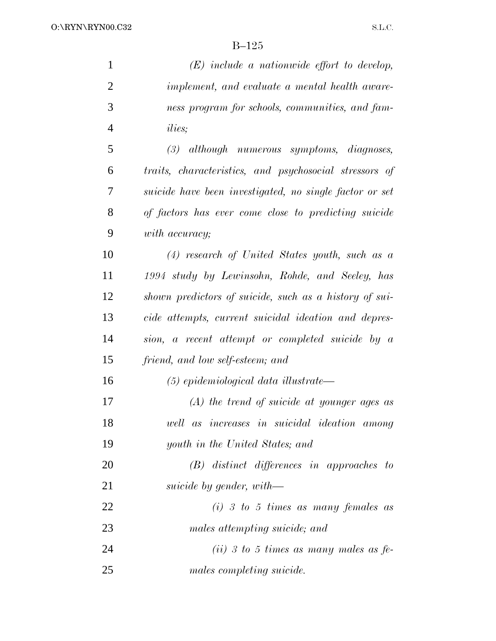O:\RYN\RYN00.C32

S.L.C.

| $\mathbf{1}$   | $(E)$ include a nationwide effort to develop,           |
|----------------|---------------------------------------------------------|
| $\overline{2}$ | implement, and evaluate a mental health aware-          |
| 3              | ness program for schools, communities, and fam-         |
| $\overline{4}$ | <i>ilies</i> ;                                          |
| 5              | $(3)$ although numerous symptoms, diagnoses,            |
| 6              | traits, characteristics, and psychosocial stressors of  |
| 7              | suicide have been investigated, no single factor or set |
| 8              | of factors has ever come close to predicting suicide    |
| 9              | with accuracy;                                          |
| 10             | $(4)$ research of United States youth, such as a        |
| 11             | 1994 study by Lewinsohn, Rohde, and Seeley, has         |
| 12             | shown predictors of suicide, such as a history of sui-  |
| 13             | cide attempts, current suicidal ideation and depres-    |
| 14             | sion, a recent attempt or completed suicide by a        |
| 15             | friend, and low self-esteem; and                        |
| 16             | $(5)$ epidemiological data illustrate—                  |
| 17             | $(A)$ the trend of suicide at younger ages as           |
| 18             | well as increases in suicidal ideation among            |
| 19             | youth in the United States; and                         |
| 20             | $(B)$ distinct differences in approaches to             |
| 21             | suicide by gender, with—                                |
| 22             | $(i)$ 3 to 5 times as many females as                   |
| 23             | males attempting suicide; and                           |
| 24             | (ii) 3 to 5 times as many males as $fe$                 |
| 25             | males completing suicide.                               |